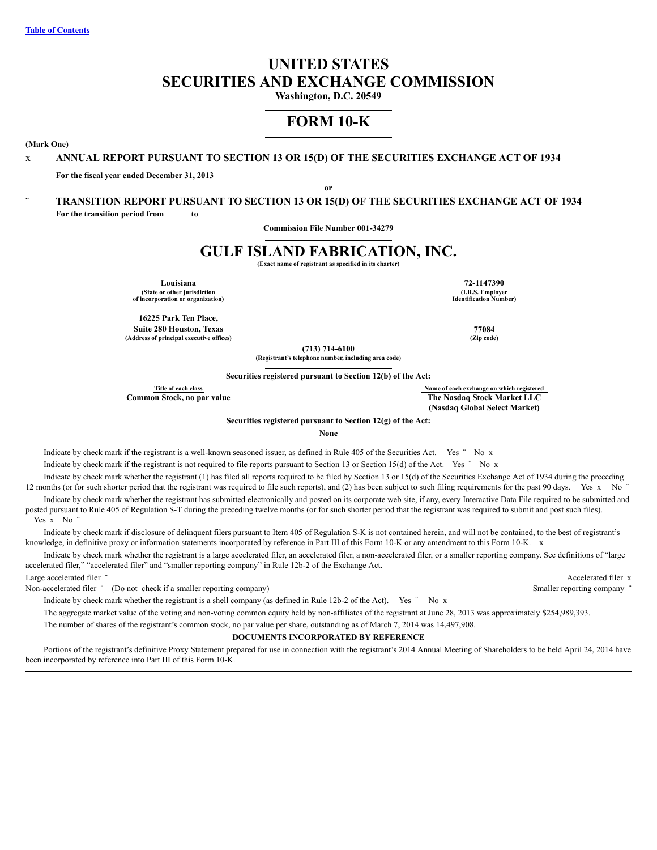# **UNITED STATES SECURITIES AND EXCHANGE COMMISSION**

**Washington, D.C. 20549**

# **FORM 10-K**

**(Mark One)**

# x **ANNUAL REPORT PURSUANT TO SECTION 13 OR 15(D) OF THE SECURITIES EXCHANGE ACT OF 1934**

**For the fiscal year ended December 31, 2013**

¨ **TRANSITION REPORT PURSUANT TO SECTION 13 OR 15(D) OF THE SECURITIES EXCHANGE ACT OF 1934 For the transition period from to** 

**Commission File Number 001-34279**

**or**

# **GULF ISLAND FABRICATION, INC.**

**(Exact name of registrant as specified in its charter)**

**Louisiana 72-1147390 (State or other jurisdiction of incorporation or organization)**

**16225 Park Ten Place, Suite 280 Houston, Texas 77084 (Address of principal executive offices) (Zip code)**

**(I.R.S. Employer Identification Number)**

**(713) 714-6100 (Registrant's telephone number, including area code)**

**Securities registered pursuant to Section 12(b) of the Act:**

**Title of each class Name of each exchange on which registered Common Stock, no par value The Nasdaq Stock Market LLC (Nasdaq Global Select Market)**

**Securities registered pursuant to Section 12(g) of the Act:**

**None**

Indicate by check mark if the registrant is a well-known seasoned issuer, as defined in Rule 405 of the Securities Act. Yes " No x

Indicate by check mark if the registrant is not required to file reports pursuant to Section 13 or Section 15(d) of the Act. Yes " No x

Indicate by check mark whether the registrant (1) has filed all reports required to be filed by Section 13 or 15(d) of the Securities Exchange Act of 1934 during the preceding 12 months (or for such shorter period that the registrant was required to file such reports), and (2) has been subject to such filing requirements for the past 90 days. Yes x No

Indicate by check mark whether the registrant has submitted electronically and posted on its corporate web site, if any, every Interactive Data File required to be submitted and posted pursuant to Rule 405 of Regulation S-T during the preceding twelve months (or for such shorter period that the registrant was required to submit and post such files). Yes x No

Indicate by check mark if disclosure of delinquent filers pursuant to Item 405 of Regulation S-K is not contained herein, and will not be contained, to the best of registrant's knowledge, in definitive proxy or information statements incorporated by reference in Part III of this Form 10-K or any amendment to this Form 10-K. x

Indicate by check mark whether the registrant is a large accelerated filer, an accelerated filer, a non-accelerated filer, or a smaller reporting company. See definitions of "large accelerated filer," "accelerated filer" and "smaller reporting company" in Rule 12b-2 of the Exchange Act.

Large accelerated filer "<br>
Accelerated filer x

Non-accelerated filer " (Do not check if a smaller reporting company) Smaller reporting company

Indicate by check mark whether the registrant is a shell company (as defined in Rule 12b-2 of the Act). Yes "No x

The aggregate market value of the voting and non-voting common equity held by non-affiliates of the registrant at June 28, 2013 was approximately \$254,989,393.

The number of shares of the registrant's common stock, no par value per share, outstanding as of March 7, 2014 was 14,497,908.

# **DOCUMENTS INCORPORATED BY REFERENCE**

Portions of the registrant's definitive Proxy Statement prepared for use in connection with the registrant's 2014 Annual Meeting of Shareholders to be held April 24, 2014 have been incorporated by reference into Part III of this Form 10-K.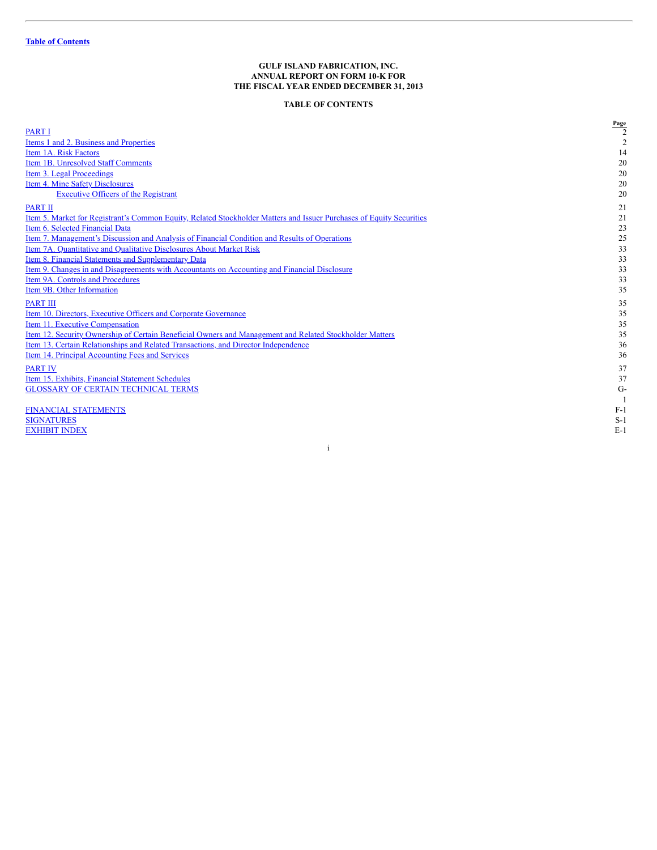# **GULF ISLAND FABRICATION, INC. ANNUAL REPORT ON FORM 10-K FOR THE FISCAL YEAR ENDED DECEMBER 31, 2013**

# **TABLE OF CONTENTS**

<span id="page-1-0"></span>

|                                                                                                                      | $rac{\text{Page}}{2}$ |
|----------------------------------------------------------------------------------------------------------------------|-----------------------|
| <b>PART I</b>                                                                                                        |                       |
| Items 1 and 2. Business and Properties                                                                               | $\sqrt{2}$            |
| Item 1A. Risk Factors                                                                                                | 14                    |
| Item 1B. Unresolved Staff Comments                                                                                   | 20                    |
| Item 3. Legal Proceedings                                                                                            | 20                    |
| <b>Item 4. Mine Safety Disclosures</b>                                                                               | 20                    |
| <b>Executive Officers of the Registrant</b>                                                                          | 20                    |
| <b>PART II</b>                                                                                                       | 21                    |
| Item 5. Market for Registrant's Common Equity, Related Stockholder Matters and Issuer Purchases of Equity Securities | 21                    |
| Item 6. Selected Financial Data                                                                                      | 23                    |
| Item 7. Management's Discussion and Analysis of Financial Condition and Results of Operations                        | 25                    |
| Item 7A. Quantitative and Qualitative Disclosures About Market Risk                                                  | 33                    |
| Item 8. Financial Statements and Supplementary Data                                                                  | 33                    |
| Item 9. Changes in and Disagreements with Accountants on Accounting and Financial Disclosure                         | 33                    |
| Item 9A. Controls and Procedures                                                                                     | 33                    |
| Item 9B. Other Information                                                                                           | 35                    |
| <b>PART III</b>                                                                                                      | 35                    |
| Item 10. Directors, Executive Officers and Corporate Governance                                                      | 35                    |
| Item 11. Executive Compensation                                                                                      | 35                    |
| Item 12. Security Ownership of Certain Beneficial Owners and Management and Related Stockholder Matters              | 35                    |
| Item 13. Certain Relationships and Related Transactions, and Director Independence                                   | 36                    |
| <b>Item 14. Principal Accounting Fees and Services</b>                                                               | 36                    |
| <b>PART IV</b>                                                                                                       | 37                    |
| Item 15. Exhibits, Financial Statement Schedules                                                                     | 37                    |
| <b>GLOSSARY OF CERTAIN TECHNICAL TERMS</b>                                                                           | $G-$                  |
|                                                                                                                      |                       |
| <b>FINANCIAL STATEMENTS</b>                                                                                          | $F-1$                 |
| <b>SIGNATURES</b>                                                                                                    | $S-1$                 |
| <b>EXHIBIT INDEX</b>                                                                                                 | $E-1$                 |

i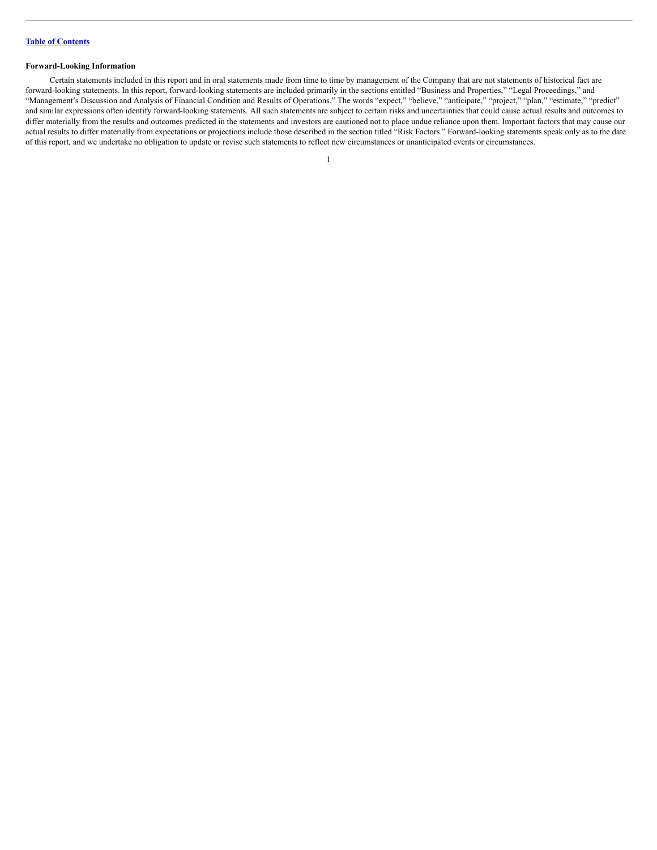# **Forward-Looking Information**

Certain statements included in this report and in oral statements made from time to time by management of the Company that are not statements of historical fact are forward-looking statements. In this report, forward-looking statements are included primarily in the sections entitled "Business and Properties," "Legal Proceedings," and "Management's Discussion and Analysis of Financial Condition and Results of Operations." The words "expect," "believe," "anticipate," "project," "plan," "estimate," "predict" and similar expressions often identify forward-looking statements. All such statements are subject to certain risks and uncertainties that could cause actual results and outcomes to differ materially from the results and outcomes predicted in the statements and investors are cautioned not to place undue reliance upon them. Important factors that may cause our actual results to differ materially from expectations or projections include those described in the section titled "Risk Factors." Forward-looking statements speak only as to the date of this report, and we undertake no obligation to update or revise such statements to reflect new circumstances or unanticipated events or circumstances.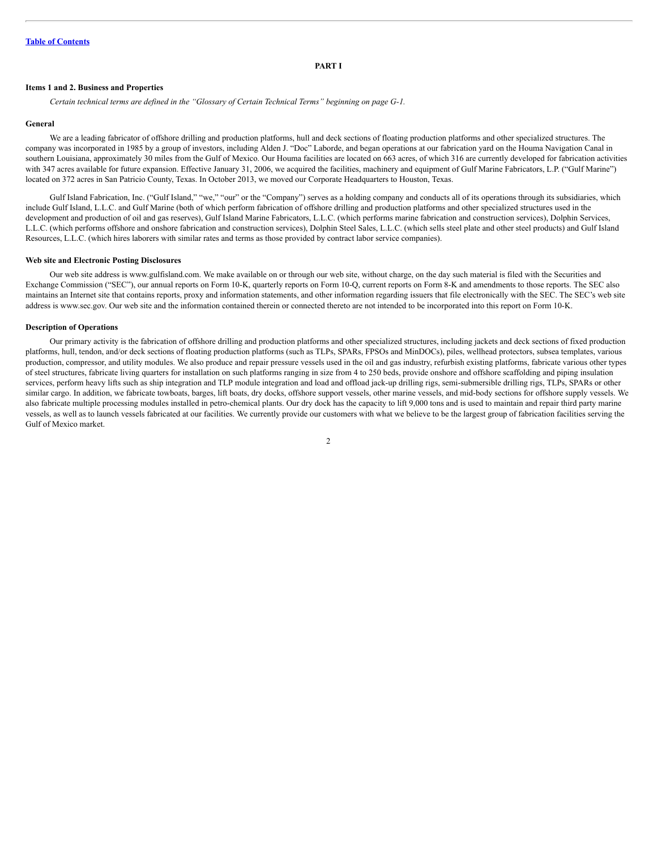# **PART I**

### <span id="page-3-1"></span><span id="page-3-0"></span>**Items 1 and 2. Business and Properties**

*Certain technical terms are defined in the "Glossary of Certain Technical Terms" beginning on page G-1.*

#### **General**

We are a leading fabricator of offshore drilling and production platforms, hull and deck sections of floating production platforms and other specialized structures. The company was incorporated in 1985 by a group of investors, including Alden J. "Doc" Laborde, and began operations at our fabrication yard on the Houma Navigation Canal in southern Louisiana, approximately 30 miles from the Gulf of Mexico. Our Houma facilities are located on 663 acres, of which 316 are currently developed for fabrication activities with 347 acres available for future expansion. Effective January 31, 2006, we acquired the facilities, machinery and equipment of Gulf Marine Fabricators, L.P. ("Gulf Marine") located on 372 acres in San Patricio County, Texas. In October 2013, we moved our Corporate Headquarters to Houston, Texas.

Gulf Island Fabrication, Inc. ("Gulf Island," "we," "our" or the "Company") serves as a holding company and conducts all of its operations through its subsidiaries, which include Gulf Island, L.L.C. and Gulf Marine (both of which perform fabrication of offshore drilling and production platforms and other specialized structures used in the development and production of oil and gas reserves), Gulf Island Marine Fabricators, L.L.C. (which performs marine fabrication and construction services), Dolphin Services, L.L.C. (which performs offshore and onshore fabrication and construction services), Dolphin Steel Sales, L.L.C. (which sells steel plate and other steel products) and Gulf Island Resources, L.L.C. (which hires laborers with similar rates and terms as those provided by contract labor service companies).

### **Web site and Electronic Posting Disclosures**

Our web site address is www.gulfisland.com. We make available on or through our web site, without charge, on the day such material is filed with the Securities and Exchange Commission ("SEC"), our annual reports on Form 10-K, quarterly reports on Form 10-Q, current reports on Form 8-K and amendments to those reports. The SEC also maintains an Internet site that contains reports, proxy and information statements, and other information regarding issuers that file electronically with the SEC. The SEC's web site address is www.sec.gov. Our web site and the information contained therein or connected thereto are not intended to be incorporated into this report on Form 10-K.

### **Description of Operations**

Our primary activity is the fabrication of offshore drilling and production platforms and other specialized structures, including jackets and deck sections of fixed production platforms, hull, tendon, and/or deck sections of floating production platforms (such as TLPs, SPARs, FPSOs and MinDOCs), piles, wellhead protectors, subsea templates, various production, compressor, and utility modules. We also produce and repair pressure vessels used in the oil and gas industry, refurbish existing platforms, fabricate various other types of steel structures, fabricate living quarters for installation on such platforms ranging in size from 4 to 250 beds, provide onshore and offshore scaffolding and piping insulation services, perform heavy lifts such as ship integration and TLP module integration and load and offload jack-up drilling rigs, semi-submersible drilling rigs, TLPs, SPARs or other similar cargo. In addition, we fabricate towboats, barges, lift boats, dry docks, offshore support vessels, other marine vessels, and mid-body sections for offshore supply vessels. We also fabricate multiple processing modules installed in petro-chemical plants. Our dry dock has the capacity to lift 9,000 tons and is used to maintain and repair third party marine vessels, as well as to launch vessels fabricated at our facilities. We currently provide our customers with what we believe to be the largest group of fabrication facilities serving the Gulf of Mexico market.

 $\mathfrak{D}$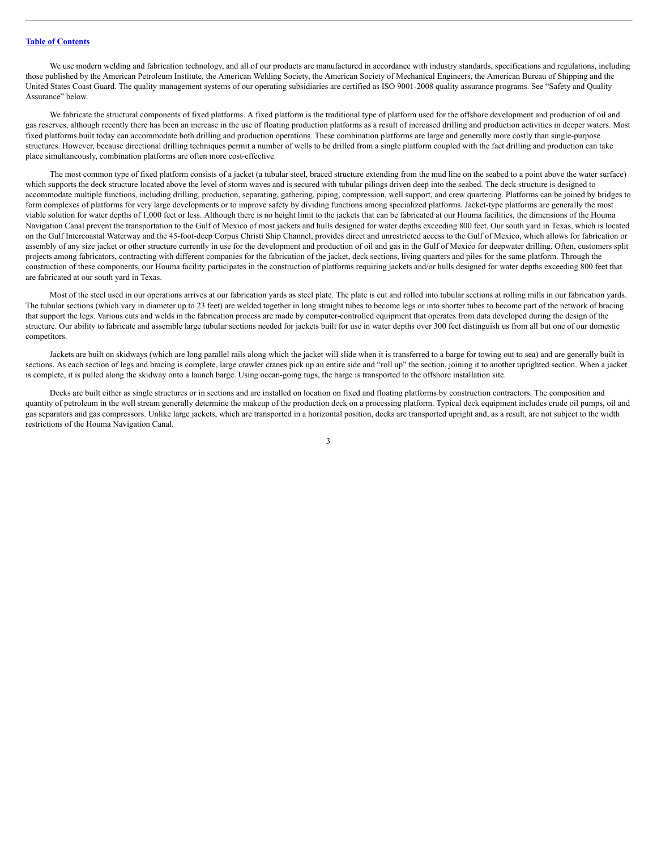We use modern welding and fabrication technology, and all of our products are manufactured in accordance with industry standards, specifications and regulations, including those published by the American Petroleum Institute, the American Welding Society, the American Society of Mechanical Engineers, the American Bureau of Shipping and the United States Coast Guard. The quality management systems of our operating subsidiaries are certified as ISO 9001-2008 quality assurance programs. See "Safety and Quality Assurance" below.

We fabricate the structural components of fixed platforms. A fixed platform is the traditional type of platform used for the offshore development and production of oil and gas reserves, although recently there has been an increase in the use of floating production platforms as a result of increased drilling and production activities in deeper waters. Most fixed platforms built today can accommodate both drilling and production operations. These combination platforms are large and generally more costly than single-purpose structures. However, because directional drilling techniques permit a number of wells to be drilled from a single platform coupled with the fact drilling and production can take place simultaneously, combination platforms are often more cost-effective.

The most common type of fixed platform consists of a jacket (a tubular steel, braced structure extending from the mud line on the seabed to a point above the water surface) which supports the deck structure located above the level of storm waves and is secured with tubular pilings driven deep into the seabed. The deck structure is designed to accommodate multiple functions, including drilling, production, separating, gathering, piping, compression, well support, and crew quartering. Platforms can be joined by bridges to form complexes of platforms for very large developments or to improve safety by dividing functions among specialized platforms. Jacket-type platforms are generally the most viable solution for water depths of 1,000 feet or less. Although there is no height limit to the jackets that can be fabricated at our Houma facilities, the dimensions of the Houma Navigation Canal prevent the transportation to the Gulf of Mexico of most jackets and hulls designed for water depths exceeding 800 feet. Our south yard in Texas, which is located on the Gulf Intercoastal Waterway and the 45-foot-deep Corpus Christi Ship Channel, provides direct and unrestricted access to the Gulf of Mexico, which allows for fabrication or assembly of any size jacket or other structure currently in use for the development and production of oil and gas in the Gulf of Mexico for deepwater drilling. Often, customers split projects among fabricators, contracting with different companies for the fabrication of the jacket, deck sections, living quarters and piles for the same platform. Through the construction of these components, our Houma facility participates in the construction of platforms requiring jackets and/or hulls designed for water depths exceeding 800 feet that are fabricated at our south yard in Texas.

Most of the steel used in our operations arrives at our fabrication yards as steel plate. The plate is cut and rolled into tubular sections at rolling mills in our fabrication yards. The tubular sections (which vary in diameter up to 23 feet) are welded together in long straight tubes to become legs or into shorter tubes to become part of the network of bracing that support the legs. Various cuts and welds in the fabrication process are made by computer-controlled equipment that operates from data developed during the design of the structure. Our ability to fabricate and assemble large tubular sections needed for jackets built for use in water depths over 300 feet distinguish us from all but one of our domestic competitors.

Jackets are built on skidways (which are long parallel rails along which the jacket will slide when it is transferred to a barge for towing out to sea) and are generally built in sections. As each section of legs and bracing is complete, large crawler cranes pick up an entire side and "roll up" the section, joining it to another uprighted section. When a jacket is complete, it is pulled along the skidway onto a launch barge. Using ocean-going tugs, the barge is transported to the offshore installation site.

Decks are built either as single structures or in sections and are installed on location on fixed and floating platforms by construction contractors. The composition and quantity of petroleum in the well stream generally determine the makeup of the production deck on a processing platform. Typical deck equipment includes crude oil pumps, oil and gas separators and gas compressors. Unlike large jackets, which are transported in a horizontal position, decks are transported upright and, as a result, are not subject to the width restrictions of the Houma Navigation Canal.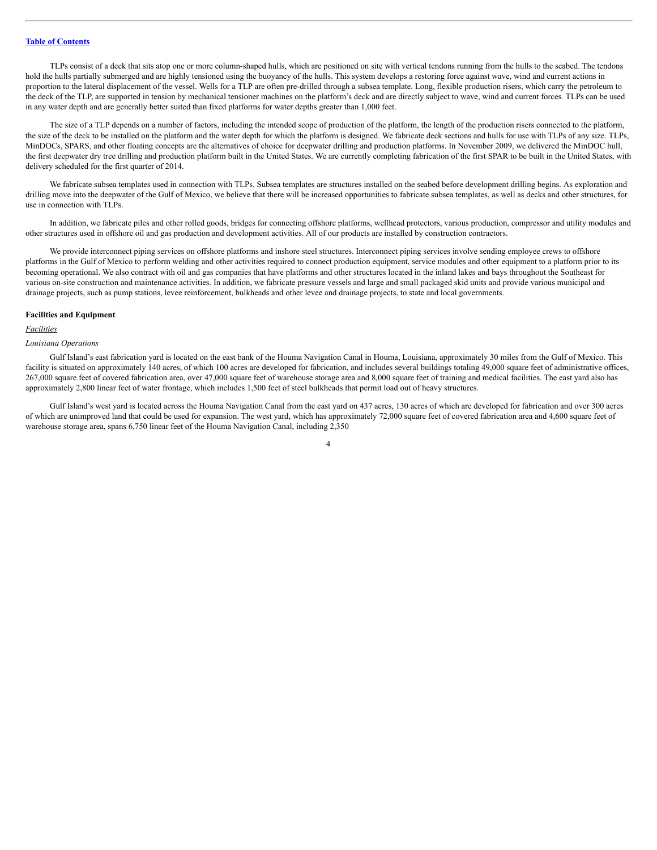TLPs consist of a deck that sits atop one or more column-shaped hulls, which are positioned on site with vertical tendons running from the hulls to the seabed. The tendons hold the hulls partially submerged and are highly tensioned using the buoyancy of the hulls. This system develops a restoring force against wave, wind and current actions in proportion to the lateral displacement of the vessel. Wells for a TLP are often pre-drilled through a subsea template. Long, flexible production risers, which carry the petroleum to the deck of the TLP, are supported in tension by mechanical tensioner machines on the platform's deck and are directly subject to wave, wind and current forces. TLPs can be used in any water depth and are generally better suited than fixed platforms for water depths greater than 1,000 feet.

The size of a TLP depends on a number of factors, including the intended scope of production of the platform, the length of the production risers connected to the platform, the size of the deck to be installed on the platform and the water depth for which the platform is designed. We fabricate deck sections and hulls for use with TLPs of any size. TLPs, MinDOCs, SPARS, and other floating concepts are the alternatives of choice for deepwater drilling and production platforms. In November 2009, we delivered the MinDOC hull, the first deepwater dry tree drilling and production platform built in the United States. We are currently completing fabrication of the first SPAR to be built in the United States, with delivery scheduled for the first quarter of 2014.

We fabricate subsea templates used in connection with TLPs. Subsea templates are structures installed on the seabed before development drilling begins. As exploration and drilling move into the deepwater of the Gulf of Mexico, we believe that there will be increased opportunities to fabricate subsea templates, as well as decks and other structures, for use in connection with TLPs.

In addition, we fabricate piles and other rolled goods, bridges for connecting offshore platforms, wellhead protectors, various production, compressor and utility modules and other structures used in offshore oil and gas production and development activities. All of our products are installed by construction contractors.

We provide interconnect piping services on offshore platforms and inshore steel structures. Interconnect piping services involve sending employee crews to offshore platforms in the Gulf of Mexico to perform welding and other activities required to connect production equipment, service modules and other equipment to a platform prior to its becoming operational. We also contract with oil and gas companies that have platforms and other structures located in the inland lakes and bays throughout the Southeast for various on-site construction and maintenance activities. In addition, we fabricate pressure vessels and large and small packaged skid units and provide various municipal and drainage projects, such as pump stations, levee reinforcement, bulkheads and other levee and drainage projects, to state and local governments.

### **Facilities and Equipment**

## *Facilities*

## *Louisiana Operations*

Gulf Island's east fabrication yard is located on the east bank of the Houma Navigation Canal in Houma, Louisiana, approximately 30 miles from the Gulf of Mexico. This facility is situated on approximately 140 acres, of which 100 acres are developed for fabrication, and includes several buildings totaling 49,000 square feet of administrative offices, 267,000 square feet of covered fabrication area, over 47,000 square feet of warehouse storage area and 8,000 square feet of training and medical facilities. The east yard also has approximately 2,800 linear feet of water frontage, which includes 1,500 feet of steel bulkheads that permit load out of heavy structures.

Gulf Island's west yard is located across the Houma Navigation Canal from the east yard on 437 acres, 130 acres of which are developed for fabrication and over 300 acres of which are unimproved land that could be used for expansion. The west yard, which has approximately 72,000 square feet of covered fabrication area and 4,600 square feet of warehouse storage area, spans 6,750 linear feet of the Houma Navigation Canal, including 2,350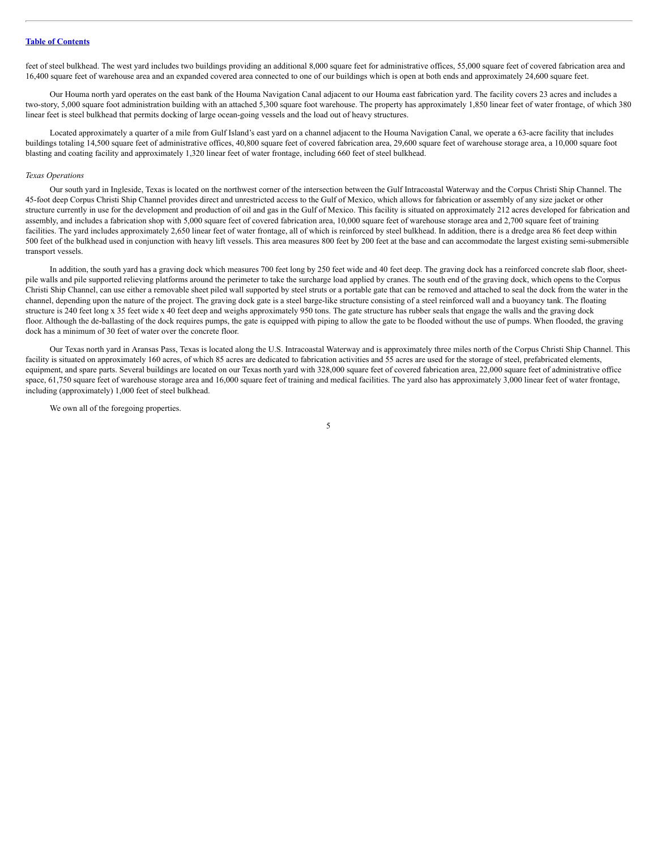feet of steel bulkhead. The west yard includes two buildings providing an additional 8,000 square feet for administrative offices, 55,000 square feet of covered fabrication area and 16,400 square feet of warehouse area and an expanded covered area connected to one of our buildings which is open at both ends and approximately 24,600 square feet.

Our Houma north yard operates on the east bank of the Houma Navigation Canal adjacent to our Houma east fabrication yard. The facility covers 23 acres and includes a two-story, 5,000 square foot administration building with an attached 5,300 square foot warehouse. The property has approximately 1,850 linear feet of water frontage, of which 380 linear feet is steel bulkhead that permits docking of large ocean-going vessels and the load out of heavy structures.

Located approximately a quarter of a mile from Gulf Island's east yard on a channel adjacent to the Houma Navigation Canal, we operate a 63-acre facility that includes buildings totaling 14,500 square feet of administrative offices, 40,800 square feet of covered fabrication area, 29,600 square feet of warehouse storage area, a 10,000 square foot blasting and coating facility and approximately 1,320 linear feet of water frontage, including 660 feet of steel bulkhead.

### *Texas Operations*

Our south yard in Ingleside, Texas is located on the northwest corner of the intersection between the Gulf Intracoastal Waterway and the Corpus Christi Ship Channel. The 45-foot deep Corpus Christi Ship Channel provides direct and unrestricted access to the Gulf of Mexico, which allows for fabrication or assembly of any size jacket or other structure currently in use for the development and production of oil and gas in the Gulf of Mexico. This facility is situated on approximately 212 acres developed for fabrication and assembly, and includes a fabrication shop with 5,000 square feet of covered fabrication area, 10,000 square feet of warehouse storage area and 2,700 square feet of training facilities. The yard includes approximately 2,650 linear feet of water frontage, all of which is reinforced by steel bulkhead. In addition, there is a dredge area 86 feet deep within 500 feet of the bulkhead used in conjunction with heavy lift vessels. This area measures 800 feet by 200 feet at the base and can accommodate the largest existing semi-submersible transport vessels.

In addition, the south yard has a graving dock which measures 700 feet long by 250 feet wide and 40 feet deep. The graving dock has a reinforced concrete slab floor, sheetpile walls and pile supported relieving platforms around the perimeter to take the surcharge load applied by cranes. The south end of the graving dock, which opens to the Corpus Christi Ship Channel, can use either a removable sheet piled wall supported by steel struts or a portable gate that can be removed and attached to seal the dock from the water in the channel, depending upon the nature of the project. The graving dock gate is a steel barge-like structure consisting of a steel reinforced wall and a buoyancy tank. The floating structure is 240 feet long x 35 feet wide x 40 feet deep and weighs approximately 950 tons. The gate structure has rubber seals that engage the walls and the graving dock floor. Although the de-ballasting of the dock requires pumps, the gate is equipped with piping to allow the gate to be flooded without the use of pumps. When flooded, the graving dock has a minimum of 30 feet of water over the concrete floor.

Our Texas north yard in Aransas Pass, Texas is located along the U.S. Intracoastal Waterway and is approximately three miles north of the Corpus Christi Ship Channel. This facility is situated on approximately 160 acres, of which 85 acres are dedicated to fabrication activities and 55 acres are used for the storage of steel, prefabricated elements, equipment, and spare parts. Several buildings are located on our Texas north yard with 328,000 square feet of covered fabrication area, 22,000 square feet of administrative office space, 61,750 square feet of warehouse storage area and 16,000 square feet of training and medical facilities. The vard also has approximately 3,000 linear feet of water frontage. including (approximately) 1,000 feet of steel bulkhead.

We own all of the foregoing properties.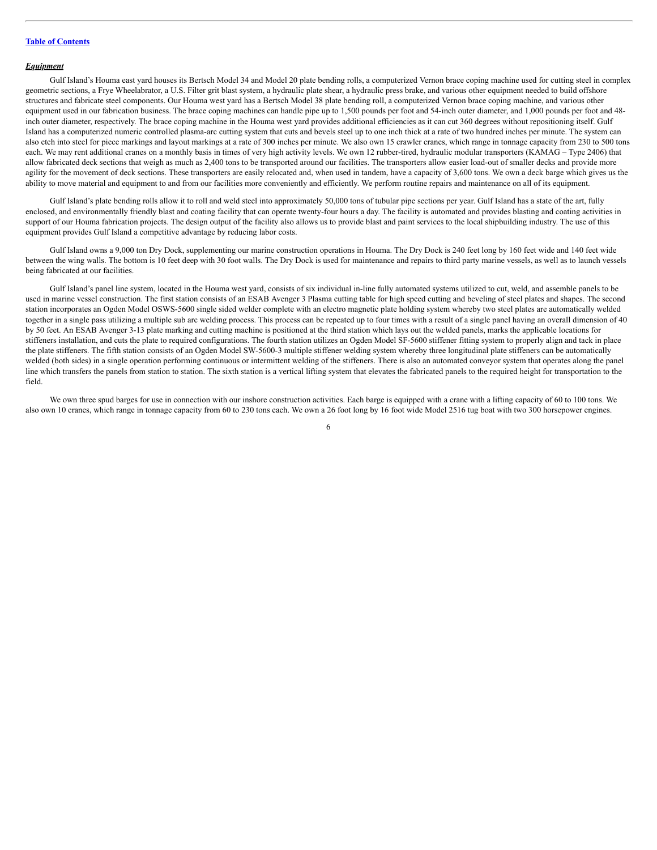#### *Equipment*

Gulf Island's Houma east yard houses its Bertsch Model 34 and Model 20 plate bending rolls, a computerized Vernon brace coping machine used for cutting steel in complex geometric sections, a Frye Wheelabrator, a U.S. Filter grit blast system, a hydraulic plate shear, a hydraulic press brake, and various other equipment needed to build offshore structures and fabricate steel components. Our Houma west yard has a Bertsch Model 38 plate bending roll, a computerized Vernon brace coping machine, and various other equipment used in our fabrication business. The brace coping machines can handle pipe up to 1,500 pounds per foot and 54-inch outer diameter, and 1,000 pounds per foot and 48inch outer diameter, respectively. The brace coping machine in the Houma west yard provides additional efficiencies as it can cut 360 degrees without repositioning itself. Gulf Island has a computerized numeric controlled plasma-arc cutting system that cuts and bevels steel up to one inch thick at a rate of two hundred inches per minute. The system can also etch into steel for piece markings and layout markings at a rate of 300 inches per minute. We also own 15 crawler cranes, which range in tonnage capacity from 230 to 500 tons each. We may rent additional cranes on a monthly basis in times of very high activity levels. We own 12 rubber-tired, hydraulic modular transporters (KAMAG – Type 2406) that allow fabricated deck sections that weigh as much as 2,400 tons to be transported around our facilities. The transporters allow easier load-out of smaller decks and provide more agility for the movement of deck sections. These transporters are easily relocated and, when used in tandem, have a capacity of 3,600 tons. We own a deck barge which gives us the ability to move material and equipment to and from our facilities more conveniently and efficiently. We perform routine repairs and maintenance on all of its equipment.

Gulf Island's plate bending rolls allow it to roll and weld steel into approximately 50,000 tons of tubular pipe sections per year. Gulf Island has a state of the art, fully enclosed, and environmentally friendly blast and coating facility that can operate twenty-four hours a day. The facility is automated and provides blasting and coating activities in support of our Houma fabrication projects. The design output of the facility also allows us to provide blast and paint services to the local shipbuilding industry. The use of this equipment provides Gulf Island a competitive advantage by reducing labor costs.

Gulf Island owns a 9,000 ton Dry Dock, supplementing our marine construction operations in Houma. The Dry Dock is 240 feet long by 160 feet wide and 140 feet wide between the wing walls. The bottom is 10 feet deep with 30 foot walls. The Dry Dock is used for maintenance and repairs to third party marine vessels, as well as to launch vessels being fabricated at our facilities.

Gulf Island's panel line system, located in the Houma west yard, consists of six individual in-line fully automated systems utilized to cut, weld, and assemble panels to be used in marine vessel construction. The first station consists of an ESAB Avenger 3 Plasma cutting table for high speed cutting and beveling of steel plates and shapes. The second station incorporates an Ogden Model OSWS-5600 single sided welder complete with an electro magnetic plate holding system whereby two steel plates are automatically welded together in a single pass utilizing a multiple sub arc welding process. This process can be repeated up to four times with a result of a single panel having an overall dimension of 40 by 50 feet. An ESAB Avenger 3-13 plate marking and cutting machine is positioned at the third station which lays out the welded panels, marks the applicable locations for stiffeners installation, and cuts the plate to required configurations. The fourth station utilizes an Ogden Model SF-5600 stiffener fitting system to properly align and tack in place the plate stiffeners. The fifth station consists of an Ogden Model SW-5600-3 multiple stiffener welding system whereby three longitudinal plate stiffeners can be automatically welded (both sides) in a single operation performing continuous or intermittent welding of the stiffeners. There is also an automated conveyor system that operates along the panel line which transfers the panels from station to station. The sixth station is a vertical lifting system that elevates the fabricated panels to the required height for transportation to the field.

We own three spud barges for use in connection with our inshore construction activities. Each barge is equipped with a crane with a lifting capacity of 60 to 100 tons. We also own 10 cranes, which range in tonnage capacity from 60 to 230 tons each. We own a 26 foot long by 16 foot wide Model 2516 tug boat with two 300 horsepower engines.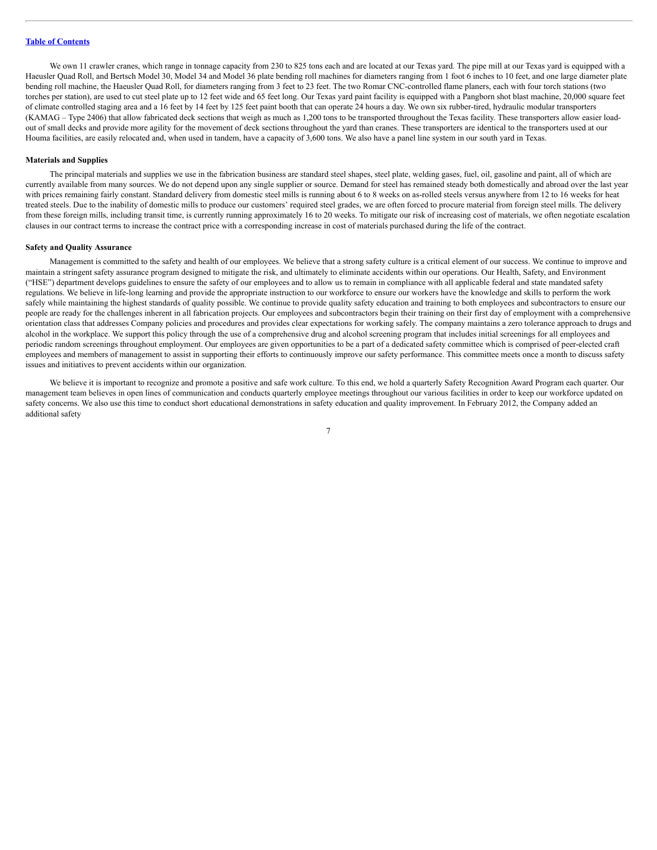We own 11 crawler cranes, which range in tonnage capacity from 230 to 825 tons each and are located at our Texas yard. The pipe mill at our Texas yard is equipped with a Haeusler Quad Roll, and Bertsch Model 30, Model 34 and Model 36 plate bending roll machines for diameters ranging from 1 foot 6 inches to 10 feet, and one large diameter plate bending roll machine, the Haeusler Quad Roll, for diameters ranging from 3 feet to 23 feet. The two Romar CNC-controlled flame planers, each with four torch stations (two torches per station), are used to cut steel plate up to 12 feet wide and 65 feet long. Our Texas vard paint facility is equipped with a Pangborn shot blast machine, 20,000 square feet of climate controlled staging area and a 16 feet by 14 feet by 125 feet paint booth that can operate 24 hours a day. We own six rubber-tired, hydraulic modular transporters (KAMAG – Type 2406) that allow fabricated deck sections that weigh as much as 1,200 tons to be transported throughout the Texas facility. These transporters allow easier loadout of small decks and provide more agility for the movement of deck sections throughout the yard than cranes. These transporters are identical to the transporters used at our Houma facilities, are easily relocated and, when used in tandem, have a capacity of 3,600 tons. We also have a panel line system in our south yard in Texas.

#### **Materials and Supplies**

The principal materials and supplies we use in the fabrication business are standard steel shapes, steel plate, welding gases, fuel, oil, gasoline and paint, all of which are currently available from many sources. We do not depend upon any single supplier or source. Demand for steel has remained steady both domestically and abroad over the last year with prices remaining fairly constant. Standard delivery from domestic steel mills is running about 6 to 8 weeks on as-rolled steels versus anywhere from 12 to 16 weeks for heat treated steels. Due to the inability of domestic mills to produce our customers' required steel grades, we are often forced to procure material from foreign steel mills. The delivery from these foreign mills, including transit time, is currently running approximately 16 to 20 weeks. To mitigate our risk of increasing cost of materials, we often negotiate escalation clauses in our contract terms to increase the contract price with a corresponding increase in cost of materials purchased during the life of the contract.

### **Safety and Quality Assurance**

Management is committed to the safety and health of our employees. We believe that a strong safety culture is a critical element of our success. We continue to improve and maintain a stringent safety assurance program designed to mitigate the risk, and ultimately to eliminate accidents within our operations. Our Health, Safety, and Environment ("HSE") department develops guidelines to ensure the safety of our employees and to allow us to remain in compliance with all applicable federal and state mandated safety regulations. We believe in life-long learning and provide the appropriate instruction to our workforce to ensure our workers have the knowledge and skills to perform the work safely while maintaining the highest standards of quality possible. We continue to provide quality safety education and training to both employees and subcontractors to ensure our people are ready for the challenges inherent in all fabrication projects. Our employees and subcontractors begin their training on their first day of employment with a comprehensive orientation class that addresses Company policies and procedures and provides clear expectations for working safely. The company maintains a zero tolerance approach to drugs and alcohol in the workplace. We support this policy through the use of a comprehensive drug and alcohol screening program that includes initial screenings for all employees and periodic random screenings throughout employment. Our employees are given opportunities to be a part of a dedicated safety committee which is comprised of peer-elected craft employees and members of management to assist in supporting their efforts to continuously improve our safety performance. This committee meets once a month to discuss safety issues and initiatives to prevent accidents within our organization.

We believe it is important to recognize and promote a positive and safe work culture. To this end, we hold a quarterly Safety Recognition Award Program each quarter. Our management team believes in open lines of communication and conducts quarterly employee meetings throughout our various facilities in order to keep our workforce updated on safety concerns. We also use this time to conduct short educational demonstrations in safety education and quality improvement. In February 2012, the Company added an additional safety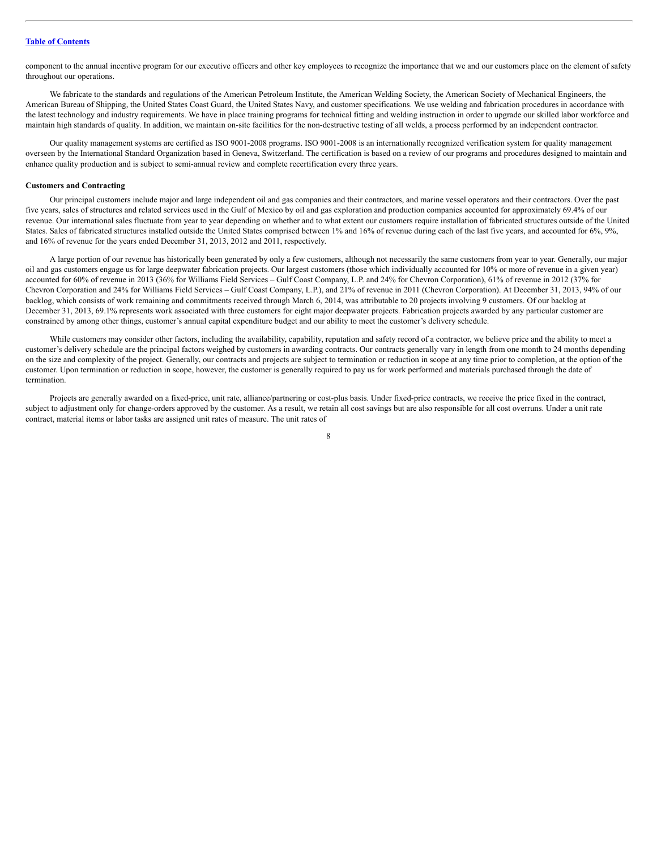component to the annual incentive program for our executive officers and other key employees to recognize the importance that we and our customers place on the element of safety throughout our operations.

We fabricate to the standards and regulations of the American Petroleum Institute, the American Welding Society, the American Society of Mechanical Engineers, the American Bureau of Shipping, the United States Coast Guard, the United States Navy, and customer specifications. We use welding and fabrication procedures in accordance with the latest technology and industry requirements. We have in place training programs for technical fitting and welding instruction in order to upgrade our skilled labor workforce and maintain high standards of quality. In addition, we maintain on-site facilities for the non-destructive testing of all welds, a process performed by an independent contractor.

Our quality management systems are certified as ISO 9001-2008 programs. ISO 9001-2008 is an internationally recognized verification system for quality management overseen by the International Standard Organization based in Geneva, Switzerland. The certification is based on a review of our programs and procedures designed to maintain and enhance quality production and is subject to semi-annual review and complete recertification every three years.

#### **Customers and Contracting**

Our principal customers include major and large independent oil and gas companies and their contractors, and marine vessel operators and their contractors. Over the past five years, sales of structures and related services used in the Gulf of Mexico by oil and gas exploration and production companies accounted for approximately 69.4% of our revenue. Our international sales fluctuate from year to year depending on whether and to what extent our customers require installation of fabricated structures outside of the United States. Sales of fabricated structures installed outside the United States comprised between 1% and 16% of revenue during each of the last five years, and accounted for 6%, 9%, and 16% of revenue for the years ended December 31, 2013, 2012 and 2011, respectively.

A large portion of our revenue has historically been generated by only a few customers, although not necessarily the same customers from year to year. Generally, our major oil and gas customers engage us for large deepwater fabrication projects. Our largest customers (those which individually accounted for 10% or more of revenue in a given year) accounted for 60% of revenue in 2013 (36% for Williams Field Services – Gulf Coast Company, L.P. and 24% for Chevron Corporation), 61% of revenue in 2012 (37% for Chevron Corporation and 24% for Williams Field Services – Gulf Coast Company, L.P.), and 21% of revenue in 2011 (Chevron Corporation). At December 31, 2013, 94% of our backlog, which consists of work remaining and commitments received through March 6, 2014, was attributable to 20 projects involving 9 customers. Of our backlog at December 31, 2013, 69.1% represents work associated with three customers for eight major deepwater projects. Fabrication projects awarded by any particular customer are constrained by among other things, customer's annual capital expenditure budget and our ability to meet the customer's delivery schedule.

While customers may consider other factors, including the availability, capability, reputation and safety record of a contractor, we believe price and the ability to meet a customer's delivery schedule are the principal factors weighed by customers in awarding contracts. Our contracts generally vary in length from one month to 24 months depending on the size and complexity of the project. Generally, our contracts and projects are subject to termination or reduction in scope at any time prior to completion, at the option of the customer. Upon termination or reduction in scope, however, the customer is generally required to pay us for work performed and materials purchased through the date of termination.

Projects are generally awarded on a fixed-price, unit rate, alliance/partnering or cost-plus basis. Under fixed-price contracts, we receive the price fixed in the contract, subject to adjustment only for change-orders approved by the customer. As a result, we retain all cost avings but are also responsible for all cost overruns. Under a unit rate contract, material items or labor tasks are assigned unit rates of measure. The unit rates of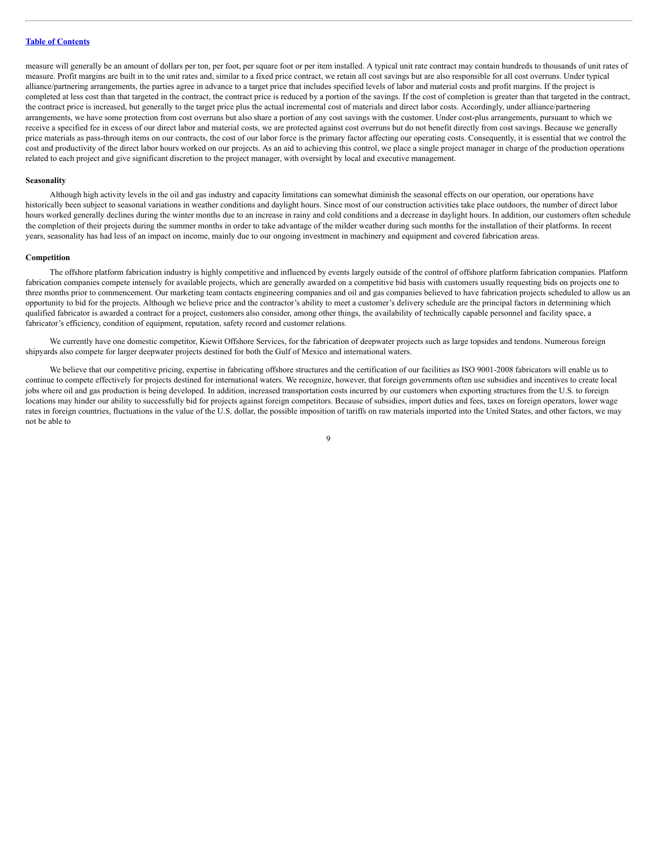measure will generally be an amount of dollars per ton, per foot, per square foot or per item installed. A typical unit rate contract may contain hundreds to thousands of unit rates of measure. Profit margins are built in to the unit rates and, similar to a fixed price contract, we retain all cost savings but are also responsible for all cost overruns. Under typical alliance/partnering arrangements, the parties agree in advance to a target price that includes specified levels of labor and material costs and profit margins. If the project is completed at less cost than that targeted in the contract, the contract price is reduced by a portion of the savings. If the cost of completion is greater than that targeted in the contract, the contract price is increased, but generally to the target price plus the actual incremental cost of materials and direct labor costs. Accordingly, under alliance/partnering arrangements, we have some protection from cost overruns but also share a portion of any cost savings with the customer. Under cost-plus arrangements, pursuant to which we receive a specified fee in excess of our direct labor and material costs, we are protected against cost overruns but do not benefit directly from cost savings. Because we generally price materials as pass-through items on our contracts, the cost of our labor force is the primary factor affecting our operating costs. Consequently, it is essential that we control the cost and productivity of the direct labor hours worked on our projects. As an aid to achieving this control, we place a single project manager in charge of the production operations related to each project and give significant discretion to the project manager, with oversight by local and executive management.

#### **Seasonality**

Although high activity levels in the oil and gas industry and capacity limitations can somewhat diminish the seasonal effects on our operation, our operations have historically been subject to seasonal variations in weather conditions and daylight hours. Since most of our construction activities take place outdoors, the number of direct labor hours worked generally declines during the winter months due to an increase in rainy and cold conditions and a decrease in daylight hours. In addition, our customers often schedule the completion of their projects during the summer months in order to take advantage of the milder weather during such months for the installation of their platforms. In recent years, seasonality has had less of an impact on income, mainly due to our ongoing investment in machinery and equipment and covered fabrication areas.

### **Competition**

The offshore platform fabrication industry is highly competitive and influenced by events largely outside of the control of offshore platform fabrication companies. Platform fabrication companies compete intensely for available projects, which are generally awarded on a competitive bid basis with customers usually requesting bids on projects one to three months prior to commencement. Our marketing team contacts engineering companies and oil and gas companies believed to have fabrication projects scheduled to allow us an opportunity to bid for the projects. Although we believe price and the contractor's ability to meet a customer's delivery schedule are the principal factors in determining which qualified fabricator is awarded a contract for a project, customers also consider, among other things, the availability of technically capable personnel and facility space, a fabricator's efficiency, condition of equipment, reputation, safety record and customer relations.

We currently have one domestic competitor, Kiewit Offshore Services, for the fabrication of deepwater projects such as large topsides and tendons. Numerous foreign shipyards also compete for larger deepwater projects destined for both the Gulf of Mexico and international waters.

We believe that our competitive pricing, expertise in fabricating offshore structures and the certification of our facilities as ISO 9001-2008 fabricators will enable us to continue to compete effectively for projects destined for international waters. We recognize, however, that foreign governments often use subsidies and incentives to create local jobs where oil and gas production is being developed. In addition, increased transportation costs incurred by our customers when exporting structures from the U.S. to foreign locations may hinder our ability to successfully bid for projects against foreign competitors. Because of subsidies, import duties and fees, taxes on foreign operators, lower wage rates in foreign countries, fluctuations in the value of the U.S. dollar, the possible imposition of tariffs on raw materials imported into the United States, and other factors, we may not be able to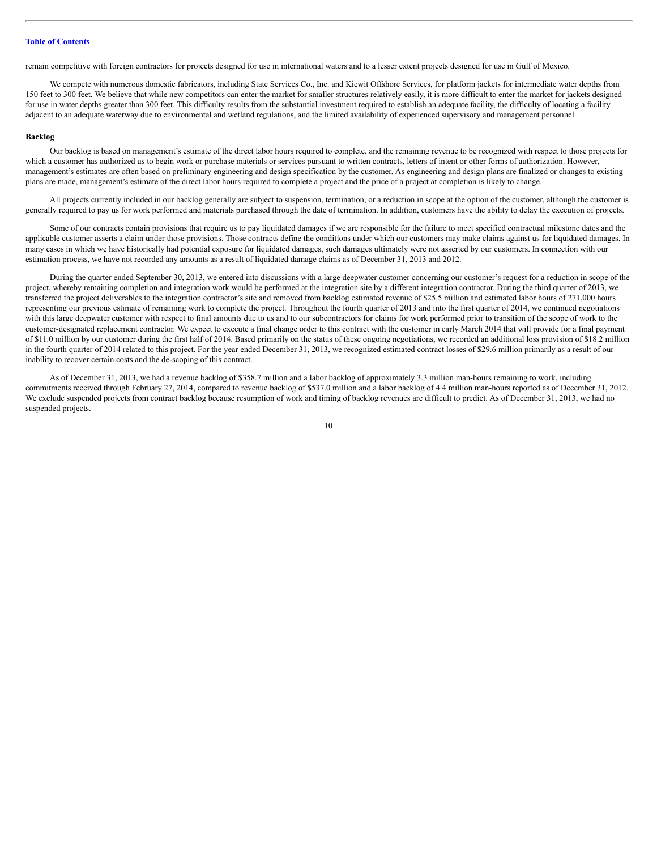remain competitive with foreign contractors for projects designed for use in international waters and to a lesser extent projects designed for use in Gulf of Mexico.

We compete with numerous domestic fabricators, including State Services Co., Inc. and Kiewit Offshore Services, for platform jackets for intermediate water depths from 150 feet to 300 feet. We believe that while new competitors can enter the market for smaller structures relatively easily, it is more difficult to enter the market for jackets designed for use in water depths greater than 300 feet. This difficulty results from the substantial investment required to establish an adequate facility, the difficulty of locating a facility adjacent to an adequate waterway due to environmental and wetland regulations, and the limited availability of experienced supervisory and management personnel.

#### **Backlog**

Our backlog is based on management's estimate of the direct labor hours required to complete, and the remaining revenue to be recognized with respect to those projects for which a customer has authorized us to begin work or purchase materials or services pursuant to written contracts, letters of intent or other forms of authorization. However, management's estimates are often based on preliminary engineering and design specification by the customer. As engineering and design plans are finalized or changes to existing plans are made, management's estimate of the direct labor hours required to complete a project and the price of a project at completion is likely to change.

All projects currently included in our backlog generally are subject to suspension, termination, or a reduction in scope at the option of the customer, although the customer is generally required to pay us for work performed and materials purchased through the date of termination. In addition, customers have the ability to delay the execution of projects.

Some of our contracts contain provisions that require us to pay liquidated damages if we are responsible for the failure to meet specified contractual milestone dates and the applicable customer asserts a claim under those provisions. Those contracts define the conditions under which our customers may make claims against us for liquidated damages. In many cases in which we have historically had potential exposure for liquidated damages, such damages ultimately were not asserted by our customers. In connection with our estimation process, we have not recorded any amounts as a result of liquidated damage claims as of December 31, 2013 and 2012.

During the quarter ended September 30, 2013, we entered into discussions with a large deepwater customer concerning our customer's request for a reduction in scope of the project, whereby remaining completion and integration work would be performed at the integration site by a different integration contractor. During the third quarter of 2013, we transferred the project deliverables to the integration contractor's site and removed from backlog estimated revenue of \$25.5 million and estimated labor hours of 271,000 hours representing our previous estimate of remaining work to complete the project. Throughout the fourth quarter of 2013 and into the first quarter of 2014, we continued negotiations with this large deepwater customer with respect to final amounts due to us and to our subcontractors for claims for work performed prior to transition of the scope of work to the customer-designated replacement contractor. We expect to execute a final change order to this contract with the customer in early March 2014 that will provide for a final payment of \$11.0 million by our customer during the first half of 2014. Based primarily on the status of these ongoing negotiations, we recorded an additional loss provision of \$18.2 million in the fourth quarter of 2014 related to this project. For the year ended December 31, 2013, we recognized estimated contract losses of \$29.6 million primarily as a result of our inability to recover certain costs and the de-scoping of this contract.

As of December 31, 2013, we had a revenue backlog of \$358.7 million and a labor backlog of approximately 3.3 million man-hours remaining to work, including commitments received through February 27, 2014, compared to revenue backlog of \$537.0 million and a labor backlog of 4.4 million man-hours reported as of December 31, 2012. We exclude suspended projects from contract backlog because resumption of work and timing of backlog revenues are difficult to predict. As of December 31, 2013, we had no suspended projects.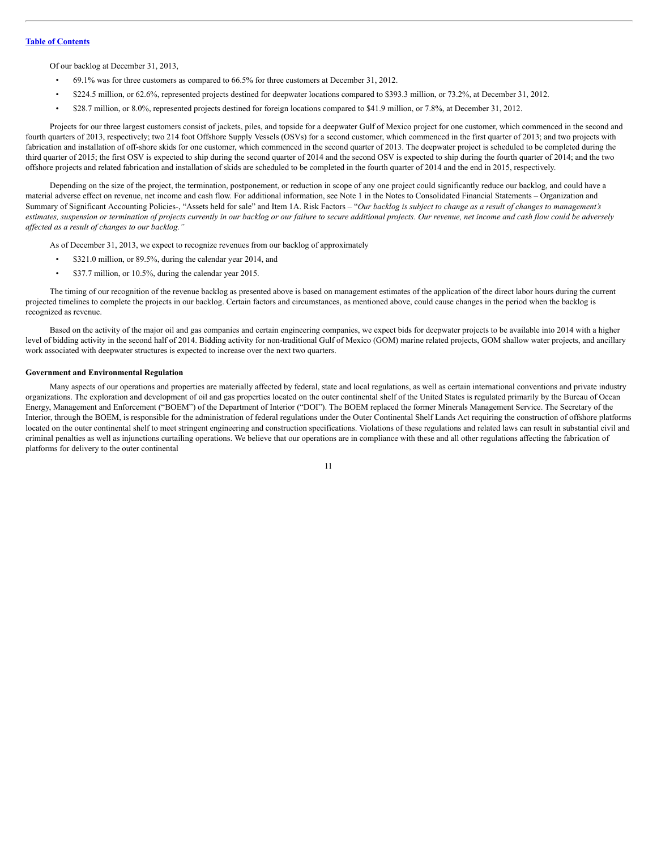Of our backlog at December 31, 2013,

- 69.1% was for three customers as compared to 66.5% for three customers at December 31, 2012.
- \$224.5 million, or 62.6%, represented projects destined for deepwater locations compared to \$393.3 million, or 73.2%, at December 31, 2012.
- \$28.7 million, or 8.0%, represented projects destined for foreign locations compared to \$41.9 million, or 7.8%, at December 31, 2012.

Projects for our three largest customers consist of jackets, piles, and topside for a deepwater Gulf of Mexico project for one customer, which commenced in the second and fourth quarters of 2013, respectively; two 214 foot Offshore Supply Vessels (OSVs) for a second customer, which commenced in the first quarter of 2013; and two projects with fabrication and installation of off-shore skids for one customer, which commenced in the second quarter of 2013. The deepwater project is scheduled to be completed during the third quarter of 2015; the first OSV is expected to ship during the second quarter of 2014 and the second OSV is expected to ship during the fourth quarter of 2014; and the two offshore projects and related fabrication and installation of skids are scheduled to be completed in the fourth quarter of 2014 and the end in 2015, respectively.

Depending on the size of the project, the termination, postponement, or reduction in scope of any one project could significantly reduce our backlog, and could have a material adverse effect on revenue, net income and cash flow. For additional information, see Note 1 in the Notes to Consolidated Financial Statements – Organization and Summary of Significant Accounting Policies-, "Assets held for sale" and Item 1A. Risk Factors – "*Our backlog is subject to change as a result of changes to management's estimates, suspension or termination of projects currently in our backlog or our failure to secure additional projects. Our revenue, net income and cash flow could be adversely affected as a result of changes to our backlog."*

As of December 31, 2013, we expect to recognize revenues from our backlog of approximately

- \$321.0 million, or 89.5%, during the calendar year 2014, and
- \$37.7 million, or 10.5%, during the calendar year 2015.

The timing of our recognition of the revenue backlog as presented above is based on management estimates of the application of the direct labor hours during the current projected timelines to complete the projects in our backlog. Certain factors and circumstances, as mentioned above, could cause changes in the period when the backlog is recognized as revenue.

Based on the activity of the major oil and gas companies and certain engineering companies, we expect bids for deepwater projects to be available into 2014 with a higher level of bidding activity in the second half of 2014. Bidding activity for non-traditional Gulf of Mexico (GOM) marine related projects, GOM shallow water projects, and ancillary work associated with deepwater structures is expected to increase over the next two quarters.

### **Government and Environmental Regulation**

Many aspects of our operations and properties are materially affected by federal, state and local regulations, as well as certain international conventions and private industry organizations. The exploration and development of oil and gas properties located on the outer continental shelf of the United States is regulated primarily by the Bureau of Ocean Energy, Management and Enforcement ("BOEM") of the Department of Interior ("DOI"). The BOEM replaced the former Minerals Management Service. The Secretary of the Interior, through the BOEM, is responsible for the administration of federal regulations under the Outer Continental Shelf Lands Act requiring the construction of offshore platforms located on the outer continental shelf to meet stringent engineering and construction specifications. Violations of these regulations and related laws can result in substantial civil and criminal penalties as well as injunctions curtailing operations. We believe that our operations are in compliance with these and all other regulations affecting the fabrication of platforms for delivery to the outer continental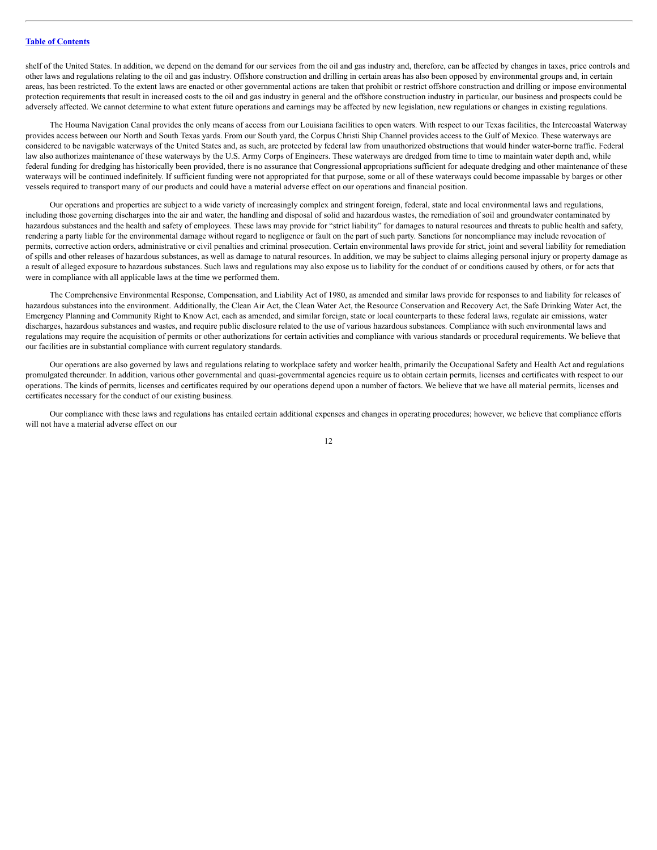shelf of the United States. In addition, we depend on the demand for our services from the oil and gas industry and, therefore, can be affected by changes in taxes, price controls and other laws and regulations relating to the oil and gas industry. Offshore construction and drilling in certain areas has also been opposed by environmental groups and, in certain areas, has been restricted. To the extent laws are enacted or other governmental actions are taken that prohibit or restrict offshore construction and drilling or impose environmental protection requirements that result in increased costs to the oil and gas industry in general and the offshore construction industry in particular, our business and prospects could be adversely affected. We cannot determine to what extent future operations and earnings may be affected by new legislation, new regulations or changes in existing regulations.

The Houma Navigation Canal provides the only means of access from our Louisiana facilities to open waters. With respect to our Texas facilities, the Intercoastal Waterway provides access between our North and South Texas yards. From our South yard, the Corpus Christi Ship Channel provides access to the Gulf of Mexico. These waterways are considered to be navigable waterways of the United States and, as such, are protected by federal law from unauthorized obstructions that would hinder water-borne traffic. Federal law also authorizes maintenance of these waterways by the U.S. Army Corps of Engineers. These waterways are dredged from time to time to maintain water depth and, while federal funding for dredging has historically been provided, there is no assurance that Congressional appropriations sufficient for adequate dredging and other maintenance of these waterways will be continued indefinitely. If sufficient funding were not appropriated for that purpose, some or all of these waterways could become impassable by barges or other vessels required to transport many of our products and could have a material adverse effect on our operations and financial position.

Our operations and properties are subject to a wide variety of increasingly complex and stringent foreign, federal, state and local environmental laws and regulations, including those governing discharges into the air and water, the handling and disposal of solid and hazardous wastes, the remediation of soil and groundwater contaminated by hazardous substances and the health and safety of employees. These laws may provide for "strict liability" for damages to natural resources and threats to public health and safety, rendering a party liable for the environmental damage without regard to negligence or fault on the part of such party. Sanctions for noncompliance may include revocation of permits, corrective action orders, administrative or civil penalties and criminal prosecution. Certain environmental laws provide for strict, joint and several liability for remediation of spills and other releases of hazardous substances, as well as damage to natural resources. In addition, we may be subject to claims alleging personal injury or property damage as a result of alleged exposure to hazardous substances. Such laws and regulations may also expose us to liability for the conduct of or conditions caused by others, or for acts that were in compliance with all applicable laws at the time we performed them.

The Comprehensive Environmental Response, Compensation, and Liability Act of 1980, as amended and similar laws provide for responses to and liability for releases of hazardous substances into the environment. Additionally, the Clean Air Act, the Clean Water Act, the Resource Conservation and Recovery Act, the Safe Drinking Water Act, the Emergency Planning and Community Right to Know Act, each as amended, and similar foreign, state or local counterparts to these federal laws, regulate air emissions, water discharges, hazardous substances and wastes, and require public disclosure related to the use of various hazardous substances. Compliance with such environmental laws and regulations may require the acquisition of permits or other authorizations for certain activities and compliance with various standards or procedural requirements. We believe that our facilities are in substantial compliance with current regulatory standards.

Our operations are also governed by laws and regulations relating to workplace safety and worker health, primarily the Occupational Safety and Health Act and regulations promulgated thereunder. In addition, various other governmental and quasi-governmental agencies require us to obtain certain permits, licenses and certificates with respect to our operations. The kinds of permits, licenses and certificates required by our operations depend upon a number of factors. We believe that we have all material permits, licenses and certificates necessary for the conduct of our existing business.

Our compliance with these laws and regulations has entailed certain additional expenses and changes in operating procedures; however, we believe that compliance efforts will not have a material adverse effect on our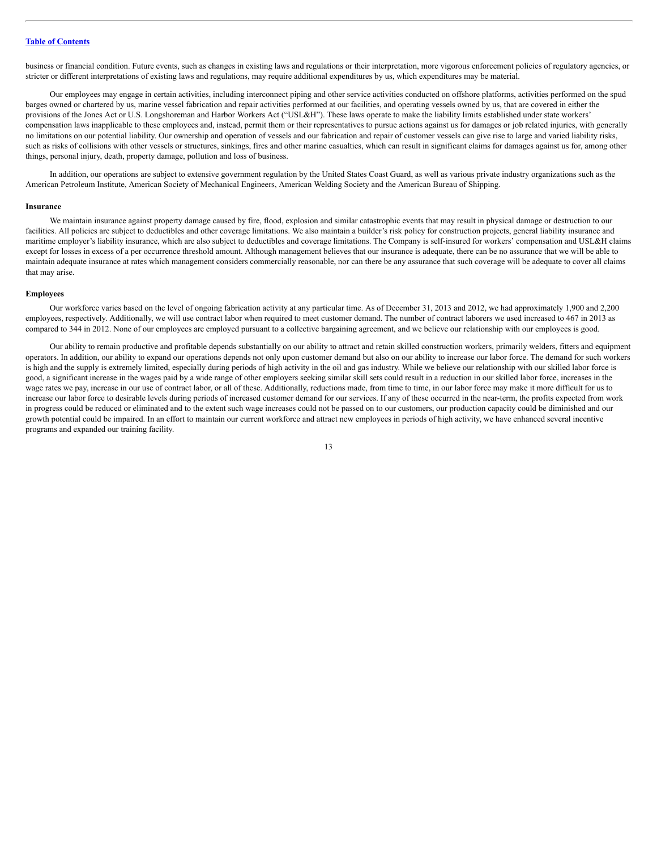business or financial condition. Future events, such as changes in existing laws and regulations or their interpretation, more vigorous enforcement policies of regulatory agencies, or stricter or different interpretations of existing laws and regulations, may require additional expenditures by us, which expenditures may be material.

Our employees may engage in certain activities, including interconnect piping and other service activities conducted on offshore platforms, activities performed on the spud barges owned or chartered by us, marine vessel fabrication and repair activities performed at our facilities, and operating vessels owned by us, that are covered in either the provisions of the Jones Act or U.S. Longshoreman and Harbor Workers Act ("USL&H"). These laws operate to make the liability limits established under state workers' compensation laws inapplicable to these employees and, instead, permit them or their representatives to pursue actions against us for damages or job related injuries, with generally no limitations on our potential liability. Our ownership and operation of vessels and our fabrication and repair of customer vessels can give rise to large and varied liability risks, such as risks of collisions with other vessels or structures, sinkings, fires and other marine casualties, which can result in significant claims for damages against us for, among other things, personal injury, death, property damage, pollution and loss of business.

In addition, our operations are subject to extensive government regulation by the United States Coast Guard, as well as various private industry organizations such as the American Petroleum Institute, American Society of Mechanical Engineers, American Welding Society and the American Bureau of Shipping.

#### **Insurance**

We maintain insurance against property damage caused by fire, flood, explosion and similar catastrophic events that may result in physical damage or destruction to our facilities. All policies are subject to deductibles and other coverage limitations. We also maintain a builder's risk policy for construction projects, general liability insurance and maritime employer's liability insurance, which are also subject to deductibles and coverage limitations. The Company is self-insured for workers' compensation and USL&H claims except for losses in excess of a per occurrence threshold amount. Although management believes that our insurance is adequate, there can be no assurance that we will be able to maintain adequate insurance at rates which management considers commercially reasonable, nor can there be any assurance that such coverage will be adequate to cover all claims that may arise.

### **Employees**

Our workforce varies based on the level of ongoing fabrication activity at any particular time. As of December 31, 2013 and 2012, we had approximately 1,900 and 2,200 employees, respectively. Additionally, we will use contract labor when required to meet customer demand. The number of contract laborers we used increased to 467 in 2013 as compared to 344 in 2012. None of our employees are employed pursuant to a collective bargaining agreement, and we believe our relationship with our employees is good.

Our ability to remain productive and profitable depends substantially on our ability to attract and retain skilled construction workers, primarily welders, fitters and equipment operators. In addition, our ability to expand our operations depends not only upon customer demand but also on our ability to increase our labor force. The demand for such workers is high and the supply is extremely limited, especially during periods of high activity in the oil and gas industry. While we believe our relationship with our skilled labor force is good, a significant increase in the wages paid by a wide range of other employers seeking similar skill sets could result in a reduction in our skilled labor force, increases in the wage rates we pay, increase in our use of contract labor, or all of these. Additionally, reductions made, from time to time, in our labor force may make it more difficult for us to increase our labor force to desirable levels during periods of increased customer demand for our services. If any of these occurred in the near-term, the profits expected from work in progress could be reduced or eliminated and to the extent such wage increases could not be passed on to our customers, our production capacity could be diminished and our growth potential could be impaired. In an effort to maintain our current workforce and attract new employees in periods of high activity, we have enhanced several incentive programs and expanded our training facility.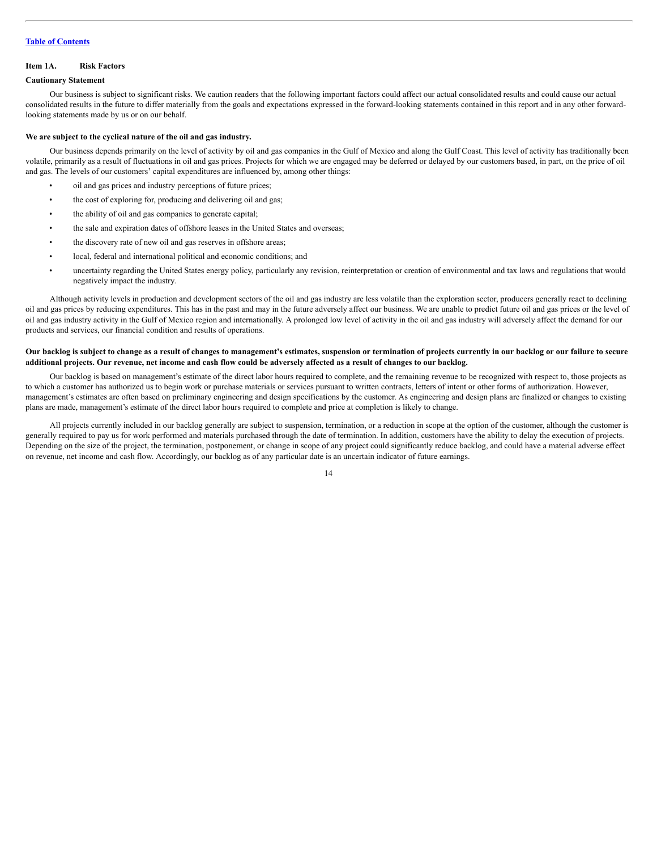#### <span id="page-15-0"></span>**Item 1A. Risk Factors**

# **Cautionary Statement**

Our business is subject to significant risks. We caution readers that the following important factors could affect our actual consolidated results and could cause our actual consolidated results in the future to differ materially from the goals and expectations expressed in the forward-looking statements contained in this report and in any other forwardlooking statements made by us or on our behalf.

### **We are subject to the cyclical nature of the oil and gas industry.**

Our business depends primarily on the level of activity by oil and gas companies in the Gulf of Mexico and along the Gulf Coast. This level of activity has traditionally been volatile, primarily as a result of fluctuations in oil and gas prices. Projects for which we are engaged may be deferred or delayed by our customers based, in part, on the price of oil and gas. The levels of our customers' capital expenditures are influenced by, among other things:

- oil and gas prices and industry perceptions of future prices;
- the cost of exploring for, producing and delivering oil and gas;
- the ability of oil and gas companies to generate capital;
- the sale and expiration dates of offshore leases in the United States and overseas;
- the discovery rate of new oil and gas reserves in offshore areas;
- local, federal and international political and economic conditions; and
- uncertainty regarding the United States energy policy, particularly any revision, reinterpretation or creation of environmental and tax laws and regulations that would negatively impact the industry.

Although activity levels in production and development sectors of the oil and gas industry are less volatile than the exploration sector, producers generally react to declining oil and gas prices by reducing expenditures. This has in the past and may in the future adversely affect our business. We are unable to predict future oil and gas prices or the level of oil and gas industry activity in the Gulf of Mexico region and internationally. A prolonged low level of activity in the oil and gas industry will adversely affect the demand for our products and services, our financial condition and results of operations.

# **Our backlog is subject to change as a result of changes to management's estimates, suspension or termination of projects currently in our backlog or our failure to secure additional projects. Our revenue, net income and cash flow could be adversely affected as a result of changes to our backlog.**

Our backlog is based on management's estimate of the direct labor hours required to complete, and the remaining revenue to be recognized with respect to, those projects as to which a customer has authorized us to begin work or purchase materials or services pursuant to written contracts, letters of intent or other forms of authorization. However, management's estimates are often based on preliminary engineering and design specifications by the customer. As engineering and design plans are finalized or changes to existing plans are made, management's estimate of the direct labor hours required to complete and price at completion is likely to change.

All projects currently included in our backlog generally are subject to suspension, termination, or a reduction in scope at the option of the customer, although the customer is generally required to pay us for work performed and materials purchased through the date of termination. In addition, customers have the ability to delay the execution of projects. Depending on the size of the project, the termination, postponement, or change in scope of any project could significantly reduce backlog, and could have a material adverse effect on revenue, net income and cash flow. Accordingly, our backlog as of any particular date is an uncertain indicator of future earnings.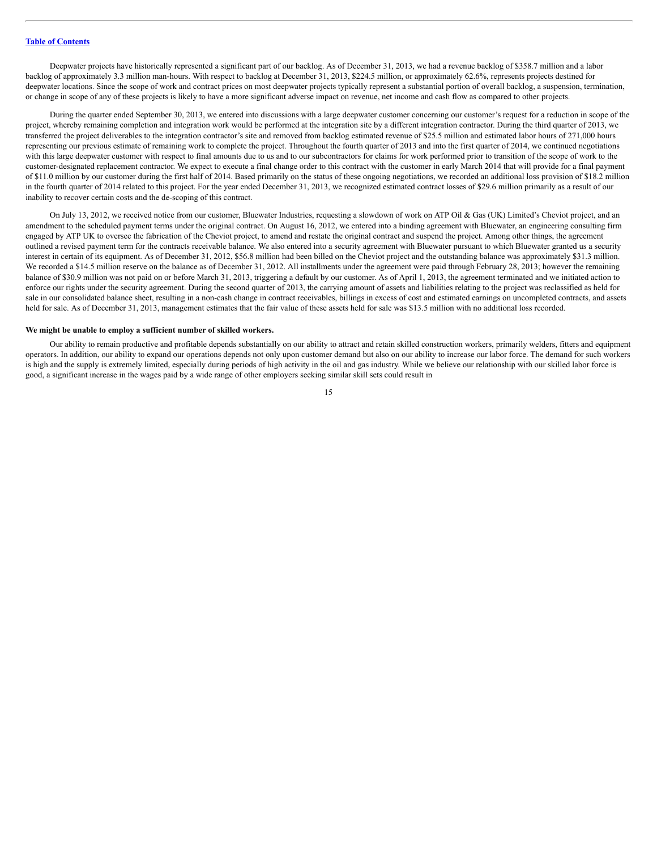Deepwater projects have historically represented a significant part of our backlog. As of December 31, 2013, we had a revenue backlog of \$358.7 million and a labor backlog of approximately 3.3 million man-hours. With respect to backlog at December 31, 2013, \$224.5 million, or approximately 62.6%, represents projects destined for deepwater locations. Since the scope of work and contract prices on most deepwater projects typically represent a substantial portion of overall backlog, a suspension, termination, or change in scope of any of these projects is likely to have a more significant adverse impact on revenue, net income and cash flow as compared to other projects.

During the quarter ended September 30, 2013, we entered into discussions with a large deepwater customer concerning our customer's request for a reduction in scope of the project, whereby remaining completion and integration work would be performed at the integration site by a different integration contractor. During the third quarter of 2013, we transferred the project deliverables to the integration contractor's site and removed from backlog estimated revenue of \$25.5 million and estimated labor hours of 271,000 hours representing our previous estimate of remaining work to complete the project. Throughout the fourth quarter of 2013 and into the first quarter of 2014, we continued negotiations with this large deepwater customer with respect to final amounts due to us and to our subcontractors for claims for work performed prior to transition of the scope of work to the customer-designated replacement contractor. We expect to execute a final change order to this contract with the customer in early March 2014 that will provide for a final payment of \$11.0 million by our customer during the first half of 2014. Based primarily on the status of these ongoing negotiations, we recorded an additional loss provision of \$18.2 million in the fourth quarter of 2014 related to this project. For the year ended December 31, 2013, we recognized estimated contract losses of \$29.6 million primarily as a result of our inability to recover certain costs and the de-scoping of this contract.

On July 13, 2012, we received notice from our customer, Bluewater Industries, requesting a slowdown of work on ATP Oil & Gas (UK) Limited's Cheviot project, and an amendment to the scheduled payment terms under the original contract. On August 16, 2012, we entered into a binding agreement with Bluewater, an engineering consulting firm engaged by ATP UK to oversee the fabrication of the Cheviot project, to amend and restate the original contract and suspend the project. Among other things, the agreement outlined a revised payment term for the contracts receivable balance. We also entered into a security agreement with Bluewater pursuant to which Bluewater granted us a security interest in certain of its equipment. As of December 31, 2012, \$56.8 million had been billed on the Cheviot project and the outstanding balance was approximately \$31.3 million. We recorded a \$14.5 million reserve on the balance as of December 31, 2012. All installments under the agreement were paid through February 28, 2013; however the remaining balance of \$30.9 million was not paid on or before March 31, 2013, triggering a default by our customer. As of April 1, 2013, the agreement terminated and we initiated action to enforce our rights under the security agreement. During the second quarter of 2013, the carrying amount of assets and liabilities relating to the project was reclassified as held for sale in our consolidated balance sheet, resulting in a non-cash change in contract receivables, billings in excess of cost and estimated earnings on uncompleted contracts, and assets held for sale. As of December 31, 2013, management estimates that the fair value of these assets held for sale was \$13.5 million with no additional loss recorded.

### **We might be unable to employ a sufficient number of skilled workers.**

Our ability to remain productive and profitable depends substantially on our ability to attract and retain skilled construction workers, primarily welders, fitters and equipment operators. In addition, our ability to expand our operations depends not only upon customer demand but also on our ability to increase our labor force. The demand for such workers is high and the supply is extremely limited, especially during periods of high activity in the oil and gas industry. While we believe our relationship with our skilled labor force is good, a significant increase in the wages paid by a wide range of other employers seeking similar skill sets could result in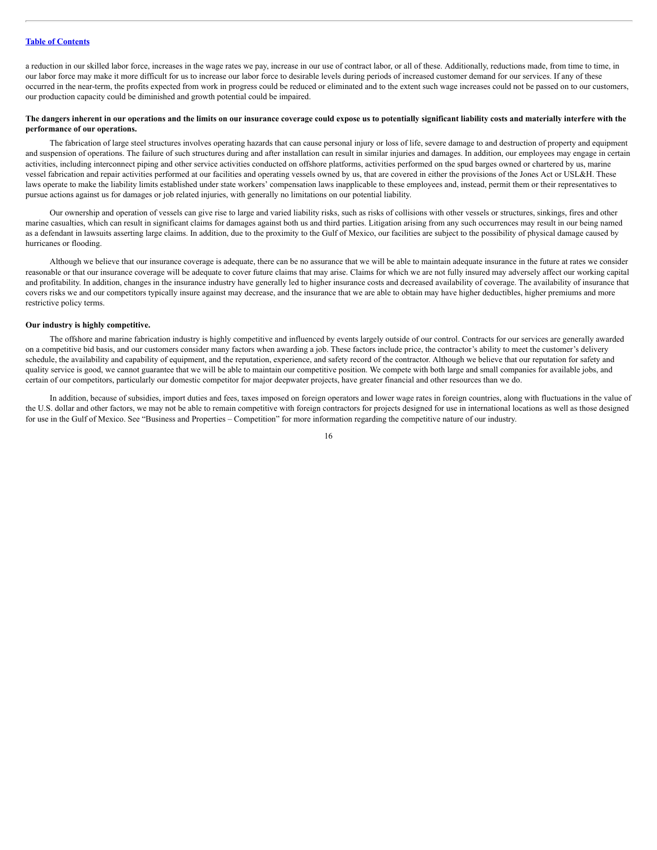a reduction in our skilled labor force, increases in the wage rates we pay, increase in our use of contract labor, or all of these. Additionally, reductions made, from time to time, in our labor force may make it more difficult for us to increase our labor force to desirable levels during periods of increased customer demand for our services. If any of these occurred in the near-term, the profits expected from work in progress could be reduced or eliminated and to the extent such wage increases could not be passed on to our customers, our production capacity could be diminished and growth potential could be impaired.

# **The dangers inherent in our operations and the limits on our insurance coverage could expose us to potentially significant liability costs and materially interfere with the performance of our operations.**

The fabrication of large steel structures involves operating hazards that can cause personal injury or loss of life, severe damage to and destruction of property and equipment and suspension of operations. The failure of such structures during and after installation can result in similar injuries and damages. In addition, our employees may engage in certain activities, including interconnect piping and other service activities conducted on offshore platforms, activities performed on the spud barges owned or chartered by us, marine vessel fabrication and repair activities performed at our facilities and operating vessels owned by us, that are covered in either the provisions of the Jones Act or USL&H. These laws operate to make the liability limits established under state workers' compensation laws inapplicable to these employees and, instead, permit them or their representatives to pursue actions against us for damages or job related injuries, with generally no limitations on our potential liability.

Our ownership and operation of vessels can give rise to large and varied liability risks, such as risks of collisions with other vessels or structures, sinkings, fires and other marine casualties, which can result in significant claims for damages against both us and third parties. Litigation arising from any such occurrences may result in our being named as a defendant in lawsuits asserting large claims. In addition, due to the proximity to the Gulf of Mexico, our facilities are subject to the possibility of physical damage caused by hurricanes or flooding.

Although we believe that our insurance coverage is adequate, there can be no assurance that we will be able to maintain adequate insurance in the future at rates we consider reasonable or that our insurance coverage will be adequate to cover future claims that may arise. Claims for which we are not fully insured may adversely affect our working capital and profitability. In addition, changes in the insurance industry have generally led to higher insurance costs and decreased availability of coverage. The availability of insurance that covers risks we and our competitors typically insure against may decrease, and the insurance that we are able to obtain may have higher deductibles, higher premiums and more restrictive policy terms.

# **Our industry is highly competitive.**

The offshore and marine fabrication industry is highly competitive and influenced by events largely outside of our control. Contracts for our services are generally awarded on a competitive bid basis, and our customers consider many factors when awarding a job. These factors include price, the contractor's ability to meet the customer's delivery schedule, the availability and capability of equipment, and the reputation, experience, and safety record of the contractor. Although we believe that our reputation for safety and quality service is good, we cannot guarantee that we will be able to maintain our competitive position. We compete with both large and small companies for available jobs, and certain of our competitors, particularly our domestic competitor for major deepwater projects, have greater financial and other resources than we do.

In addition, because of subsidies, import duties and fees, taxes imposed on foreign operators and lower wage rates in foreign countries, along with fluctuations in the value of the U.S. dollar and other factors, we may not be able to remain competitive with foreign contractors for projects designed for use in international locations as well as those designed for use in the Gulf of Mexico. See "Business and Properties – Competition" for more information regarding the competitive nature of our industry.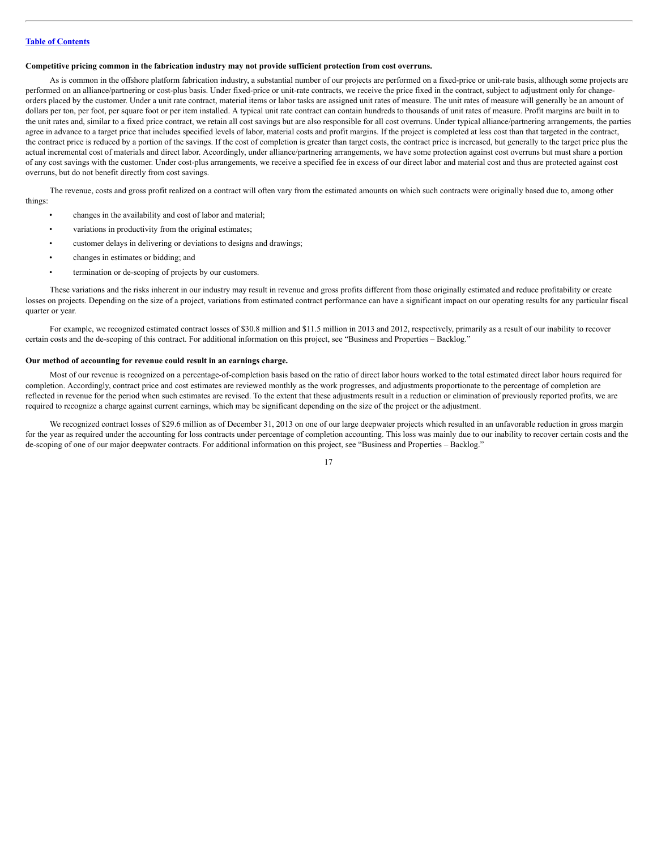#### **Competitive pricing common in the fabrication industry may not provide sufficient protection from cost overruns.**

As is common in the offshore platform fabrication industry, a substantial number of our projects are performed on a fixed-price or unit-rate basis, although some projects are performed on an alliance/partnering or cost-plus basis. Under fixed-price or unit-rate contracts, we receive the price fixed in the contract, subject to adjustment only for changeorders placed by the customer. Under a unit rate contract, material items or labor tasks are assigned unit rates of measure. The unit rates of measure will generally be an amount of dollars per ton, per foot, per square foot or per item installed. A typical unit rate contract can contain hundreds to thousands of unit rates of measure. Profit margins are built in to the unit rates and, similar to a fixed price contract, we retain all cost savings but are also responsible for all cost overruns. Under typical alliance/partnering arrangements, the parties agree in advance to a target price that includes specified levels of labor, material costs and profit margins. If the project is completed at less cost than that targeted in the contract, the contract price is reduced by a portion of the savings. If the cost of completion is greater than target costs, the contract price is increased, but generally to the target price plus the actual incremental cost of materials and direct labor. Accordingly, under alliance/partnering arrangements, we have some protection against cost overruns but must share a portion of any cost savings with the customer. Under cost-plus arrangements, we receive a specified fee in excess of our direct labor and material cost and thus are protected against cost overruns, but do not benefit directly from cost savings.

The revenue, costs and gross profit realized on a contract will often vary from the estimated amounts on which such contracts were originally based due to, among other things:

- changes in the availability and cost of labor and material;
- variations in productivity from the original estimates;
- customer delays in delivering or deviations to designs and drawings;
- changes in estimates or bidding; and
- termination or de-scoping of projects by our customers.

These variations and the risks inherent in our industry may result in revenue and gross profits different from those originally estimated and reduce profitability or create losses on projects. Depending on the size of a project, variations from estimated contract performance can have a significant impact on our operating results for any particular fiscal quarter or year.

For example, we recognized estimated contract losses of \$30.8 million and \$11.5 million in 2013 and 2012, respectively, primarily as a result of our inability to recover certain costs and the de-scoping of this contract. For additional information on this project, see "Business and Properties – Backlog."

# **Our method of accounting for revenue could result in an earnings charge.**

Most of our revenue is recognized on a percentage-of-completion basis based on the ratio of direct labor hours worked to the total estimated direct labor hours required for completion. Accordingly, contract price and cost estimates are reviewed monthly as the work progresses, and adjustments proportionate to the percentage of completion are reflected in revenue for the period when such estimates are revised. To the extent that these adjustments result in a reduction or elimination of previously reported profits, we are required to recognize a charge against current earnings, which may be significant depending on the size of the project or the adjustment.

We recognized contract losses of \$29.6 million as of December 31, 2013 on one of our large deepwater projects which resulted in an unfavorable reduction in gross margin for the year as required under the accounting for loss contracts under percentage of completion accounting. This loss was mainly due to our inability to recover certain costs and the de-scoping of one of our major deepwater contracts. For additional information on this project, see "Business and Properties – Backlog."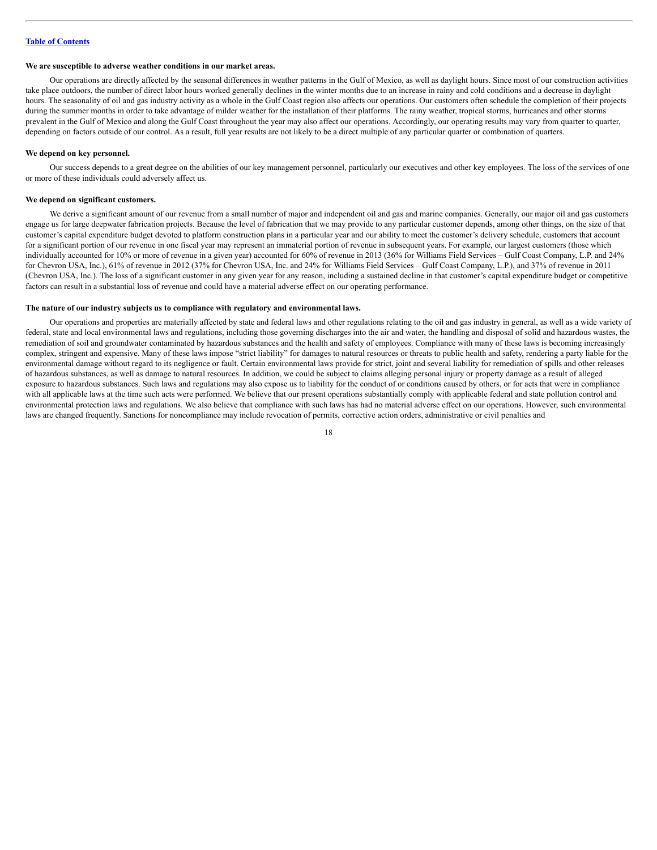# **We are susceptible to adverse weather conditions in our market areas.**

Our operations are directly affected by the seasonal differences in weather patterns in the Gulf of Mexico, as well as daylight hours. Since most of our construction activities take place outdoors, the number of direct labor hours worked generally declines in the winter months due to an increase in rainy and cold conditions and a decrease in daylight hours. The seasonality of oil and gas industry activity as a whole in the Gulf Coast region also affects our operations. Our customers often schedule the completion of their projects during the summer months in order to take advantage of milder weather for the installation of their platforms. The rainy weather, tropical storms, hurricanes and other storms prevalent in the Gulf of Mexico and along the Gulf Coast throughout the year may also affect our operations. Accordingly, our operating results may vary from quarter to quarter, depending on factors outside of our control. As a result, full year results are not likely to be a direct multiple of any particular quarter or combination of quarters.

## **We depend on key personnel.**

Our success depends to a great degree on the abilities of our key management personnel, particularly our executives and other key employees. The loss of the services of one or more of these individuals could adversely affect us.

# **We depend on significant customers.**

We derive a significant amount of our revenue from a small number of major and independent oil and gas and marine companies. Generally, our major oil and gas customers engage us for large deepwater fabrication projects. Because the level of fabrication that we may provide to any particular customer depends, among other things, on the size of that customer's capital expenditure budget devoted to platform construction plans in a particular year and our ability to meet the customer's delivery schedule, customers that account for a significant portion of our revenue in one fiscal year may represent an immaterial portion of revenue in subsequent years. For example, our largest customers (those which individually accounted for 10% or more of revenue in a given year) accounted for 60% of revenue in 2013 (36% for Williams Field Services – Gulf Coast Company, L.P. and 24% for Chevron USA, Inc.), 61% of revenue in 2012 (37% for Chevron USA, Inc. and 24% for Williams Field Services – Gulf Coast Company, L.P.), and 37% of revenue in 2011 (Chevron USA, Inc.). The loss of a significant customer in any given year for any reason, including a sustained decline in that customer's capital expenditure budget or competitive factors can result in a substantial loss of revenue and could have a material adverse effect on our operating performance.

#### **The nature of our industry subjects us to compliance with regulatory and environmental laws.**

Our operations and properties are materially affected by state and federal laws and other regulations relating to the oil and gas industry in general, as well as a wide variety of federal, state and local environmental laws and regulations, including those governing discharges into the air and water, the handling and disposal of solid and hazardous wastes, the remediation of soil and groundwater contaminated by hazardous substances and the health and safety of employees. Compliance with many of these laws is becoming increasingly complex, stringent and expensive. Many of these laws impose "strict liability" for damages to natural resources or threats to public health and safety, rendering a party liable for the environmental damage without regard to its negligence or fault. Certain environmental laws provide for strict, joint and several liability for remediation of spills and other releases of hazardous substances, as well as damage to natural resources. In addition, we could be subject to claims alleging personal injury or property damage as a result of alleged exposure to hazardous substances. Such laws and regulations may also expose us to liability for the conduct of or conditions caused by others, or for acts that were in compliance with all applicable laws at the time such acts were performed. We believe that our present operations substantially comply with applicable federal and state pollution control and environmental protection laws and regulations. We also believe that compliance with such laws has had no material adverse effect on our operations. However, such environmental laws are changed frequently. Sanctions for noncompliance may include revocation of permits, corrective action orders, administrative or civil penalties and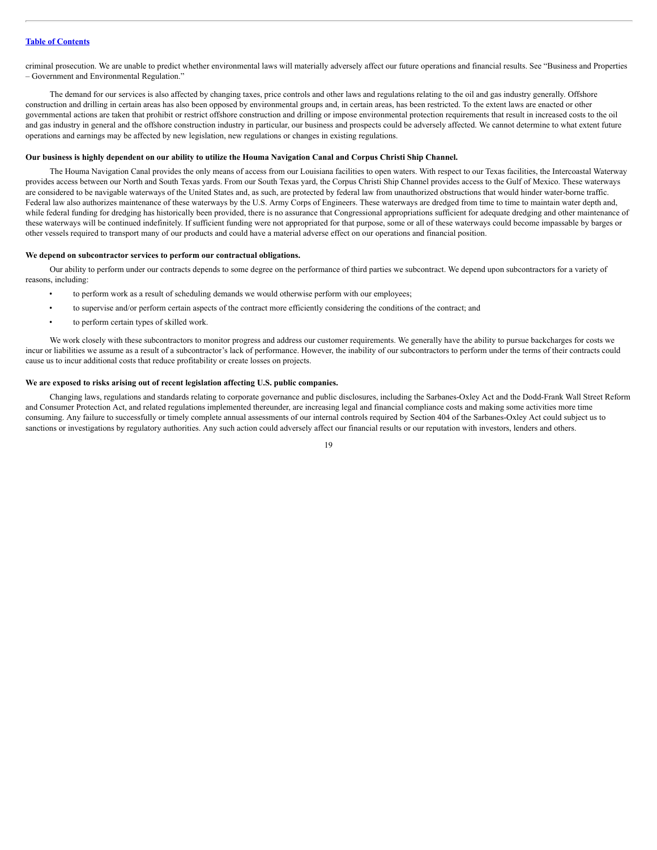criminal prosecution. We are unable to predict whether environmental laws will materially adversely affect our future operations and financial results. See "Business and Properties – Government and Environmental Regulation."

The demand for our services is also affected by changing taxes, price controls and other laws and regulations relating to the oil and gas industry generally. Offshore construction and drilling in certain areas has also been opposed by environmental groups and, in certain areas, has been restricted. To the extent laws are enacted or other governmental actions are taken that prohibit or restrict offshore construction and drilling or impose environmental protection requirements that result in increased costs to the oil and gas industry in general and the offshore construction industry in particular, our business and prospects could be adversely affected. We cannot determine to what extent future operations and earnings may be affected by new legislation, new regulations or changes in existing regulations.

# **Our business is highly dependent on our ability to utilize the Houma Navigation Canal and Corpus Christi Ship Channel.**

The Houma Navigation Canal provides the only means of access from our Louisiana facilities to open waters. With respect to our Texas facilities, the Intercoastal Waterway provides access between our North and South Texas yards. From our South Texas yard, the Corpus Christi Ship Channel provides access to the Gulf of Mexico. These waterways are considered to be navigable waterways of the United States and, as such, are protected by federal law from unauthorized obstructions that would hinder water-borne traffic. Federal law also authorizes maintenance of these waterways by the U.S. Army Corps of Engineers. These waterways are dredged from time to time to maintain water depth and, while federal funding for dredging has historically been provided, there is no assurance that Congressional appropriations sufficient for adequate dredging and other maintenance of these waterways will be continued indefinitely. If sufficient funding were not appropriated for that purpose, some or all of these waterways could become impassable by barges or other vessels required to transport many of our products and could have a material adverse effect on our operations and financial position.

#### **We depend on subcontractor services to perform our contractual obligations.**

Our ability to perform under our contracts depends to some degree on the performance of third parties we subcontract. We depend upon subcontractors for a variety of reasons, including:

- to perform work as a result of scheduling demands we would otherwise perform with our employees;
- to supervise and/or perform certain aspects of the contract more efficiently considering the conditions of the contract; and
- to perform certain types of skilled work.

We work closely with these subcontractors to monitor progress and address our customer requirements. We generally have the ability to pursue backcharges for costs we incur or liabilities we assume as a result of a subcontractor's lack of performance. However, the inability of our subcontractors to perform under the terms of their contracts could cause us to incur additional costs that reduce profitability or create losses on projects.

# **We are exposed to risks arising out of recent legislation affecting U.S. public companies.**

Changing laws, regulations and standards relating to corporate governance and public disclosures, including the Sarbanes-Oxley Act and the Dodd-Frank Wall Street Reform and Consumer Protection Act, and related regulations implemented thereunder, are increasing legal and financial compliance costs and making some activities more time consuming. Any failure to successfully or timely complete annual assessments of our internal controls required by Section 404 of the Sarbanes-Oxley Act could subject us to sanctions or investigations by regulatory authorities. Any such action could adversely affect our financial results or our reputation with investors, lenders and others.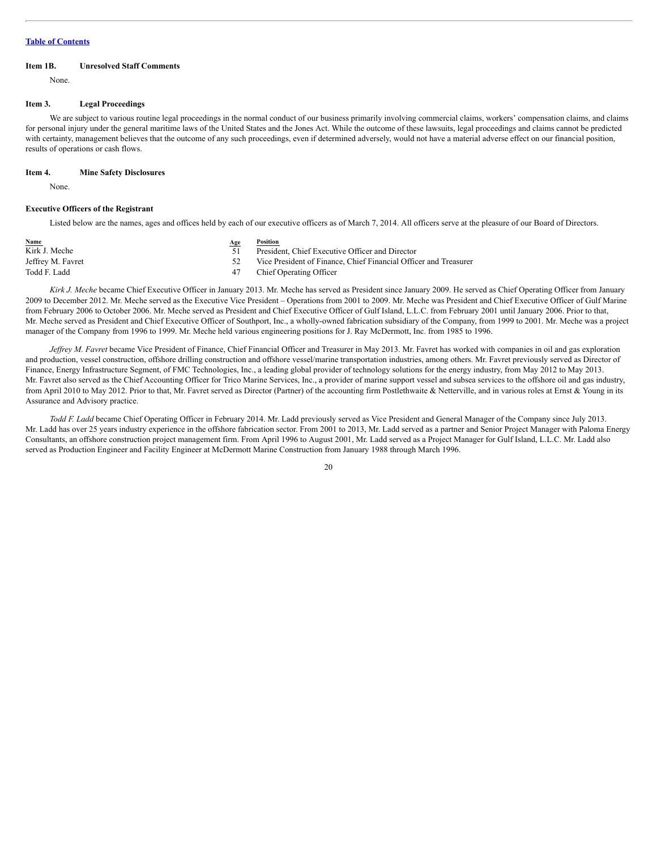### **Item 1B. Unresolved Staff Comments**

<span id="page-21-1"></span><span id="page-21-0"></span>None.

# **Item 3. Legal Proceedings**

We are subject to various routine legal proceedings in the normal conduct of our business primarily involving commercial claims, workers' compensation claims, and claims for personal injury under the general maritime laws of the United States and the Jones Act. While the outcome of these lawsuits, legal proceedings and claims cannot be predicted with certainty, management believes that the outcome of any such proceedings, even if determined adversely, would not have a material adverse effect on our financial position, results of operations or cash flows.

| Item 4. | <b>Mine Safety Disclosures</b> |
|---------|--------------------------------|
|---------|--------------------------------|

<span id="page-21-2"></span>None.

### <span id="page-21-3"></span>**Executive Officers of the Registrant**

Listed below are the names, ages and offices held by each of our executive officers as of March 7, 2014. All officers serve at the pleasure of our Board of Directors.

| <b>Name</b>       | Age | Position                                                         |
|-------------------|-----|------------------------------------------------------------------|
| Kirk J. Meche     |     | President, Chief Executive Officer and Director                  |
| Jeffrey M. Favret |     | Vice President of Finance, Chief Financial Officer and Treasurer |
| Todd F. Ladd      |     | Chief Operating Officer                                          |

*Kirk J. Meche* became Chief Executive Officer in January 2013. Mr. Meche has served as President since January 2009. He served as Chief Operating Officer from January 2009 to December 2012. Mr. Meche served as the Executive Vice President – Operations from 2001 to 2009. Mr. Meche was President and Chief Executive Officer of Gulf Marine from February 2006 to October 2006. Mr. Meche served as President and Chief Executive Officer of Gulf Island, L.L.C. from February 2001 until January 2006. Prior to that, Mr. Meche served as President and Chief Executive Officer of Southport, Inc., a wholly-owned fabrication subsidiary of the Company, from 1999 to 2001. Mr. Meche was a project manager of the Company from 1996 to 1999. Mr. Meche held various engineering positions for J. Ray McDermott, Inc. from 1985 to 1996.

*Jeffrey M. Favret* became Vice President of Finance, Chief Financial Officer and Treasurer in May 2013. Mr. Favret has worked with companies in oil and gas exploration and production, vessel construction, offshore drilling construction and offshore vessel/marine transportation industries, among others. Mr. Favret previously served as Director of Finance, Energy Infrastructure Segment, of FMC Technologies, Inc., a leading global provider of technology solutions for the energy industry, from May 2012 to May 2013. Mr. Favret also served as the Chief Accounting Officer for Trico Marine Services, Inc., a provider of marine support vessel and subsea services to the offshore oil and gas industry, from April 2010 to May 2012. Prior to that, Mr. Favret served as Director (Partner) of the accounting firm Postlethwaite & Netterville, and in various roles at Ernst & Young in its Assurance and Advisory practice.

*Todd F. Ladd* became Chief Operating Officer in February 2014. Mr. Ladd previously served as Vice President and General Manager of the Company since July 2013. Mr. Ladd has over 25 years industry experience in the offshore fabrication sector. From 2001 to 2013, Mr. Ladd served as a partner and Senior Project Manager with Paloma Energy Consultants, an offshore construction project management firm. From April 1996 to August 2001, Mr. Ladd served as a Project Manager for Gulf Island, L.L.C. Mr. Ladd also served as Production Engineer and Facility Engineer at McDermott Marine Construction from January 1988 through March 1996.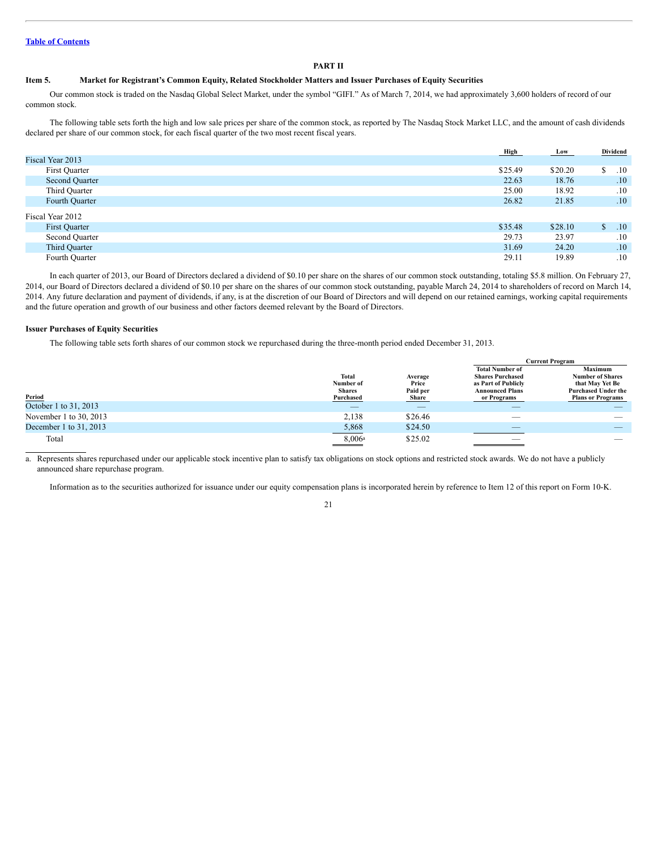# **PART II**

### <span id="page-22-1"></span><span id="page-22-0"></span>**Item 5. Market for Registrant's Common Equity, Related Stockholder Matters and Issuer Purchases of Equity Securities**

Our common stock is traded on the Nasdaq Global Select Market, under the symbol "GIFI." As of March 7, 2014, we had approximately 3,600 holders of record of our common stock.

The following table sets forth the high and low sale prices per share of the common stock, as reported by The Nasdaq Stock Market LLC, and the amount of cash dividends declared per share of our common stock, for each fiscal quarter of the two most recent fiscal years.

|                  | High    | Low     | <b>Dividend</b> |
|------------------|---------|---------|-----------------|
| Fiscal Year 2013 |         |         |                 |
| First Quarter    | \$25.49 | \$20.20 | \$<br>.10       |
| Second Quarter   | 22.63   | 18.76   | .10             |
| Third Quarter    | 25.00   | 18.92   | .10             |
| Fourth Quarter   | 26.82   | 21.85   | .10             |
| Fiscal Year 2012 |         |         |                 |
| First Ouarter    | \$35.48 | \$28.10 | \$<br>.10       |
| Second Quarter   | 29.73   | 23.97   | .10             |
| Third Quarter    | 31.69   | 24.20   | .10             |
| Fourth Quarter   | 29.11   | 19.89   | .10             |

In each quarter of 2013, our Board of Directors declared a dividend of \$0.10 per share on the shares of our common stock outstanding, totaling \$5.8 million. On February 27, 2014, our Board of Directors declared a dividend of \$0.10 per share on the shares of our common stock outstanding, payable March 24, 2014 to shareholders of record on March 14, 2014. Any future declaration and payment of dividends, if any, is at the discretion of our Board of Directors and will depend on our retained earnings, working capital requirements and the future operation and growth of our business and other factors deemed relevant by the Board of Directors.

# **Issuer Purchases of Equity Securities**

The following table sets forth shares of our common stock we repurchased during the three-month period ended December 31, 2013.

|                        |               |              |                          | <b>Current Program</b>     |
|------------------------|---------------|--------------|--------------------------|----------------------------|
|                        |               |              | <b>Total Number of</b>   | <b>Maximum</b>             |
|                        | <b>Total</b>  | Average      | <b>Shares Purchased</b>  | <b>Number of Shares</b>    |
|                        | Number of     | Price        | as Part of Publicly      | that May Yet Be            |
|                        | <b>Shares</b> | Paid per     | <b>Announced Plans</b>   | <b>Purchased Under the</b> |
| Period                 | Purchased     | <b>Share</b> | or Programs              | <b>Plans or Programs</b>   |
| October 1 to 31, 2013  |               |              |                          |                            |
| November 1 to 30, 2013 | 2,138         | \$26.46      | $\overline{\phantom{a}}$ | _                          |
| December 1 to 31, 2013 | 5,868         | \$24.50      |                          |                            |
| Total                  | 8,006a        | \$25.02      |                          | _                          |
|                        |               |              |                          |                            |

a. Represents shares repurchased under our applicable stock incentive plan to satisfy tax obligations on stock options and restricted stock awards. We do not have a publicly announced share repurchase program.

Information as to the securities authorized for issuance under our equity compensation plans is incorporated herein by reference to Item 12 of this report on Form 10-K.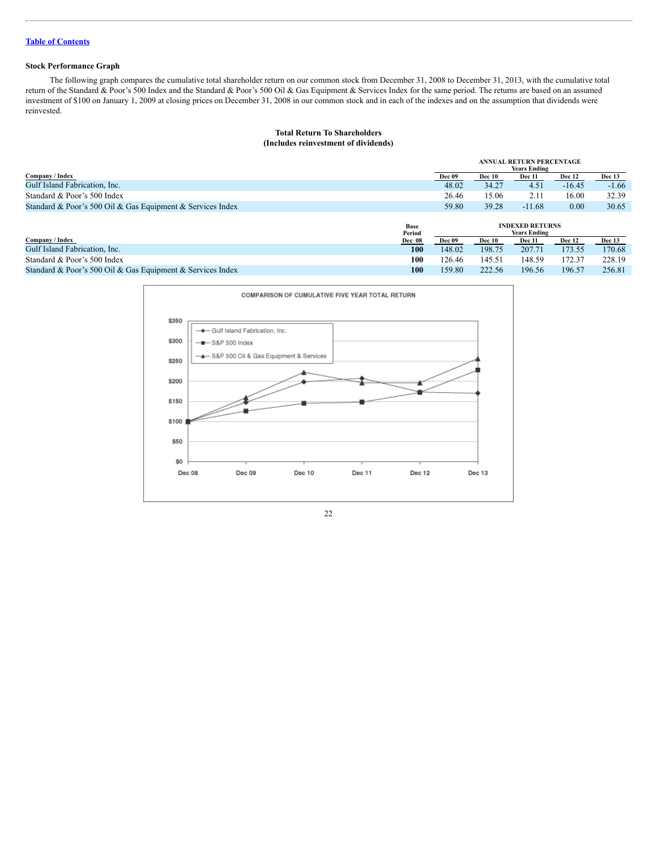# **Stock Performance Graph**

Standard & Poor's 500 Oil & Gas Equipment & Services Index

The following graph compares the cumulative total shareholder return on our common stock from December 31, 2008 to December 31, 2013, with the cumulative total return of the Standard & Poor's 500 Index and the Standard & Poor's 500 Oil & Gas Equipment & Services Index for the same period. The returns are based on an assumed investment of \$100 on January 1, 2009 at closing prices on December 31, 2008 in our common stock and in each of the indexes and on the assumption that dividends were reinvested.

### **Total Return To Shareholders (Includes reinvestment of dividends)**

|                                                            |                |        |        | <b>ANNUAL RETURN PERCENTAGE</b><br><b>Years Ending</b> |          |         |
|------------------------------------------------------------|----------------|--------|--------|--------------------------------------------------------|----------|---------|
| Company / Index                                            |                | Dec 09 | Dec 10 | <b>Dec 11</b>                                          | Dec 12   | Dec 13  |
| Gulf Island Fabrication, Inc.                              |                | 48.02  | 34.27  | 4.51                                                   | $-16.45$ | $-1.66$ |
| Standard & Poor's 500 Index                                |                | 26.46  | 15.06  | 2.11                                                   | 16.00    | 32.39   |
| Standard & Poor's 500 Oil & Gas Equipment & Services Index |                | 59.80  | 39.28  | $-11.68$                                               | 0.00     | 30.65   |
|                                                            | Base<br>Period |        |        | <b>INDEXED RETURNS</b><br><b>Years Ending</b>          |          |         |
| Company / Index                                            | Dec 08         | Dec 09 | Dec 10 | <b>Dec 11</b>                                          | Dec 12   | Dec 13  |
| Gulf Island Fabrication, Inc.                              | 100            | 148.02 | 198.75 | 207.71                                                 | 173.55   | 170.68  |

Standard & Poor's 500 Index **100 126.46** 145.51 **148.59** 172.37 **228.19**<br>
Standard & Poor's 500 Oil & Gas Equipment & Services Index **100 159.80** 222.56 **196.56** 196.57 **256.81** 

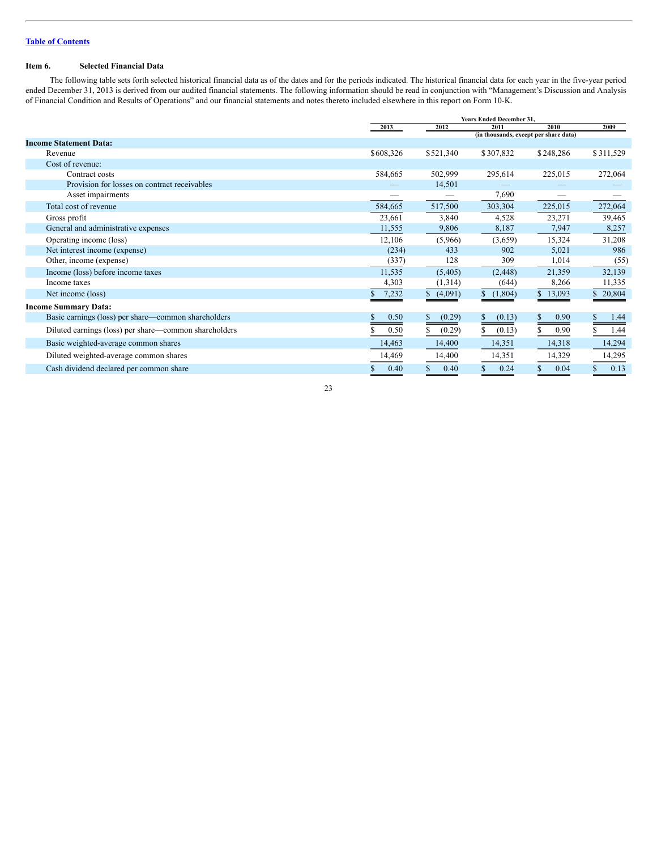# <span id="page-24-0"></span>**Item 6. Selected Financial Data**

The following table sets forth selected historical financial data as of the dates and for the periods indicated. The historical financial data for each year in the five-year period ended December 31, 2013 is derived from our audited financial statements. The following information should be read in conjunction with "Management's Discussion and Analysis of Financial Condition and Results of Operations" and our financial statements and notes thereto included elsewhere in this report on Form 10-K.

|                                                       | <b>Years Ended December 31,</b> |           |                                       |           |           |
|-------------------------------------------------------|---------------------------------|-----------|---------------------------------------|-----------|-----------|
|                                                       | 2013                            | 2012      | 2011                                  | 2010      | 2009      |
|                                                       |                                 |           | (in thousands, except per share data) |           |           |
| <b>Income Statement Data:</b>                         |                                 |           |                                       |           |           |
| Revenue                                               | \$608,326                       | \$521,340 | \$307,832                             | \$248,286 | \$311,529 |
| Cost of revenue:                                      |                                 |           |                                       |           |           |
| Contract costs                                        | 584,665                         | 502,999   | 295,614                               | 225,015   | 272,064   |
| Provision for losses on contract receivables          |                                 | 14,501    |                                       |           |           |
| Asset impairments                                     |                                 |           | 7,690                                 |           |           |
| Total cost of revenue                                 | 584,665                         | 517,500   | 303,304                               | 225,015   | 272,064   |
| Gross profit                                          | 23,661                          | 3,840     | 4,528                                 | 23,271    | 39,465    |
| General and administrative expenses                   | 11,555                          | 9,806     | 8,187                                 | 7,947     | 8,257     |
| Operating income (loss)                               | 12,106                          | (5,966)   | (3,659)                               | 15,324    | 31,208    |
| Net interest income (expense)                         | (234)                           | 433       | 902                                   | 5,021     | 986       |
| Other, income (expense)                               | (337)                           | 128       | 309                                   | 1,014     | (55)      |
| Income (loss) before income taxes                     | 11,535                          | (5,405)   | (2, 448)                              | 21,359    | 32,139    |
| Income taxes                                          | 4,303                           | (1, 314)  | (644)                                 | 8,266     | 11,335    |
| Net income (loss)                                     | 7,232                           | (4,091)   | (1,804)<br>\$                         | 13,093    | \$20,804  |
| <b>Income Summary Data:</b>                           |                                 |           |                                       |           |           |
| Basic earnings (loss) per share—common shareholders   | 0.50                            | (0.29)    | \$<br>(0.13)                          | 0.90      | 1.44      |
| Diluted earnings (loss) per share—common shareholders | 0.50                            | (0.29)    | (0.13)                                | 0.90      | 1.44      |
| Basic weighted-average common shares                  | 14,463                          | 14,400    | 14,351                                | 14,318    | 14,294    |
| Diluted weighted-average common shares                | 14,469                          | 14,400    | 14,351                                | 14,329    | 14,295    |
| Cash dividend declared per common share               | 0.40                            | 0.40      | 0.24                                  | 0.04      | 0.13      |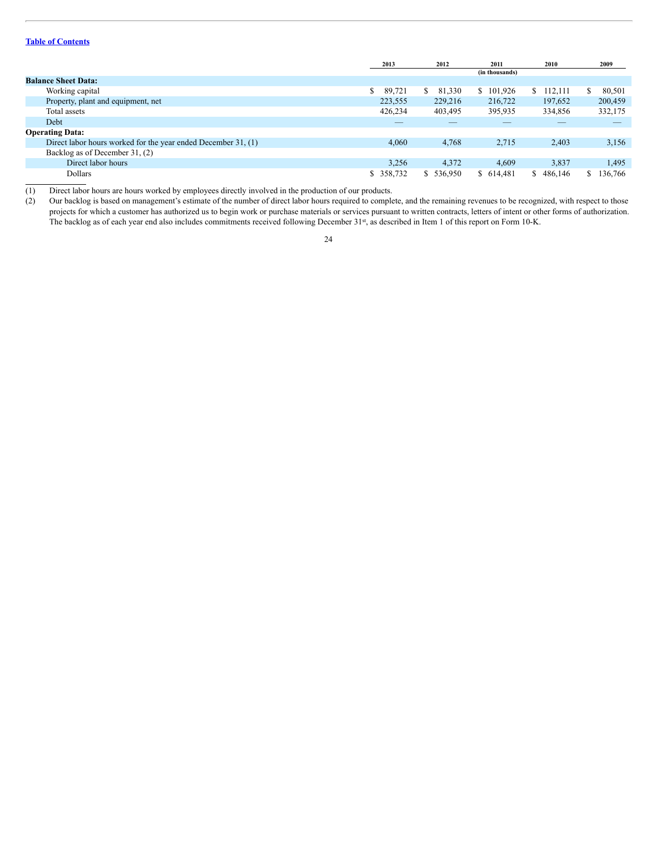|                                                               | 2013         | 2012        | 2011           | 2010          | 2009      |
|---------------------------------------------------------------|--------------|-------------|----------------|---------------|-----------|
|                                                               |              |             | (in thousands) |               |           |
| <b>Balance Sheet Data:</b>                                    |              |             |                |               |           |
| Working capital                                               | 89,721<br>S. | 81,330<br>S | \$101,926      | 112,111<br>S. | 80,501    |
| Property, plant and equipment, net                            | 223,555      | 229,216     | 216,722        | 197,652       | 200,459   |
| Total assets                                                  | 426,234      | 403,495     | 395,935        | 334,856       | 332,175   |
| Debt                                                          |              |             |                |               |           |
| <b>Operating Data:</b>                                        |              |             |                |               |           |
| Direct labor hours worked for the year ended December 31, (1) | 4,060        | 4,768       | 2,715          | 2,403         | 3,156     |
| Backlog as of December 31, (2)                                |              |             |                |               |           |
| Direct labor hours                                            | 3,256        | 4,372       | 4,609          | 3,837         | 1,495     |
| Dollars                                                       | \$ 358,732   | 536,950     | \$ 614.481     | \$486,146     | \$136,766 |

(1) Direct labor hours are hours worked by employees directly involved in the production of our products.

(2) Our backlog is based on management's estimate of the number of direct labor hours required to complete, and the remaining revenues to be recognized, with respect to those projects for which a customer has authorized us to begin work or purchase materials or services pursuant to written contracts, letters of intent or other forms of authorization. The backlog as of each year end also includes commitments received following December 31<sup>st</sup>, as described in Item 1 of this report on Form 10-K.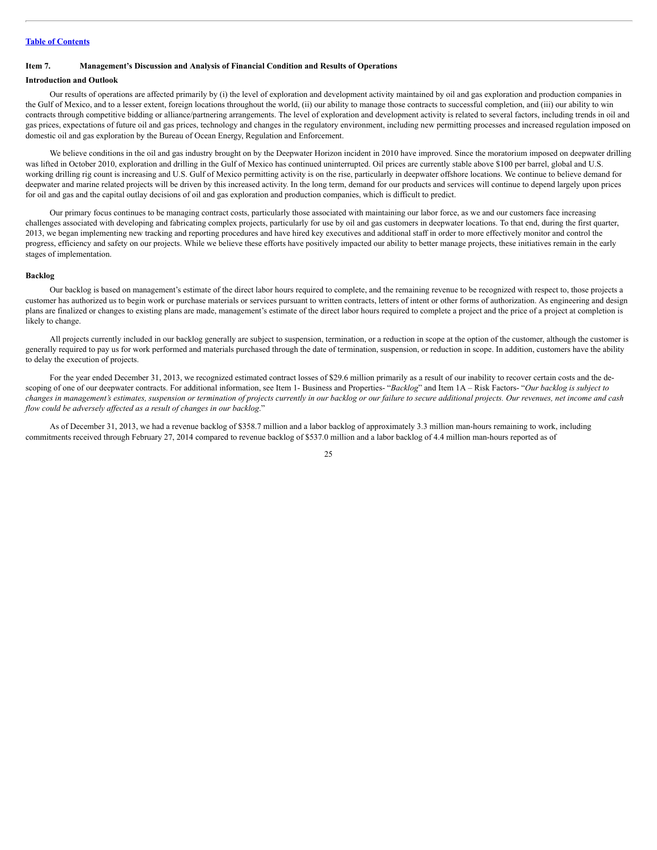# <span id="page-26-0"></span>**Item 7. Management's Discussion and Analysis of Financial Condition and Results of Operations**

#### **Introduction and Outlook**

Our results of operations are affected primarily by (i) the level of exploration and development activity maintained by oil and gas exploration and production companies in the Gulf of Mexico, and to a lesser extent, foreign locations throughout the world, (ii) our ability to manage those contracts to successful completion, and (iii) our ability to win contracts through competitive bidding or alliance/partnering arrangements. The level of exploration and development activity is related to several factors, including trends in oil and gas prices, expectations of future oil and gas prices, technology and changes in the regulatory environment, including new permitting processes and increased regulation imposed on domestic oil and gas exploration by the Bureau of Ocean Energy, Regulation and Enforcement.

We believe conditions in the oil and gas industry brought on by the Deepwater Horizon incident in 2010 have improved. Since the moratorium imposed on deepwater drilling was lifted in October 2010, exploration and drilling in the Gulf of Mexico has continued uninterrupted. Oil prices are currently stable above \$100 per barrel, global and U.S. working drilling rig count is increasing and U.S. Gulf of Mexico permitting activity is on the rise, particularly in deepwater offshore locations. We continue to believe demand for deepwater and marine related projects will be driven by this increased activity. In the long term, demand for our products and services will continue to depend largely upon prices for oil and gas and the capital outlay decisions of oil and gas exploration and production companies, which is difficult to predict.

Our primary focus continues to be managing contract costs, particularly those associated with maintaining our labor force, as we and our customers face increasing challenges associated with developing and fabricating complex projects, particularly for use by oil and gas customers in deepwater locations. To that end, during the first quarter, 2013, we began implementing new tracking and reporting procedures and have hired key executives and additional staff in order to more effectively monitor and control the progress, efficiency and safety on our projects. While we believe these efforts have positively impacted our ability to better manage projects, these initiatives remain in the early stages of implementation.

#### **Backlog**

Our backlog is based on management's estimate of the direct labor hours required to complete, and the remaining revenue to be recognized with respect to, those projects a customer has authorized us to begin work or purchase materials or services pursuant to written contracts, letters of intent or other forms of authorization. As engineering and design plans are finalized or changes to existing plans are made, management's estimate of the direct labor hours required to complete a project and the price of a project at completion is likely to change.

All projects currently included in our backlog generally are subject to suspension, termination, or a reduction in scope at the option of the customer, although the customer is generally required to pay us for work performed and materials purchased through the date of termination, suspension, or reduction in scope. In addition, customers have the ability to delay the execution of projects.

For the year ended December 31, 2013, we recognized estimated contract losses of \$29.6 million primarily as a result of our inability to recover certain costs and the descoping of one of our deepwater contracts. For additional information, see Item 1- Business and Properties- "*Backlog*" and Item 1A – Risk Factors- "Our backlog is subject to *changes in management's estimates, suspension or termination of projects currently in our backlog or our failure to secure additional projects. Our revenues, net income and cash flow could be adversely affected as a result of changes in our backlog*."

As of December 31, 2013, we had a revenue backlog of \$358.7 million and a labor backlog of approximately 3.3 million man-hours remaining to work, including commitments received through February 27, 2014 compared to revenue backlog of \$537.0 million and a labor backlog of 4.4 million man-hours reported as of

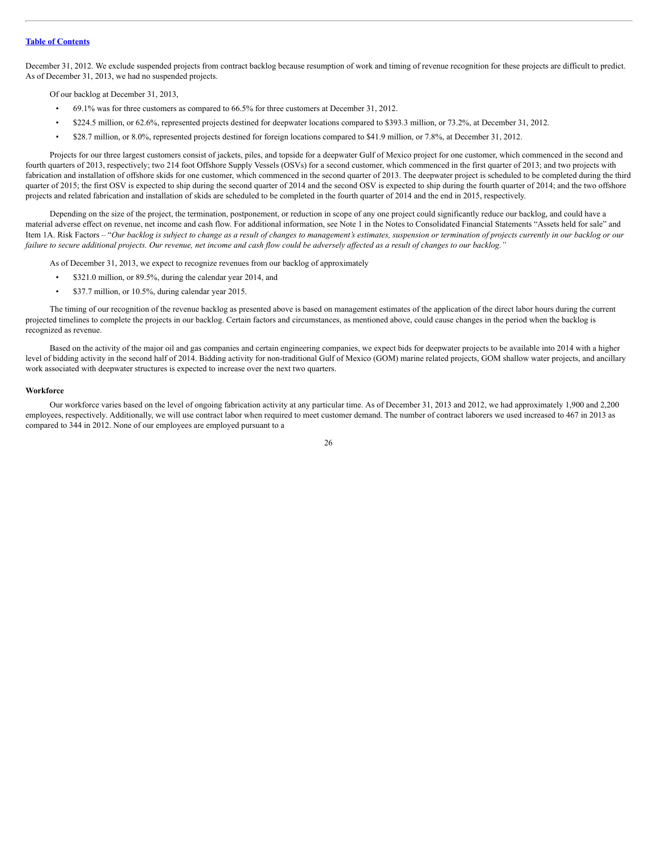December 31, 2012. We exclude suspended projects from contract backlog because resumption of work and timing of revenue recognition for these projects are difficult to predict. As of December 31, 2013, we had no suspended projects.

Of our backlog at December 31, 2013,

- 69.1% was for three customers as compared to 66.5% for three customers at December 31, 2012.
- \$224.5 million, or 62.6%, represented projects destined for deepwater locations compared to \$393.3 million, or 73.2%, at December 31, 2012.
- \$28.7 million, or 8.0%, represented projects destined for foreign locations compared to \$41.9 million, or 7.8%, at December 31, 2012.

Projects for our three largest customers consist of jackets, piles, and topside for a deepwater Gulf of Mexico project for one customer, which commenced in the second and fourth quarters of 2013, respectively; two 214 foot Offshore Supply Vessels (OSVs) for a second customer, which commenced in the first quarter of 2013; and two projects with fabrication and installation of offshore skids for one customer, which commenced in the second quarter of 2013. The deepwater project is scheduled to be completed during the third quarter of 2015; the first OSV is expected to ship during the second quarter of 2014 and the second OSV is expected to ship during the fourth quarter of 2014; and the two offshore projects and related fabrication and installation of skids are scheduled to be completed in the fourth quarter of 2014 and the end in 2015, respectively.

Depending on the size of the project, the termination, postponement, or reduction in scope of any one project could significantly reduce our backlog, and could have a material adverse effect on revenue, net income and cash flow. For additional information, see Note 1 in the Notes to Consolidated Financial Statements "Assets held for sale" and Item 1A. Risk Factors – "*Our backlog is subject to change as a result of changes to management's estimates, suspension or termination of projects currently in our backlog or our failure to secure additional projects. Our revenue, net income and cash flow could be adversely affected as a result of changes to our backlog."*

As of December 31, 2013, we expect to recognize revenues from our backlog of approximately

- \$321.0 million, or 89.5%, during the calendar year 2014, and
- \$37.7 million, or 10.5%, during calendar year 2015.

The timing of our recognition of the revenue backlog as presented above is based on management estimates of the application of the direct labor hours during the current projected timelines to complete the projects in our backlog. Certain factors and circumstances, as mentioned above, could cause changes in the period when the backlog is recognized as revenue.

Based on the activity of the major oil and gas companies and certain engineering companies, we expect bids for deepwater projects to be available into 2014 with a higher level of bidding activity in the second half of 2014. Bidding activity for non-traditional Gulf of Mexico (GOM) marine related projects, GOM shallow water projects, and ancillary work associated with deepwater structures is expected to increase over the next two quarters.

#### **Workforce**

Our workforce varies based on the level of ongoing fabrication activity at any particular time. As of December 31, 2013 and 2012, we had approximately 1,900 and 2,200 employees, respectively. Additionally, we will use contract labor when required to meet customer demand. The number of contract laborers we used increased to 467 in 2013 as compared to 344 in 2012. None of our employees are employed pursuant to a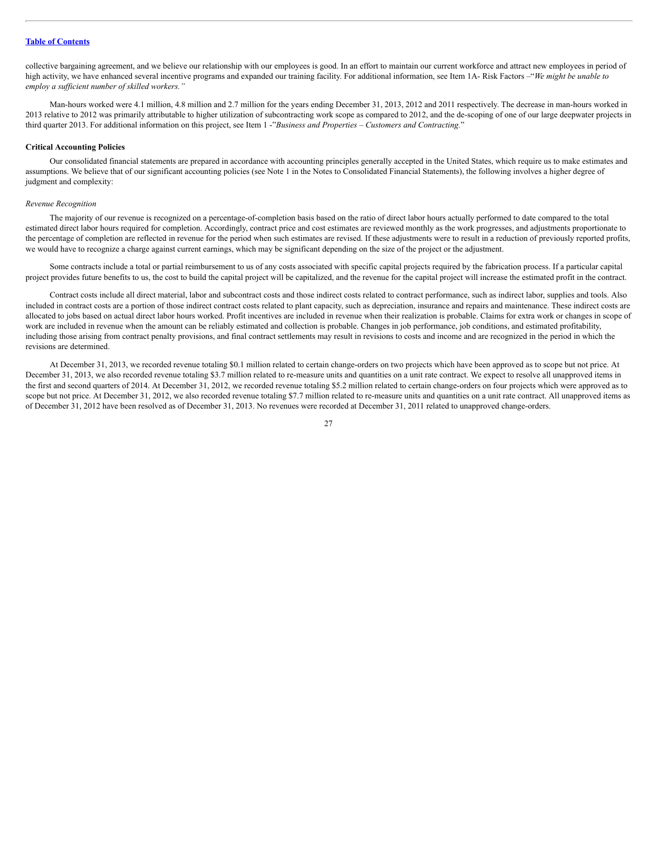collective bargaining agreement, and we believe our relationship with our employees is good. In an effort to maintain our current workforce and attract new employees in period of high activity, we have enhanced several incentive programs and expanded our training facility. For additional information, see Item 1A- Risk Factors –"*We might be unable to employ a sufficient number of skilled workers."*

Man-hours worked were 4.1 million, 4.8 million and 2.7 million for the years ending December 31, 2013, 2012 and 2011 respectively. The decrease in man-hours worked in 2013 relative to 2012 was primarily attributable to higher utilization of subcontracting work scope as compared to 2012, and the de-scoping of one of our large deepwater projects in third quarter 2013. For additional information on this project, see Item 1 -"*Business and Properties – Customers and Contracting.*"

### **Critical Accounting Policies**

Our consolidated financial statements are prepared in accordance with accounting principles generally accepted in the United States, which require us to make estimates and assumptions. We believe that of our significant accounting policies (see Note 1 in the Notes to Consolidated Financial Statements), the following involves a higher degree of judgment and complexity:

#### *Revenue Recognition*

The majority of our revenue is recognized on a percentage-of-completion basis based on the ratio of direct labor hours actually performed to date compared to the total estimated direct labor hours required for completion. Accordingly, contract price and cost estimates are reviewed monthly as the work progresses, and adjustments proportionate to the percentage of completion are reflected in revenue for the period when such estimates are revised. If these adjustments were to result in a reduction of previously reported profits, we would have to recognize a charge against current earnings, which may be significant depending on the size of the project or the adjustment.

Some contracts include a total or partial reimbursement to us of any costs associated with specific capital projects required by the fabrication process. If a particular capital project provides future benefits to us, the cost to build the capital project will be capitalized, and the revenue for the capital project will increase the estimated profit in the contract.

Contract costs include all direct material, labor and subcontract costs and those indirect costs related to contract performance, such as indirect labor, supplies and tools. Also included in contract costs are a portion of those indirect contract costs related to plant capacity, such as depreciation, insurance and repairs and maintenance. These indirect costs are allocated to jobs based on actual direct labor hours worked. Profit incentives are included in revenue when their realization is probable. Claims for extra work or changes in scope of work are included in revenue when the amount can be reliably estimated and collection is probable. Changes in job performance, job conditions, and estimated profitability, including those arising from contract penalty provisions, and final contract settlements may result in revisions to costs and income and are recognized in the period in which the revisions are determined.

At December 31, 2013, we recorded revenue totaling \$0.1 million related to certain change-orders on two projects which have been approved as to scope but not price. At December 31, 2013, we also recorded revenue totaling \$3.7 million related to re-measure units and quantities on a unit rate contract. We expect to resolve all unapproved items in the first and second quarters of 2014. At December 31, 2012, we recorded revenue totaling \$5.2 million related to certain change-orders on four projects which were approved as to scope but not price. At December 31, 2012, we also recorded revenue totaling \$7.7 million related to re-measure units and quantities on a unit rate contract. All unapproved items as of December 31, 2012 have been resolved as of December 31, 2013. No revenues were recorded at December 31, 2011 related to unapproved change-orders.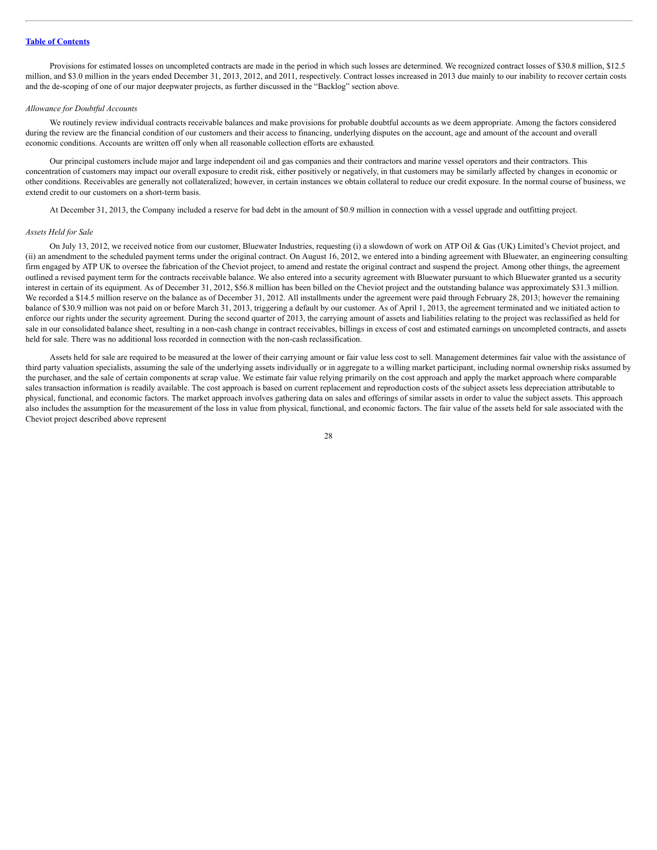Provisions for estimated losses on uncompleted contracts are made in the period in which such losses are determined. We recognized contract losses of \$30.8 million, \$12.5 million, and \$3.0 million in the years ended December 31, 2013, 2012, and 2011, respectively. Contract losses increased in 2013 due mainly to our inability to recover certain costs and the de-scoping of one of our major deepwater projects, as further discussed in the "Backlog" section above.

### *Allowance for Doubtful Accounts*

We routinely review individual contracts receivable balances and make provisions for probable doubtful accounts as we deem appropriate. Among the factors considered during the review are the financial condition of our customers and their access to financing, underlying disputes on the account, age and amount of the account and overall economic conditions. Accounts are written off only when all reasonable collection efforts are exhausted.

Our principal customers include major and large independent oil and gas companies and their contractors and marine vessel operators and their contractors. This concentration of customers may impact our overall exposure to credit risk, either positively or negatively, in that customers may be similarly affected by changes in economic or other conditions. Receivables are generally not collateralized; however, in certain instances we obtain collateral to reduce our credit exposure. In the normal course of business, we extend credit to our customers on a short-term basis.

At December 31, 2013, the Company included a reserve for bad debt in the amount of \$0.9 million in connection with a vessel upgrade and outfitting project.

# *Assets Held for Sale*

On July 13, 2012, we received notice from our customer, Bluewater Industries, requesting (i) a slowdown of work on ATP Oil & Gas (UK) Limited's Cheviot project, and (ii) an amendment to the scheduled payment terms under the original contract. On August 16, 2012, we entered into a binding agreement with Bluewater, an engineering consulting firm engaged by ATP UK to oversee the fabrication of the Cheviot project, to amend and restate the original contract and suspend the project. Among other things, the agreement outlined a revised payment term for the contracts receivable balance. We also entered into a security agreement with Bluewater pursuant to which Bluewater granted us a security interest in certain of its equipment. As of December 31, 2012, \$56.8 million has been billed on the Cheviot project and the outstanding balance was approximately \$31.3 million. We recorded a \$14.5 million reserve on the balance as of December 31, 2012. All installments under the agreement were paid through February 28, 2013; however the remaining balance of \$30.9 million was not paid on or before March 31, 2013, triggering a default by our customer. As of April 1, 2013, the agreement terminated and we initiated action to enforce our rights under the security agreement. During the second quarter of 2013, the carrying amount of assets and liabilities relating to the project was reclassified as held for sale in our consolidated balance sheet, resulting in a non-cash change in contract receivables, billings in excess of cost and estimated earnings on uncompleted contracts, and assets held for sale. There was no additional loss recorded in connection with the non-cash reclassification.

Assets held for sale are required to be measured at the lower of their carrying amount or fair value less cost to sell. Management determines fair value with the assistance of third party valuation specialists, assuming the sale of the underlying assets individually or in aggregate to a willing market participant, including normal ownership risks assumed by the purchaser, and the sale of certain components at scrap value. We estimate fair value relying primarily on the cost approach and apply the market approach where comparable sales transaction information is readily available. The cost approach is based on current replacement and reproduction costs of the subject assets less depreciation attributable to physical, functional, and economic factors. The market approach involves gathering data on sales and offerings of similar assets in order to value the subject assets. This approach also includes the assumption for the measurement of the loss in value from physical, functional, and economic factors. The fair value of the assets held for sale associated with the Cheviot project described above represent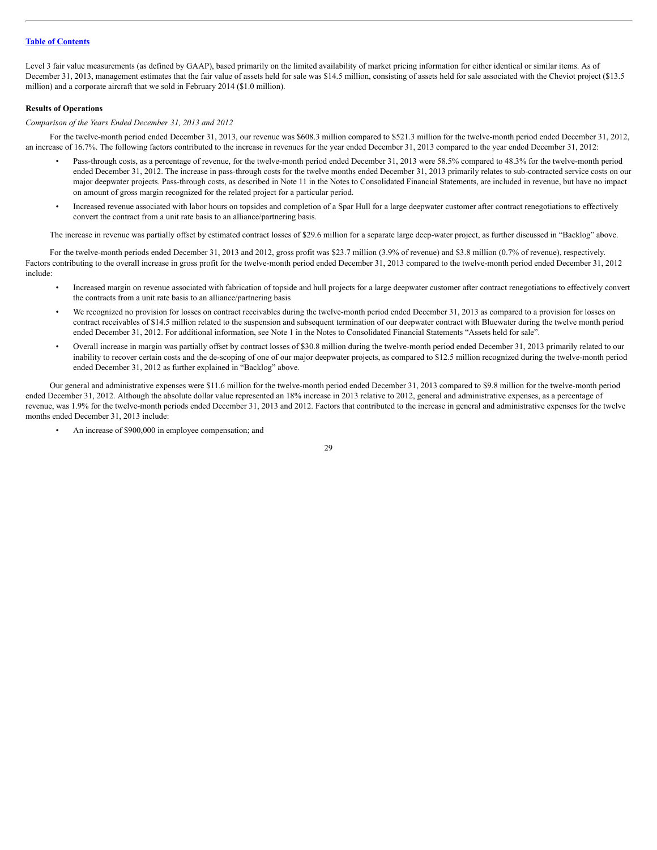Level 3 fair value measurements (as defined by GAAP), based primarily on the limited availability of market pricing information for either identical or similar items. As of December 31, 2013, management estimates that the fair value of assets held for sale was \$14.5 million, consisting of assets held for sale associated with the Cheviot project (\$13.5 million) and a corporate aircraft that we sold in February 2014 (\$1.0 million).

### **Results of Operations**

# *Comparison of the Years Ended December 31, 2013 and 2012*

For the twelve-month period ended December 31, 2013, our revenue was \$608.3 million compared to \$521.3 million for the twelve-month period ended December 31, 2012, an increase of 16.7%. The following factors contributed to the increase in revenues for the year ended December 31, 2013 compared to the year ended December 31, 2012:

- Pass-through costs, as a percentage of revenue, for the twelve-month period ended December 31, 2013 were 58.5% compared to 48.3% for the twelve-month period ended December 31, 2012. The increase in pass-through costs for the twelve months ended December 31, 2013 primarily relates to sub-contracted service costs on our major deepwater projects. Pass-through costs, as described in Note 11 in the Notes to Consolidated Financial Statements, are included in revenue, but have no impact on amount of gross margin recognized for the related project for a particular period.
- Increased revenue associated with labor hours on topsides and completion of a Spar Hull for a large deepwater customer after contract renegotiations to effectively convert the contract from a unit rate basis to an alliance/partnering basis.

The increase in revenue was partially offset by estimated contract losses of \$29.6 million for a separate large deep-water project, as further discussed in "Backlog" above.

For the twelve-month periods ended December 31, 2013 and 2012, gross profit was \$23.7 million (3.9% of revenue) and \$3.8 million (0.7% of revenue), respectively. Factors contributing to the overall increase in gross profit for the twelve-month period ended December 31, 2013 compared to the twelve-month period ended December 31, 2012 include:

- Increased margin on revenue associated with fabrication of topside and hull projects for a large deepwater customer after contract renegotiations to effectively convert the contracts from a unit rate basis to an alliance/partnering basis
- We recognized no provision for losses on contract receivables during the twelve-month period ended December 31, 2013 as compared to a provision for losses on contract receivables of \$14.5 million related to the suspension and subsequent termination of our deepwater contract with Bluewater during the twelve month period ended December 31, 2012. For additional information, see Note 1 in the Notes to Consolidated Financial Statements "Assets held for sale".
- Overall increase in margin was partially offset by contract losses of \$30.8 million during the twelve-month period ended December 31, 2013 primarily related to our inability to recover certain costs and the de-scoping of one of our major deepwater projects, as compared to \$12.5 million recognized during the twelve-month period ended December 31, 2012 as further explained in "Backlog" above.

Our general and administrative expenses were \$11.6 million for the twelve-month period ended December 31, 2013 compared to \$9.8 million for the twelve-month period ended December 31, 2012. Although the absolute dollar value represented an 18% increase in 2013 relative to 2012, general and administrative expenses, as a percentage of revenue, was 1.9% for the twelve-month periods ended December 31, 2013 and 2012. Factors that contributed to the increase in general and administrative expenses for the twelve months ended December 31, 2013 include:

An increase of \$900,000 in employee compensation; and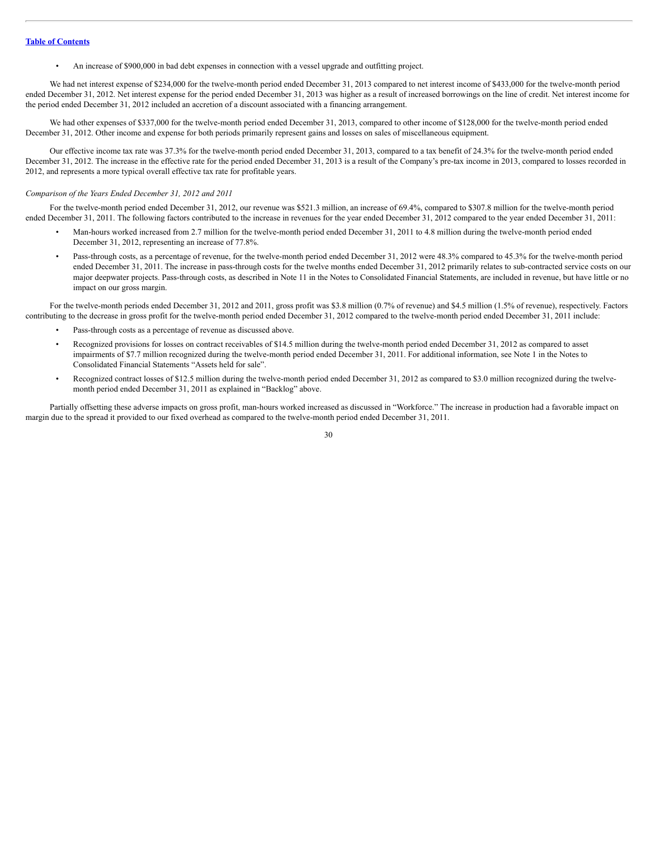• An increase of \$900,000 in bad debt expenses in connection with a vessel upgrade and outfitting project.

We had net interest expense of \$234,000 for the twelve-month period ended December 31, 2013 compared to net interest income of \$433,000 for the twelve-month period ended December 31, 2012. Net interest expense for the period ended December 31, 2013 was higher as a result of increased borrowings on the line of credit. Net interest income for the period ended December 31, 2012 included an accretion of a discount associated with a financing arrangement.

We had other expenses of \$337,000 for the twelve-month period ended December 31, 2013, compared to other income of \$128,000 for the twelve-month period ended December 31, 2012. Other income and expense for both periods primarily represent gains and losses on sales of miscellaneous equipment.

Our effective income tax rate was 37.3% for the twelve-month period ended December 31, 2013, compared to a tax benefit of 24.3% for the twelve-month period ended December 31, 2012. The increase in the effective rate for the period ended December 31, 2013 is a result of the Company's pre-tax income in 2013, compared to losses recorded in 2012, and represents a more typical overall effective tax rate for profitable years.

# *Comparison of the Years Ended December 31, 2012 and 2011*

For the twelve-month period ended December 31, 2012, our revenue was \$521.3 million, an increase of 69.4%, compared to \$307.8 million for the twelve-month period ended December 31, 2011. The following factors contributed to the increase in revenues for the year ended December 31, 2012 compared to the year ended December 31, 2011:

- Man-hours worked increased from 2.7 million for the twelve-month period ended December 31, 2011 to 4.8 million during the twelve-month period ended December 31, 2012, representing an increase of 77.8%.
- Pass-through costs, as a percentage of revenue, for the twelve-month period ended December 31, 2012 were 48.3% compared to 45.3% for the twelve-month period ended December 31, 2011. The increase in pass-through costs for the twelve months ended December 31, 2012 primarily relates to sub-contracted service costs on our major deepwater projects. Pass-through costs, as described in Note 11 in the Notes to Consolidated Financial Statements, are included in revenue, but have little or no impact on our gross margin.

For the twelve-month periods ended December 31, 2012 and 2011, gross profit was \$3.8 million (0.7% of revenue) and \$4.5 million (1.5% of revenue), respectively. Factors contributing to the decrease in gross profit for the twelve-month period ended December 31, 2012 compared to the twelve-month period ended December 31, 2011 include:

- Pass-through costs as a percentage of revenue as discussed above.
- Recognized provisions for losses on contract receivables of \$14.5 million during the twelve-month period ended December 31, 2012 as compared to asset impairments of \$7.7 million recognized during the twelve-month period ended December 31, 2011. For additional information, see Note 1 in the Notes to Consolidated Financial Statements "Assets held for sale".
- Recognized contract losses of \$12.5 million during the twelve-month period ended December 31, 2012 as compared to \$3.0 million recognized during the twelvemonth period ended December 31, 2011 as explained in "Backlog" above.

Partially offsetting these adverse impacts on gross profit, man-hours worked increased as discussed in "Workforce." The increase in production had a favorable impact on margin due to the spread it provided to our fixed overhead as compared to the twelve-month period ended December 31, 2011.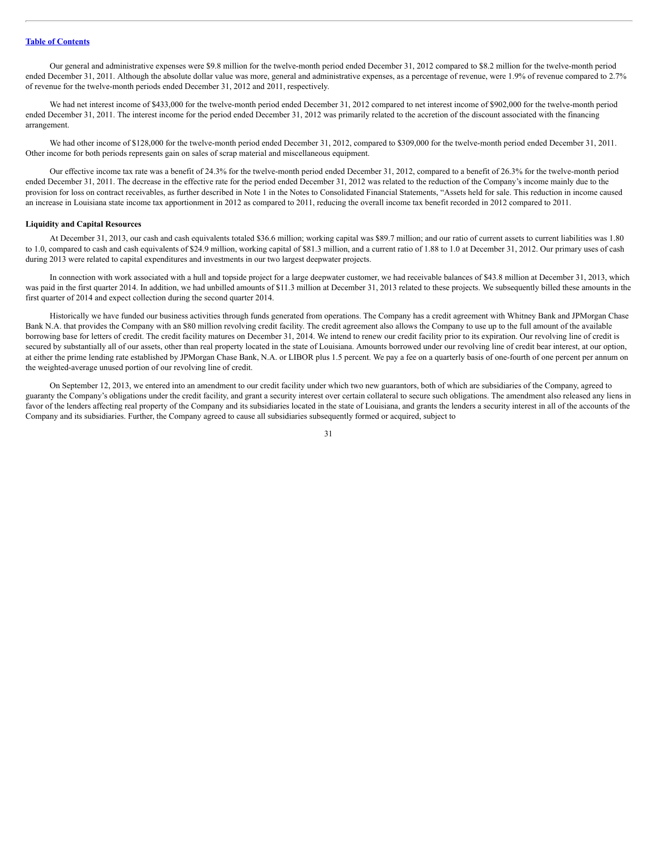Our general and administrative expenses were \$9.8 million for the twelve-month period ended December 31, 2012 compared to \$8.2 million for the twelve-month period ended December 31, 2011. Although the absolute dollar value was more, general and administrative expenses, as a percentage of revenue, were 1.9% of revenue compared to 2.7% of revenue for the twelve-month periods ended December 31, 2012 and 2011, respectively.

We had net interest income of \$433,000 for the twelve-month period ended December 31, 2012 compared to net interest income of \$902,000 for the twelve-month period ended December 31, 2011. The interest income for the period ended December 31, 2012 was primarily related to the accretion of the discount associated with the financing arrangement.

We had other income of \$128,000 for the twelve-month period ended December 31, 2012, compared to \$309,000 for the twelve-month period ended December 31, 2011. Other income for both periods represents gain on sales of scrap material and miscellaneous equipment.

Our effective income tax rate was a benefit of 24.3% for the twelve-month period ended December 31, 2012, compared to a benefit of 26.3% for the twelve-month period ended December 31, 2011. The decrease in the effective rate for the period ended December 31, 2012 was related to the reduction of the Company's income mainly due to the provision for loss on contract receivables, as further described in Note 1 in the Notes to Consolidated Financial Statements, "Assets held for sale. This reduction in income caused an increase in Louisiana state income tax apportionment in 2012 as compared to 2011, reducing the overall income tax benefit recorded in 2012 compared to 2011.

# **Liquidity and Capital Resources**

At December 31, 2013, our cash and cash equivalents totaled \$36.6 million; working capital was \$89.7 million; and our ratio of current assets to current liabilities was 1.80 to 1.0, compared to cash and cash equivalents of \$24.9 million, working capital of \$81.3 million, and a current ratio of 1.88 to 1.0 at December 31, 2012. Our primary uses of cash during 2013 were related to capital expenditures and investments in our two largest deepwater projects.

In connection with work associated with a hull and topside project for a large deepwater customer, we had receivable balances of \$43.8 million at December 31, 2013, which was paid in the first quarter 2014. In addition, we had unbilled amounts of \$11.3 million at December 31, 2013 related to these projects. We subsequently billed these amounts in the first quarter of 2014 and expect collection during the second quarter 2014.

Historically we have funded our business activities through funds generated from operations. The Company has a credit agreement with Whitney Bank and JPMorgan Chase Bank N.A. that provides the Company with an \$80 million revolving credit facility. The credit agreement also allows the Company to use up to the full amount of the available borrowing base for letters of credit. The credit facility matures on December 31, 2014. We intend to renew our credit facility prior to its expiration. Our revolving line of credit is secured by substantially all of our assets, other than real property located in the state of Louisiana. Amounts borrowed under our revolving line of credit bear interest, at our option, at either the prime lending rate established by JPMorgan Chase Bank, N.A. or LIBOR plus 1.5 percent. We pay a fee on a quarterly basis of one-fourth of one percent per annum on the weighted-average unused portion of our revolving line of credit.

On September 12, 2013, we entered into an amendment to our credit facility under which two new guarantors, both of which are subsidiaries of the Company, agreed to guaranty the Company's obligations under the credit facility, and grant a security interest over certain collateral to secure such obligations. The amendment also released any liens in favor of the lenders affecting real property of the Company and its subsidiaries located in the state of Louisiana, and grants the lenders a security interest in all of the accounts of the Company and its subsidiaries. Further, the Company agreed to cause all subsidiaries subsequently formed or acquired, subject to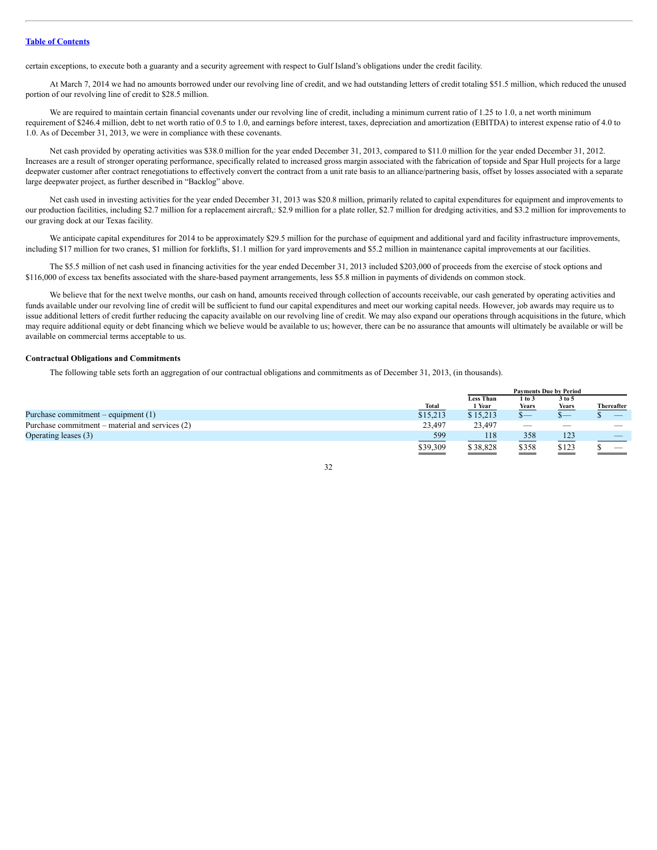certain exceptions, to execute both a guaranty and a security agreement with respect to Gulf Island's obligations under the credit facility.

At March 7, 2014 we had no amounts borrowed under our revolving line of credit, and we had outstanding letters of credit totaling \$51.5 million, which reduced the unused portion of our revolving line of credit to \$28.5 million.

We are required to maintain certain financial covenants under our revolving line of credit, including a minimum current ratio of 1.25 to 1.0, a net worth minimum requirement of \$246.4 million, debt to net worth ratio of 0.5 to 1.0, and earnings before interest, taxes, depreciation and amortization (EBITDA) to interest expense ratio of 4.0 to 1.0. As of December 31, 2013, we were in compliance with these covenants.

Net cash provided by operating activities was \$38.0 million for the year ended December 31, 2013, compared to \$11.0 million for the year ended December 31, 2012. Increases are a result of stronger operating performance, specifically related to increased gross margin associated with the fabrication of topside and Spar Hull projects for a large deepwater customer after contract renegotiations to effectively convert the contract from a unit rate basis to an alliance/partnering basis, offset by losses associated with a separate large deepwater project, as further described in "Backlog" above.

Net cash used in investing activities for the year ended December 31, 2013 was \$20.8 million, primarily related to capital expenditures for equipment and improvements to our production facilities, including \$2.7 million for a replacement aircraft,: \$2.9 million for a plate roller, \$2.7 million for dredging activities, and \$3.2 million for improvements to our graving dock at our Texas facility.

We anticipate capital expenditures for 2014 to be approximately \$29.5 million for the purchase of equipment and additional yard and facility infrastructure improvements, including \$17 million for two cranes, \$1 million for forklifts, \$1.1 million for yard improvements and \$5.2 million in maintenance capital improvements at our facilities.

The \$5.5 million of net cash used in financing activities for the year ended December 31, 2013 included \$203,000 of proceeds from the exercise of stock options and \$116,000 of excess tax benefits associated with the share-based payment arrangements, less \$5.8 million in payments of dividends on common stock.

We believe that for the next twelve months, our cash on hand, amounts received through collection of accounts receivable, our cash generated by operating activities and funds available under our revolving line of credit will be sufficient to fund our capital expenditures and meet our working capital needs. However, job awards may require us to issue additional letters of credit further reducing the capacity available on our revolving line of credit. We may also expand our operations through acquisitions in the future, which may require additional equity or debt financing which we believe would be available to us; however, there can be no assurance that amounts will ultimately be available or will be available on commercial terms acceptable to us.

# **Contractual Obligations and Commitments**

The following table sets forth an aggregation of our contractual obligations and commitments as of December 31, 2013, (in thousands).

|                                                   | <b>Payments Due by Period</b> |                            |                 |                        |            |  |
|---------------------------------------------------|-------------------------------|----------------------------|-----------------|------------------------|------------|--|
|                                                   | <b>Total</b>                  | <b>Less Than</b><br>1 Year | 1 to 3<br>Years | 3 to 5<br><b>Years</b> | Thereafter |  |
| Purchase commitment – equipment $(1)$             | \$15,213                      | \$15.213                   |                 |                        | _          |  |
| Purchase commitment – material and services $(2)$ | 23.497                        | 23,497                     | –               |                        |            |  |
| Operating leases (3)                              | 599                           | 118                        | 358             | 123                    |            |  |
|                                                   | \$39,309                      | \$38.828                   | \$358           | \$123                  | __         |  |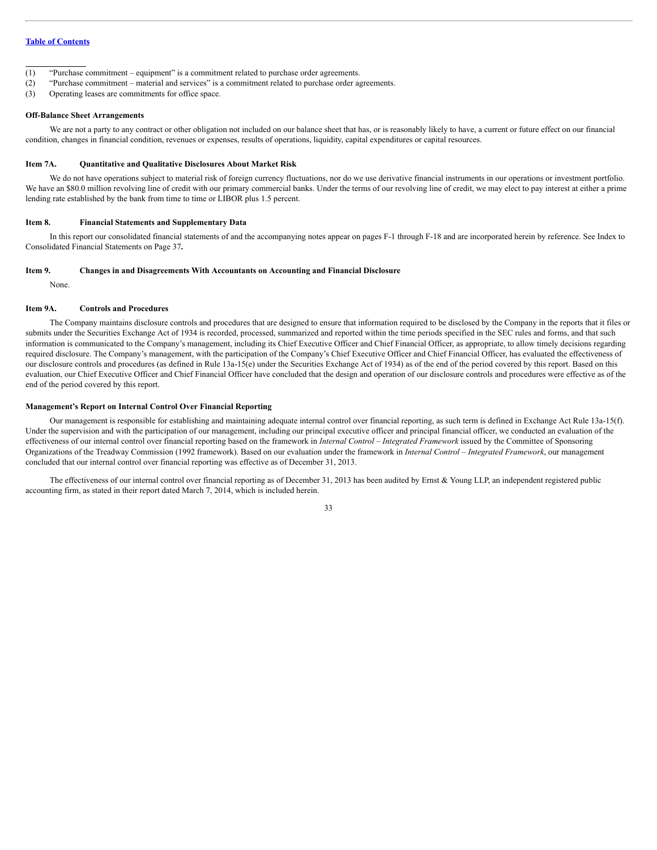- (1) "Purchase commitment equipment" is a commitment related to purchase order agreements.
- (2) "Purchase commitment material and services" is a commitment related to purchase order agreements.
- (3) Operating leases are commitments for office space.

#### **Off-Balance Sheet Arrangements**

We are not a party to any contract or other obligation not included on our balance sheet that has, or is reasonably likely to have, a current or future effect on our financial condition, changes in financial condition, revenues or expenses, results of operations, liquidity, capital expenditures or capital resources.

### <span id="page-34-0"></span>**Item 7A. Quantitative and Qualitative Disclosures About Market Risk**

We do not have operations subject to material risk of foreign currency fluctuations, nor do we use derivative financial instruments in our operations or investment portfolio. We have an \$80.0 million revolving line of credit with our primary commercial banks. Under the terms of our revolving line of credit, we may elect to pay interest at either a prime lending rate established by the bank from time to time or LIBOR plus 1.5 percent.

#### <span id="page-34-1"></span>**Item 8. Financial Statements and Supplementary Data**

In this report our consolidated financial statements of and the accompanying notes appear on pages F-1 through F-18 and are incorporated herein by reference. See Index to Consolidated Financial Statements on Page 37**.**

### <span id="page-34-2"></span>**Item 9. Changes in and Disagreements With Accountants on Accounting and Financial Disclosure**

None.

#### <span id="page-34-3"></span>**Item 9A. Controls and Procedures**

The Company maintains disclosure controls and procedures that are designed to ensure that information required to be disclosed by the Company in the reports that it files or submits under the Securities Exchange Act of 1934 is recorded, processed, summarized and reported within the time periods specified in the SEC rules and forms, and that such information is communicated to the Company's management, including its Chief Executive Officer and Chief Financial Officer, as appropriate, to allow timely decisions regarding required disclosure. The Company's management, with the participation of the Company's Chief Executive Officer and Chief Financial Officer, has evaluated the effectiveness of our disclosure controls and procedures (as defined in Rule 13a-15(e) under the Securities Exchange Act of 1934) as of the end of the period covered by this report. Based on this evaluation, our Chief Executive Officer and Chief Financial Officer have concluded that the design and operation of our disclosure controls and procedures were effective as of the end of the period covered by this report.

#### **Management's Report on Internal Control Over Financial Reporting**

Our management is responsible for establishing and maintaining adequate internal control over financial reporting, as such term is defined in Exchange Act Rule 13a-15(f). Under the supervision and with the participation of our management, including our principal executive officer and principal financial officer, we conducted an evaluation of the effectiveness of our internal control over financial reporting based on the framework in *Internal Control – Integrated Framework* issued by the Committee of Sponsoring Organizations of the Treadway Commission (1992 framework). Based on our evaluation under the framework in *Internal Control – Integrated Framework*, our management concluded that our internal control over financial reporting was effective as of December 31, 2013.

The effectiveness of our internal control over financial reporting as of December 31, 2013 has been audited by Ernst & Young LLP, an independent registered public accounting firm, as stated in their report dated March 7, 2014, which is included herein.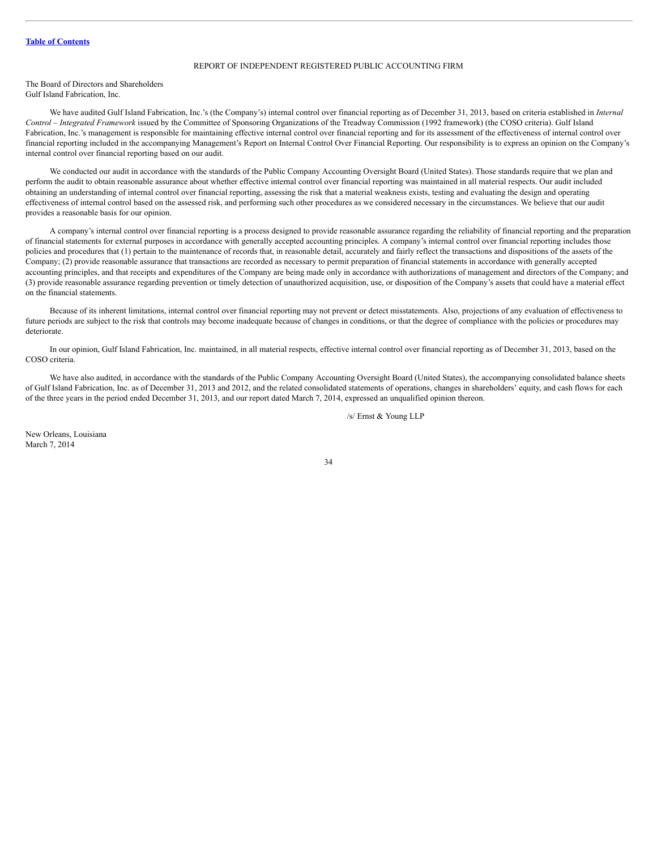# REPORT OF INDEPENDENT REGISTERED PUBLIC ACCOUNTING FIRM

The Board of Directors and Shareholders Gulf Island Fabrication, Inc.

We have audited Gulf Island Fabrication, Inc.'s (the Company's) internal control over financial reporting as of December 31, 2013, based on criteria established in *Internal Control – Integrated Framework* issued by the Committee of Sponsoring Organizations of the Treadway Commission (1992 framework) (the COSO criteria). Gulf Island Fabrication, Inc.'s management is responsible for maintaining effective internal control over financial reporting and for its assessment of the effectiveness of internal control over financial reporting included in the accompanying Management's Report on Internal Control Over Financial Reporting. Our responsibility is to express an opinion on the Company's internal control over financial reporting based on our audit.

We conducted our audit in accordance with the standards of the Public Company Accounting Oversight Board (United States). Those standards require that we plan and perform the audit to obtain reasonable assurance about whether effective internal control over financial reporting was maintained in all material respects. Our audit included obtaining an understanding of internal control over financial reporting, assessing the risk that a material weakness exists, testing and evaluating the design and operating effectiveness of internal control based on the assessed risk, and performing such other procedures as we considered necessary in the circumstances. We believe that our audit provides a reasonable basis for our opinion.

A company's internal control over financial reporting is a process designed to provide reasonable assurance regarding the reliability of financial reporting and the preparation of financial statements for external purposes in accordance with generally accepted accounting principles. A company's internal control over financial reporting includes those policies and procedures that (1) pertain to the maintenance of records that, in reasonable detail, accurately and fairly reflect the transactions and dispositions of the assets of the Company; (2) provide reasonable assurance that transactions are recorded as necessary to permit preparation of financial statements in accordance with generally accepted accounting principles, and that receipts and expenditures of the Company are being made only in accordance with authorizations of management and directors of the Company; and (3) provide reasonable assurance regarding prevention or timely detection of unauthorized acquisition, use, or disposition of the Company's assets that could have a material effect on the financial statements.

Because of its inherent limitations, internal control over financial reporting may not prevent or detect misstatements. Also, projections of any evaluation of effectiveness to future periods are subject to the risk that controls may become inadequate because of changes in conditions, or that the degree of compliance with the policies or procedures may deteriorate.

In our opinion, Gulf Island Fabrication, Inc. maintained, in all material respects, effective internal control over financial reporting as of December 31, 2013, based on the COSO criteria.

We have also audited, in accordance with the standards of the Public Company Accounting Oversight Board (United States), the accompanying consolidated balance sheets of Gulf Island Fabrication, Inc. as of December 31, 2013 and 2012, and the related consolidated statements of operations, changes in shareholders' equity, and cash flows for each of the three years in the period ended December 31, 2013, and our report dated March 7, 2014, expressed an unqualified opinion thereon.

/s/ Ernst & Young LLP

New Orleans, Louisiana March 7, 2014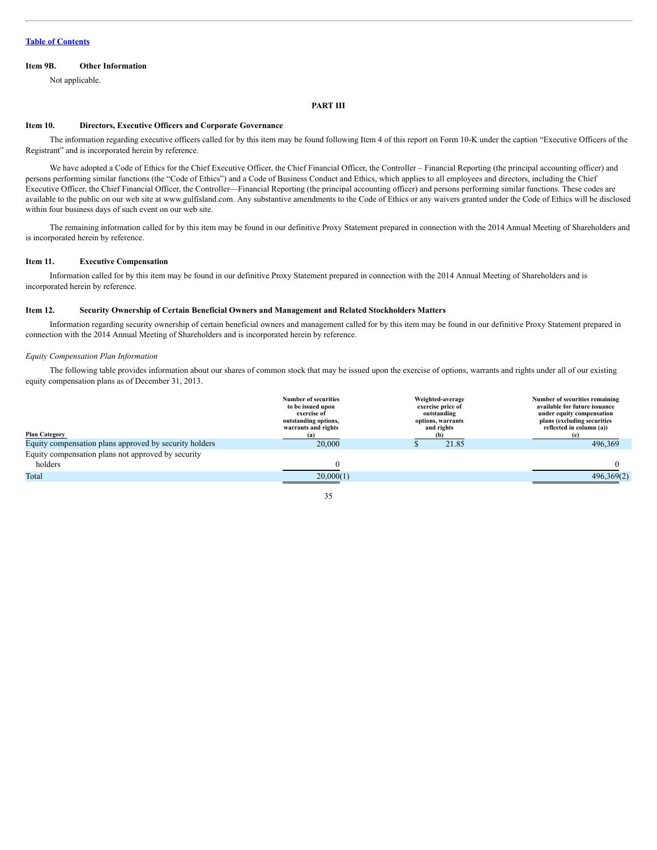#### <span id="page-36-0"></span>**Item 9B. Other Information**

Not applicable.

# **PART III**

### <span id="page-36-2"></span><span id="page-36-1"></span>**Item 10. Directors, Executive Officers and Corporate Governance**

The information regarding executive officers called for by this item may be found following Item 4 of this report on Form 10-K under the caption "Executive Officers of the Registrant" and is incorporated herein by reference.

We have adopted a Code of Ethics for the Chief Executive Officer, the Chief Financial Officer, the Controller – Financial Reporting (the principal accounting officer) and persons performing similar functions (the "Code of Ethics") and a Code of Business Conduct and Ethics, which applies to all employees and directors, including the Chief Executive Officer, the Chief Financial Officer, the Controller—Financial Reporting (the principal accounting officer) and persons performing similar functions. These codes are available to the public on our web site at www.gulfisland.com. Any substantive amendments to the Code of Ethics or any waivers granted under the Code of Ethics will be disclosed within four business days of such event on our web site.

The remaining information called for by this item may be found in our definitive Proxy Statement prepared in connection with the 2014 Annual Meeting of Shareholders and is incorporated herein by reference.

#### <span id="page-36-3"></span>**Item 11. Executive Compensation**

Information called for by this item may be found in our definitive Proxy Statement prepared in connection with the 2014 Annual Meeting of Shareholders and is incorporated herein by reference.

#### <span id="page-36-4"></span>**Item 12. Security Ownership of Certain Beneficial Owners and Management and Related Stockholders Matters**

Information regarding security ownership of certain beneficial owners and management called for by this item may be found in our definitive Proxy Statement prepared in connection with the 2014 Annual Meeting of Shareholders and is incorporated herein by reference.

#### *Equity Compensation Plan Information*

The following table provides information about our shares of common stock that may be issued upon the exercise of options, warrants and rights under all of our existing equity compensation plans as of December 31, 2013.

| <b>Plan Category</b>                                          | <b>Number of securities</b><br>to be issued upon<br>exercise of<br>outstanding options,<br>warrants and rights | Weighted-average<br>exercise price of<br>outstanding<br>options, warrants<br>and rights<br>(D) | Number of securities remaining<br>available for future issuance<br>under equity compensation<br>plans (excluding securities)<br>reflected in column (a)) |
|---------------------------------------------------------------|----------------------------------------------------------------------------------------------------------------|------------------------------------------------------------------------------------------------|----------------------------------------------------------------------------------------------------------------------------------------------------------|
| Equity compensation plans approved by security holders        | 20,000                                                                                                         | 21.85                                                                                          | 496,369                                                                                                                                                  |
| Equity compensation plans not approved by security<br>holders |                                                                                                                |                                                                                                |                                                                                                                                                          |
| Total                                                         | 20,000(1)                                                                                                      |                                                                                                | 496,369(2)                                                                                                                                               |

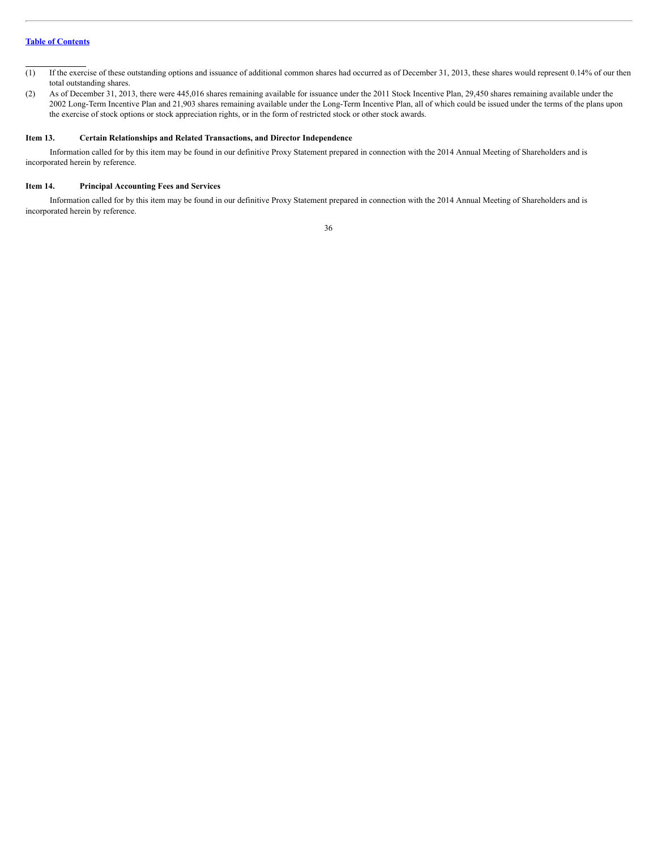- (1) If the exercise of these outstanding options and issuance of additional common shares had occurred as of December 31, 2013, these shares would represent 0.14% of our then total outstanding shares.
- (2) As of December 31, 2013, there were 445,016 shares remaining available for issuance under the 2011 Stock Incentive Plan, 29,450 shares remaining available under the 2002 Long-Term Incentive Plan and 21,903 shares remaining available under the Long-Term Incentive Plan, all of which could be issued under the terms of the plans upon the exercise of stock options or stock appreciation rights, or in the form of restricted stock or other stock awards.

# <span id="page-37-0"></span>**Item 13. Certain Relationships and Related Transactions, and Director Independence**

Information called for by this item may be found in our definitive Proxy Statement prepared in connection with the 2014 Annual Meeting of Shareholders and is incorporated herein by reference.

#### <span id="page-37-1"></span>**Item 14. Principal Accounting Fees and Services**

Information called for by this item may be found in our definitive Proxy Statement prepared in connection with the 2014 Annual Meeting of Shareholders and is incorporated herein by reference.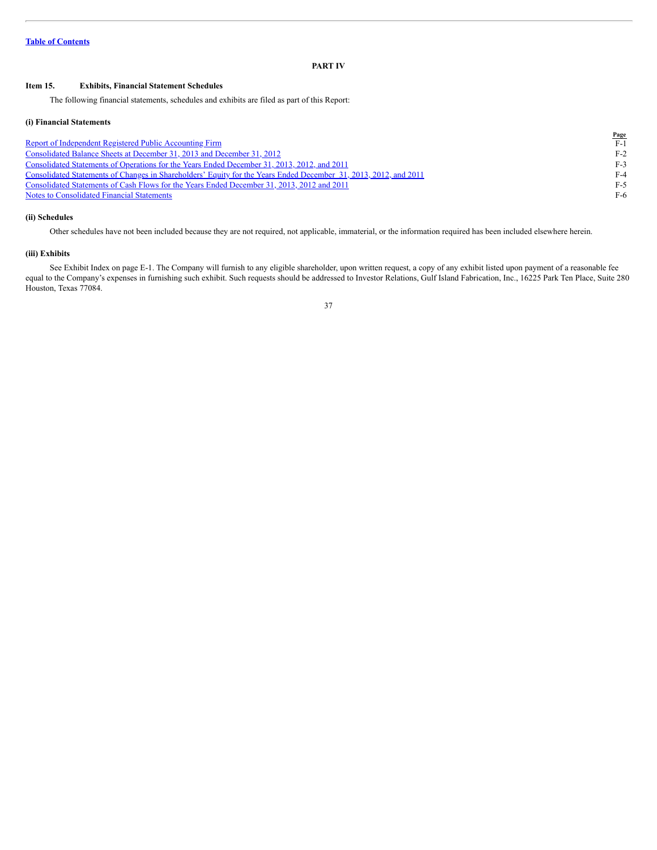# **PART IV**

# <span id="page-38-1"></span><span id="page-38-0"></span>**Item 15. Exhibits, Financial Statement Schedules**

The following financial statements, schedules and exhibits are filed as part of this Report:

# **(i) Financial Statements**

|                                                                                                                  | Page  |
|------------------------------------------------------------------------------------------------------------------|-------|
| <b>Report of Independent Registered Public Accounting Firm</b>                                                   | $F-1$ |
| Consolidated Balance Sheets at December 31, 2013 and December 31, 2012                                           | $F-2$ |
| Consolidated Statements of Operations for the Years Ended December 31, 2013, 2012, and 2011                      | $F-3$ |
| Consolidated Statements of Changes in Shareholders' Equity for the Years Ended December 31, 2013, 2012, and 2011 | $F-4$ |
| Consolidated Statements of Cash Flows for the Years Ended December 31, 2013, 2012 and 2011                       | F-5   |
| Notes to Consolidated Financial Statements                                                                       | F-6   |

# **(ii) Schedules**

Other schedules have not been included because they are not required, not applicable, immaterial, or the information required has been included elsewhere herein.

# **(iii) Exhibits**

See Exhibit Index on page E-1. The Company will furnish to any eligible shareholder, upon written request, a copy of any exhibit listed upon payment of a reasonable fee equal to the Company's expenses in furnishing such exhibit. Such requests should be addressed to Investor Relations, Gulf Island Fabrication, Inc., 16225 Park Ten Place, Suite 280 Houston, Texas 77084.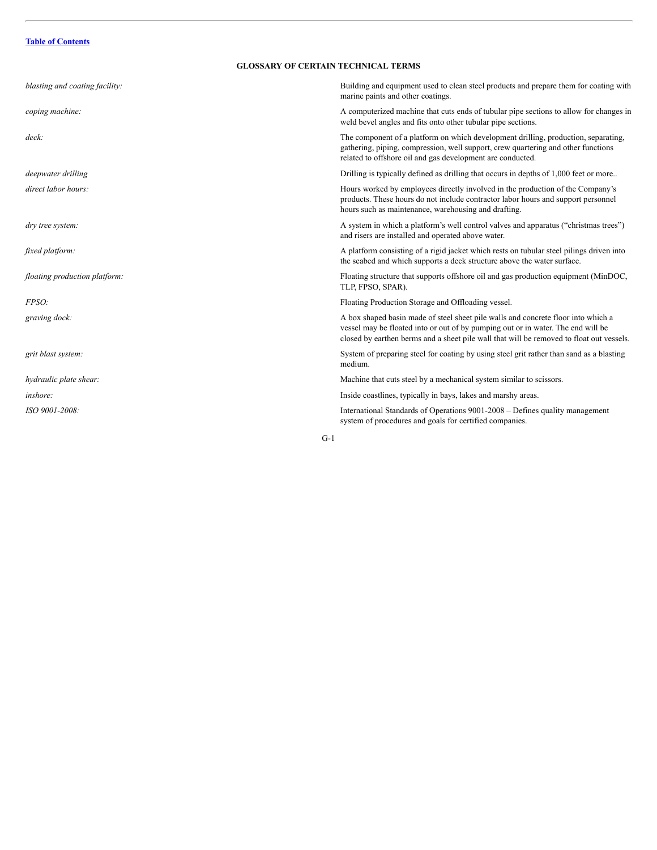# **GLOSSARY OF CERTAIN TECHNICAL TERMS**

<span id="page-39-0"></span>

| Building and equipment used to clean steel products and prepare them for coating with<br>marine paints and other coatings.                                                                                                                                        |
|-------------------------------------------------------------------------------------------------------------------------------------------------------------------------------------------------------------------------------------------------------------------|
| A computerized machine that cuts ends of tubular pipe sections to allow for changes in<br>weld bevel angles and fits onto other tubular pipe sections.                                                                                                            |
| The component of a platform on which development drilling, production, separating,<br>gathering, piping, compression, well support, crew quartering and other functions<br>related to offshore oil and gas development are conducted.                             |
| Drilling is typically defined as drilling that occurs in depths of 1,000 feet or more                                                                                                                                                                             |
| Hours worked by employees directly involved in the production of the Company's<br>products. These hours do not include contractor labor hours and support personnel<br>hours such as maintenance, warehousing and drafting.                                       |
| A system in which a platform's well control valves and apparatus ("christmas trees")<br>and risers are installed and operated above water.                                                                                                                        |
| A platform consisting of a rigid jacket which rests on tubular steel pilings driven into<br>the seabed and which supports a deck structure above the water surface.                                                                                               |
| Floating structure that supports offshore oil and gas production equipment (MinDOC,<br>TLP, FPSO, SPAR).                                                                                                                                                          |
| Floating Production Storage and Offloading vessel.                                                                                                                                                                                                                |
| A box shaped basin made of steel sheet pile walls and concrete floor into which a<br>vessel may be floated into or out of by pumping out or in water. The end will be<br>closed by earthen berms and a sheet pile wall that will be removed to float out vessels. |
| System of preparing steel for coating by using steel grit rather than sand as a blasting<br>medium.                                                                                                                                                               |
| Machine that cuts steel by a mechanical system similar to scissors.                                                                                                                                                                                               |
| Inside coastlines, typically in bays, lakes and marshy areas.                                                                                                                                                                                                     |
| International Standards of Operations 9001-2008 – Defines quality management<br>system of procedures and goals for certified companies.                                                                                                                           |
|                                                                                                                                                                                                                                                                   |

G-1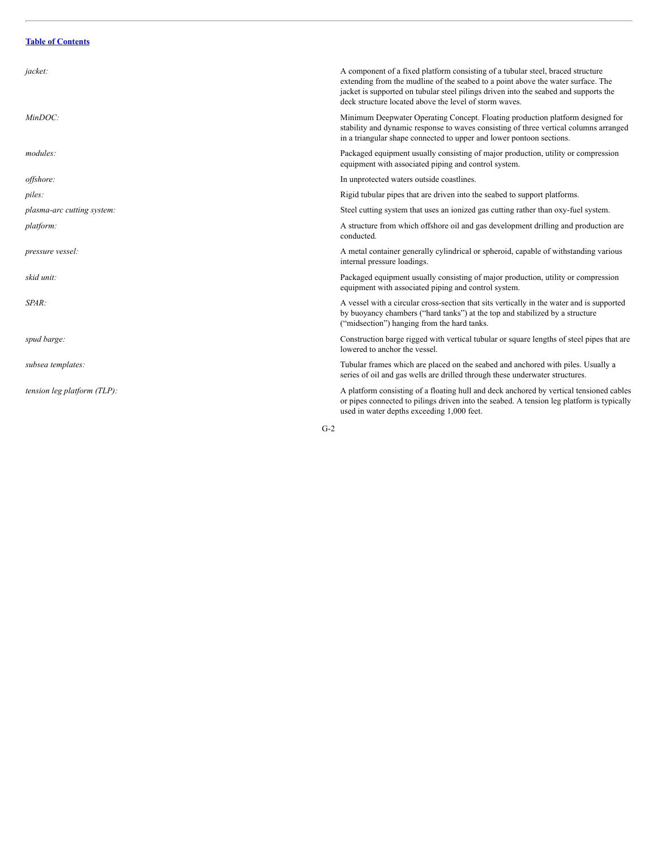| jacket:                            | A component of a fixed platform consisting of a tubular steel, braced structure<br>extending from the mudline of the seabed to a point above the water surface. The<br>jacket is supported on tubular steel pilings driven into the seabed and supports the<br>deck structure located above the level of storm waves. |
|------------------------------------|-----------------------------------------------------------------------------------------------------------------------------------------------------------------------------------------------------------------------------------------------------------------------------------------------------------------------|
| MinDOC:                            | Minimum Deepwater Operating Concept. Floating production platform designed for<br>stability and dynamic response to waves consisting of three vertical columns arranged<br>in a triangular shape connected to upper and lower pontoon sections.                                                                       |
| modules:                           | Packaged equipment usually consisting of major production, utility or compression<br>equipment with associated piping and control system.                                                                                                                                                                             |
| <i>offshore:</i>                   | In unprotected waters outside coastlines.                                                                                                                                                                                                                                                                             |
| piles:                             | Rigid tubular pipes that are driven into the seabed to support platforms.                                                                                                                                                                                                                                             |
| plasma-arc cutting system:         | Steel cutting system that uses an ionized gas cutting rather than oxy-fuel system.                                                                                                                                                                                                                                    |
| platform:                          | A structure from which offshore oil and gas development drilling and production are<br>conducted.                                                                                                                                                                                                                     |
| <i>pressure</i> vessel:            | A metal container generally cylindrical or spheroid, capable of withstanding various<br>internal pressure loadings.                                                                                                                                                                                                   |
| skid unit:                         | Packaged equipment usually consisting of major production, utility or compression<br>equipment with associated piping and control system.                                                                                                                                                                             |
| SPAR:                              | A vessel with a circular cross-section that sits vertically in the water and is supported<br>by buoyancy chambers ("hard tanks") at the top and stabilized by a structure<br>("midsection") hanging from the hard tanks.                                                                                              |
| spud barge:                        | Construction barge rigged with vertical tubular or square lengths of steel pipes that are<br>lowered to anchor the vessel.                                                                                                                                                                                            |
| subsea templates:                  | Tubular frames which are placed on the seabed and anchored with piles. Usually a<br>series of oil and gas wells are drilled through these underwater structures.                                                                                                                                                      |
| <i>tension leg platform (TLP):</i> | A platform consisting of a floating hull and deck anchored by vertical tensioned cables<br>or pipes connected to pilings driven into the seabed. A tension leg platform is typically<br>used in water depths exceeding 1,000 feet.                                                                                    |

G-2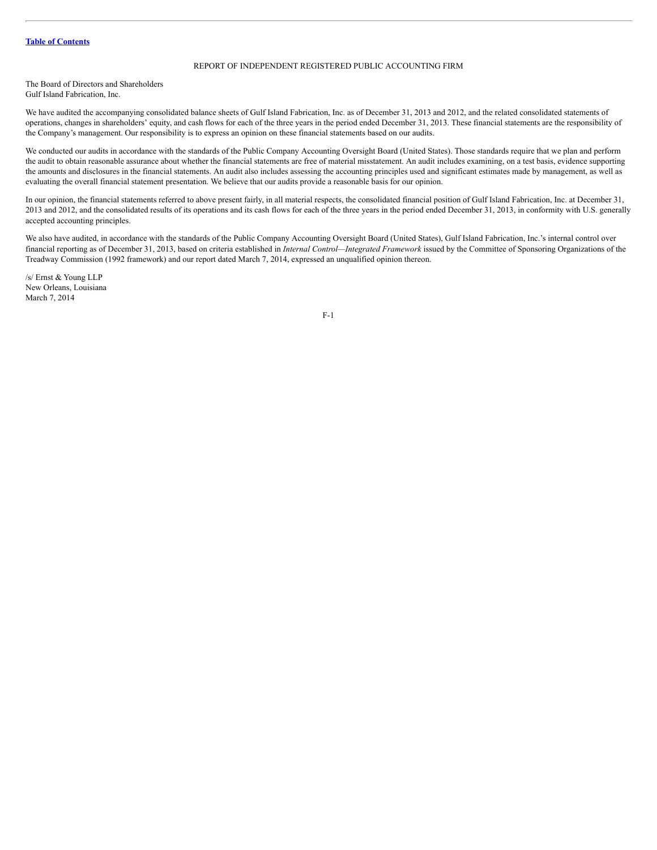# REPORT OF INDEPENDENT REGISTERED PUBLIC ACCOUNTING FIRM

<span id="page-41-0"></span>The Board of Directors and Shareholders Gulf Island Fabrication, Inc.

We have audited the accompanying consolidated balance sheets of Gulf Island Fabrication, Inc. as of December 31, 2013 and 2012, and the related consolidated statements of operations, changes in shareholders' equity, and cash flows for each of the three years in the period ended December 31, 2013. These financial statements are the responsibility of the Company's management. Our responsibility is to express an opinion on these financial statements based on our audits.

We conducted our audits in accordance with the standards of the Public Company Accounting Oversight Board (United States). Those standards require that we plan and perform the audit to obtain reasonable assurance about whether the financial statements are free of material misstatement. An audit includes examining, on a test basis, evidence supporting the amounts and disclosures in the financial statements. An audit also includes assessing the accounting principles used and significant estimates made by management, as well as evaluating the overall financial statement presentation. We believe that our audits provide a reasonable basis for our opinion.

In our opinion, the financial statements referred to above present fairly, in all material respects, the consolidated financial position of Gulf Island Fabrication, Inc. at December 31, 2013 and 2012, and the consolidated results of its operations and its cash flows for each of the three years in the period ended December 31, 2013, in conformity with U.S. generally accepted accounting principles.

We also have audited, in accordance with the standards of the Public Company Accounting Oversight Board (United States), Gulf Island Fabrication, Inc.'s internal control over financial reporting as of December 31, 2013, based on criteria established in *Internal Control—Integrated Framework* issued by the Committee of Sponsoring Organizations of the Treadway Commission (1992 framework) and our report dated March 7, 2014, expressed an unqualified opinion thereon.

/s/ Ernst & Young LLP New Orleans, Louisiana March 7, 2014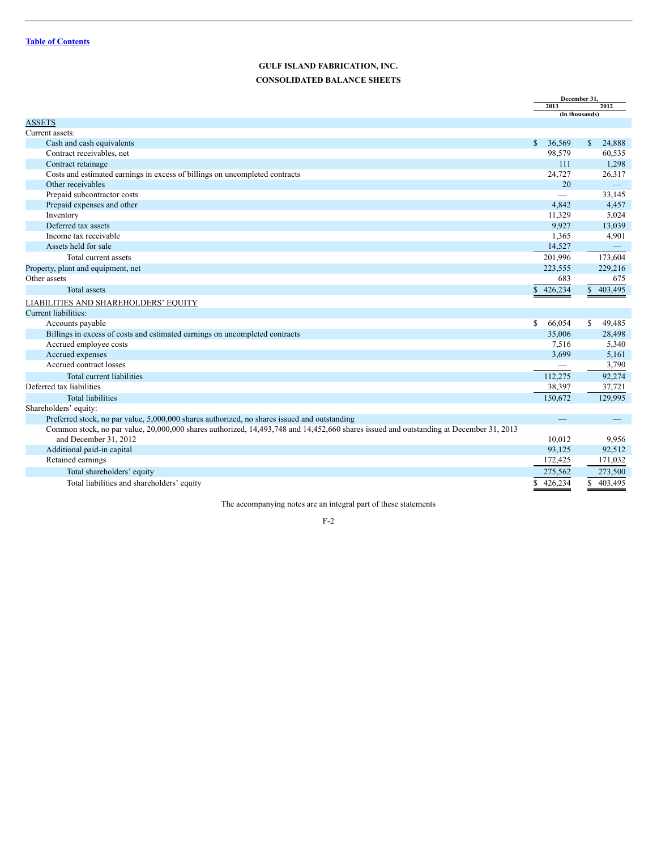# **CONSOLIDATED BALANCE SHEETS**

<span id="page-42-0"></span>

|                                                                                                                                        | December 31,      |                        |
|----------------------------------------------------------------------------------------------------------------------------------------|-------------------|------------------------|
|                                                                                                                                        | 2013              | 2012<br>(in thousands) |
| <b>ASSETS</b>                                                                                                                          |                   |                        |
| Current assets:                                                                                                                        |                   |                        |
| Cash and cash equivalents                                                                                                              | \$<br>36,569      | \$<br>24,888           |
| Contract receivables, net                                                                                                              | 98,579            | 60,535                 |
| Contract retainage                                                                                                                     | 111               | 1,298                  |
| Costs and estimated earnings in excess of billings on uncompleted contracts                                                            | 24,727            | 26,317                 |
| Other receivables                                                                                                                      | 20                |                        |
| Prepaid subcontractor costs                                                                                                            | $\qquad \qquad$   | 33,145                 |
| Prepaid expenses and other                                                                                                             | 4,842             | 4,457                  |
| Inventory                                                                                                                              | 11,329            | 5,024                  |
| Deferred tax assets                                                                                                                    | 9,927             | 13,039                 |
| Income tax receivable                                                                                                                  | 1,365             | 4,901                  |
| Assets held for sale                                                                                                                   | 14,527            |                        |
| Total current assets                                                                                                                   | 201,996           | 173,604                |
| Property, plant and equipment, net                                                                                                     | 223,555           | 229,216                |
| Other assets                                                                                                                           | 683               | 675                    |
| <b>Total</b> assets                                                                                                                    | 426,234<br>\$     | $\mathbf S$<br>403,495 |
| <b>LIABILITIES AND SHAREHOLDERS' EQUITY</b>                                                                                            |                   |                        |
| Current liabilities:                                                                                                                   |                   |                        |
| Accounts payable                                                                                                                       | \$<br>66,054      | 49,485<br>\$           |
| Billings in excess of costs and estimated earnings on uncompleted contracts                                                            | 35,006            | 28,498                 |
| Accrued employee costs                                                                                                                 | 7,516             | 5,340                  |
| Accrued expenses                                                                                                                       | 3,699             | 5,161                  |
| Accrued contract losses                                                                                                                | $\qquad \qquad -$ | 3,790                  |
| Total current liabilities                                                                                                              | 112,275           | 92,274                 |
| Deferred tax liabilities                                                                                                               | 38,397            | 37,721                 |
| <b>Total liabilities</b>                                                                                                               | 150,672           | 129,995                |
| Shareholders' equity:                                                                                                                  |                   |                        |
| Preferred stock, no par value, 5,000,000 shares authorized, no shares issued and outstanding                                           |                   |                        |
| Common stock, no par value, 20,000,000 shares authorized, 14,493,748 and 14,452,660 shares issued and outstanding at December 31, 2013 |                   |                        |
| and December 31, 2012                                                                                                                  | 10,012            | 9,956                  |
| Additional paid-in capital                                                                                                             | 93,125            | 92,512                 |
| Retained earnings                                                                                                                      | 172,425           | 171,032                |
| Total shareholders' equity                                                                                                             | 275,562           | 273,500                |
| Total liabilities and shareholders' equity                                                                                             | 426,234           | 403,495                |

The accompanying notes are an integral part of these statements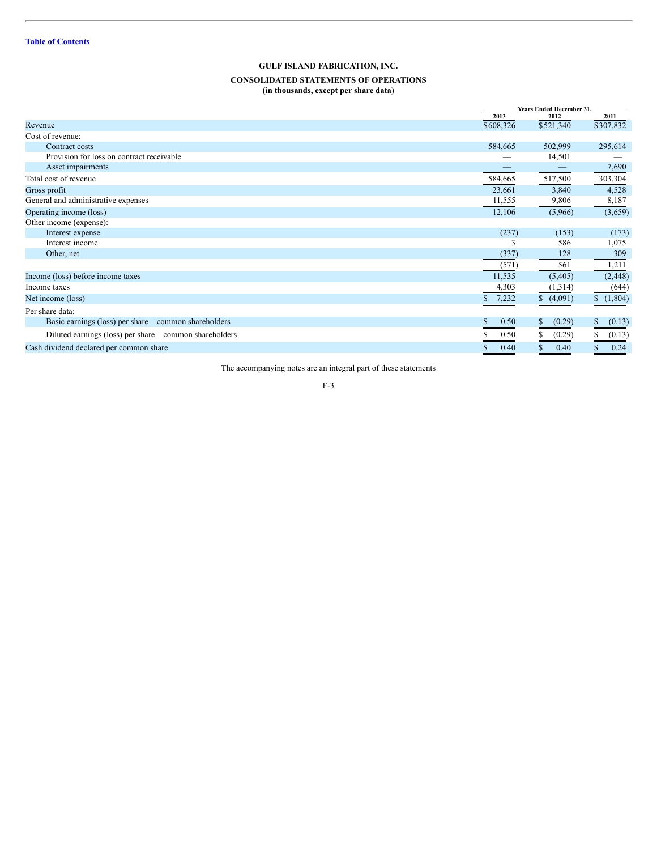# **CONSOLIDATED STATEMENTS OF OPERATIONS**

**(in thousands, except per share data)**

<span id="page-43-0"></span>

|                                                       | <b>Years Ended December 31.</b> |               |              |
|-------------------------------------------------------|---------------------------------|---------------|--------------|
|                                                       | 2013                            | 2012          | 2011         |
| Revenue                                               | \$608,326                       | \$521,340     | \$307,832    |
| Cost of revenue:                                      |                                 |               |              |
| Contract costs                                        | 584,665                         | 502,999       | 295,614      |
| Provision for loss on contract receivable             |                                 | 14,501        |              |
| Asset impairments                                     |                                 |               | 7,690        |
| Total cost of revenue                                 | 584,665                         | 517,500       | 303,304      |
| Gross profit                                          | 23,661                          | 3,840         | 4,528        |
| General and administrative expenses                   | 11,555                          | 9,806         | 8,187        |
| Operating income (loss)                               | 12,106                          | (5,966)       | (3,659)      |
| Other income (expense):                               |                                 |               |              |
| Interest expense                                      | (237)                           | (153)         | (173)        |
| Interest income                                       | 3                               | 586           | 1,075        |
| Other, net                                            | (337)                           | 128           | 309          |
|                                                       | (571)                           | 561           | 1,211        |
| Income (loss) before income taxes                     | 11,535                          | (5,405)       | (2, 448)     |
| Income taxes                                          | 4,303                           | (1,314)       | (644)        |
| Net income (loss)                                     | 7,232<br>\$                     | \$<br>(4,091) | \$(1,804)    |
| Per share data:                                       |                                 |               |              |
| Basic earnings (loss) per share—common shareholders   | 0.50                            | (0.29)        | (0.13)<br>\$ |
| Diluted earnings (loss) per share—common shareholders | 0.50                            | (0.29)        | (0.13)       |
| Cash dividend declared per common share               | 0.40                            | 0.40          | 0.24         |

The accompanying notes are an integral part of these statements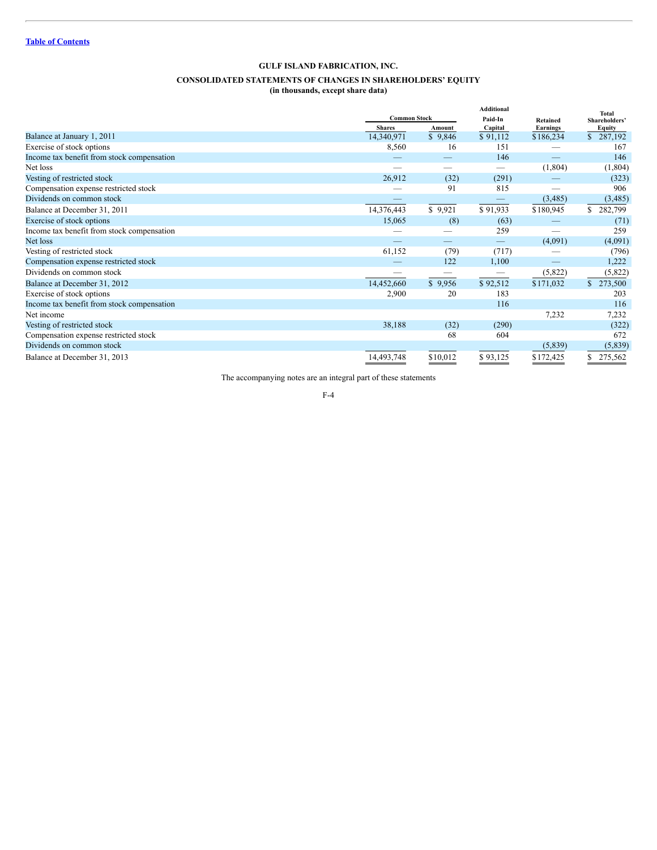# **CONSOLIDATED STATEMENTS OF CHANGES IN SHAREHOLDERS' EQUITY**

**(in thousands, except share data)**

<span id="page-44-0"></span>

|                                            | <b>Common Stock</b><br><b>Shares</b> | Amount   | <b>Additional</b><br>Paid-In<br>Capital | Retained<br>Earnings | <b>Total</b><br>Shareholders'<br>Equity |
|--------------------------------------------|--------------------------------------|----------|-----------------------------------------|----------------------|-----------------------------------------|
| Balance at January 1, 2011                 | 14,340,971                           | \$9,846  | \$91,112                                | \$186,234            | \$287,192                               |
| Exercise of stock options                  | 8,560                                | 16       | 151                                     |                      | 167                                     |
| Income tax benefit from stock compensation |                                      |          | 146                                     |                      | 146                                     |
| Net loss                                   |                                      |          |                                         | (1,804)              | (1,804)                                 |
| Vesting of restricted stock                | 26,912                               | (32)     | (291)                                   |                      | (323)                                   |
| Compensation expense restricted stock      |                                      | 91       | 815                                     |                      | 906                                     |
| Dividends on common stock                  |                                      |          |                                         | (3,485)              | (3,485)                                 |
| Balance at December 31, 2011               | 14,376,443                           | \$9,921  | \$91,933                                | \$180,945            | 282,799                                 |
| Exercise of stock options                  | 15,065                               | (8)      | (63)                                    |                      | (71)                                    |
| Income tax benefit from stock compensation |                                      |          | 259                                     |                      | 259                                     |
| Net loss                                   |                                      | —        | $\qquad \qquad -$                       | (4,091)              | (4,091)                                 |
| Vesting of restricted stock                | 61,152                               | (79)     | (717)                                   |                      | (796)                                   |
| Compensation expense restricted stock      |                                      | 122      | 1,100                                   |                      | 1,222                                   |
| Dividends on common stock                  |                                      |          |                                         | (5,822)              | (5,822)                                 |
| Balance at December 31, 2012               | 14,452,660                           | \$9,956  | \$92,512                                | \$171,032            | 273,500                                 |
| Exercise of stock options                  | 2,900                                | 20       | 183                                     |                      | 203                                     |
| Income tax benefit from stock compensation |                                      |          | 116                                     |                      | 116                                     |
| Net income                                 |                                      |          |                                         | 7,232                | 7,232                                   |
| Vesting of restricted stock                | 38,188                               | (32)     | (290)                                   |                      | (322)                                   |
| Compensation expense restricted stock      |                                      | 68       | 604                                     |                      | 672                                     |
| Dividends on common stock                  |                                      |          |                                         | (5,839)              | (5,839)                                 |
| Balance at December 31, 2013               | 14,493,748                           | \$10,012 | \$93,125                                | \$172,425            | 275,562                                 |

The accompanying notes are an integral part of these statements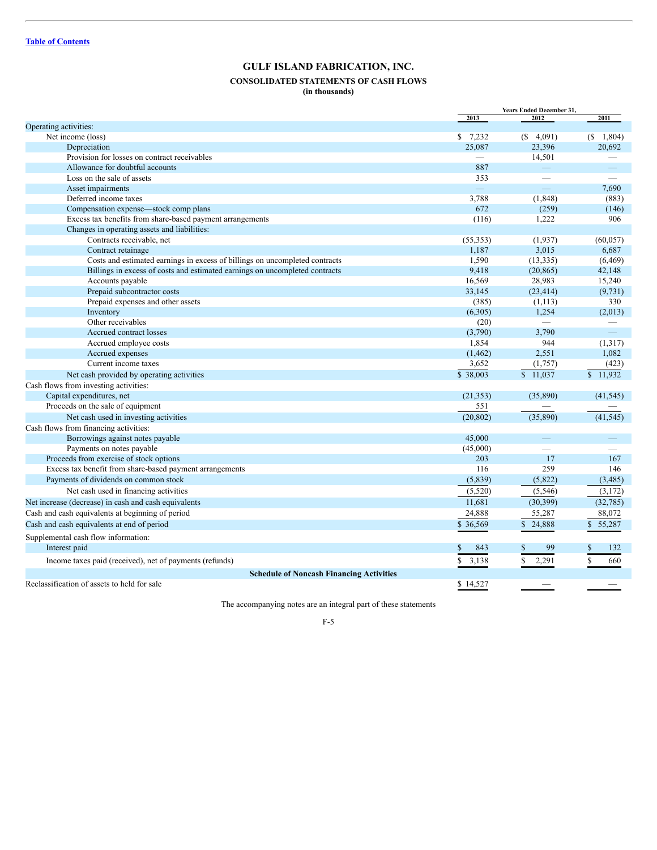#### **CONSOLIDATED STATEMENTS OF CASH FLOWS (in thousands)**

<span id="page-45-0"></span>

|                                                                             |                          | <b>Years Ended December 31,</b> |                 |
|-----------------------------------------------------------------------------|--------------------------|---------------------------------|-----------------|
|                                                                             | 2013                     | 2012                            | 2011            |
| Operating activities:                                                       |                          |                                 |                 |
| Net income (loss)                                                           | \$<br>7,232              | (S)<br>4,091)                   | (S<br>1,804)    |
| Depreciation                                                                | 25,087                   | 23,396                          | 20,692          |
| Provision for losses on contract receivables                                |                          | 14,501                          |                 |
| Allowance for doubtful accounts                                             | 887                      | $\overline{\phantom{0}}$        |                 |
| Loss on the sale of assets                                                  | 353                      | $\equiv$                        |                 |
| Asset impairments                                                           | $\overline{\phantom{0}}$ |                                 | 7,690           |
| Deferred income taxes                                                       | 3,788                    | (1, 848)                        | (883)           |
| Compensation expense-stock comp plans                                       | 672                      | (259)                           | (146)           |
| Excess tax benefits from share-based payment arrangements                   | (116)                    | 1,222                           | 906             |
| Changes in operating assets and liabilities:<br>Contracts receivable, net   |                          |                                 |                 |
|                                                                             | (55, 353)                | (1,937)                         | (60, 057)       |
| Contract retainage                                                          | 1,187                    | 3,015                           | 6,687           |
| Costs and estimated earnings in excess of billings on uncompleted contracts | 1,590                    | (13, 335)                       | (6, 469)        |
| Billings in excess of costs and estimated earnings on uncompleted contracts | 9,418                    | (20, 865)                       | 42,148          |
| Accounts payable                                                            | 16,569                   | 28,983                          | 15,240          |
| Prepaid subcontractor costs                                                 | 33,145                   | (23, 414)                       | (9, 731)<br>330 |
| Prepaid expenses and other assets<br>Inventory                              | (385)                    | (1, 113)<br>1,254               | (2,013)         |
| Other receivables                                                           | (6,305)                  |                                 |                 |
| Accrued contract losses                                                     | (20)<br>(3,790)          | 3,790                           | $\equiv$        |
| Accrued employee costs                                                      | 1,854                    | 944                             | (1,317)         |
| Accrued expenses                                                            | (1, 462)                 | 2,551                           | 1,082           |
| Current income taxes                                                        | 3,652                    | (1,757)                         | (423)           |
|                                                                             |                          |                                 |                 |
| Net cash provided by operating activities                                   | \$38,003                 | \$11,037                        | \$11,932        |
| Cash flows from investing activities:                                       |                          |                                 |                 |
| Capital expenditures, net                                                   | (21, 353)                | (35,890)                        | (41, 545)       |
| Proceeds on the sale of equipment                                           | 551                      |                                 |                 |
| Net cash used in investing activities                                       | (20, 802)                | (35,890)                        | (41, 545)       |
| Cash flows from financing activities:                                       |                          |                                 |                 |
| Borrowings against notes payable                                            | 45,000                   |                                 |                 |
| Payments on notes payable                                                   | (45,000)                 |                                 |                 |
| Proceeds from exercise of stock options                                     | 203                      | 17                              | 167             |
| Excess tax benefit from share-based payment arrangements                    | 116                      | 259                             | 146             |
| Payments of dividends on common stock                                       | (5, 839)                 | (5,822)                         | (3,485)         |
| Net cash used in financing activities                                       | (5,520)                  | (5, 546)                        | (3,172)         |
| Net increase (decrease) in cash and cash equivalents                        | 11,681                   | (30, 399)                       | (32, 785)       |
| Cash and cash equivalents at beginning of period                            | 24,888                   | 55,287                          | 88,072          |
| Cash and cash equivalents at end of period                                  | \$36,569                 | 24,888<br>\$                    | \$<br>55,287    |
| Supplemental cash flow information:                                         |                          |                                 |                 |
| Interest paid                                                               | 843<br>S                 | \$<br>99                        | 132<br>\$       |
| Income taxes paid (received), net of payments (refunds)                     | 3,138<br>\$              | \$<br>2,291                     | \$<br>660       |
| <b>Schedule of Noncash Financing Activities</b>                             |                          |                                 |                 |
| Reclassification of assets to held for sale                                 | \$14.527                 | $\overline{\phantom{0}}$        |                 |

The accompanying notes are an integral part of these statements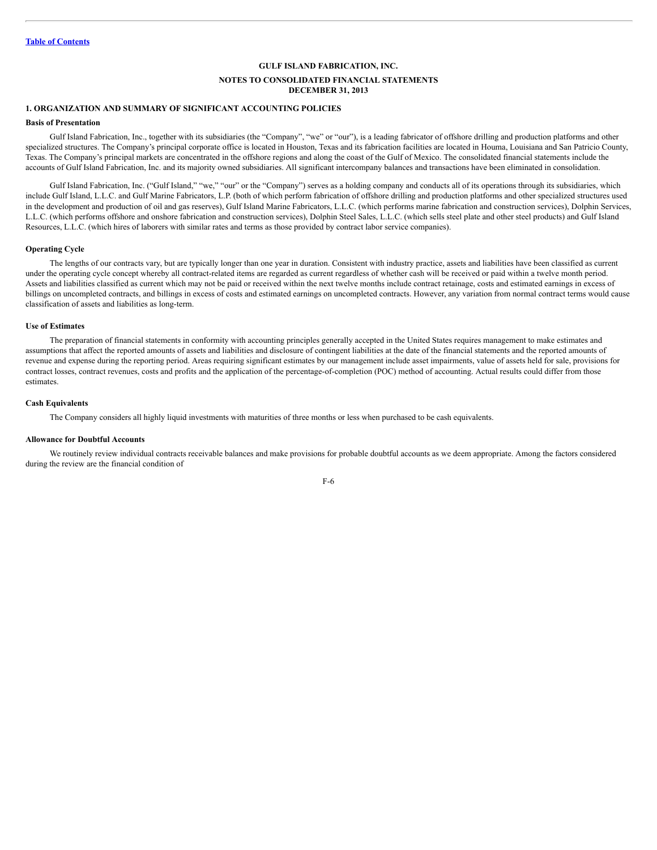# **GULF ISLAND FABRICATION, INC. NOTES TO CONSOLIDATED FINANCIAL STATEMENTS DECEMBER 31, 2013**

# <span id="page-46-0"></span>**1. ORGANIZATION AND SUMMARY OF SIGNIFICANT ACCOUNTING POLICIES**

# **Basis of Presentation**

Gulf Island Fabrication, Inc., together with its subsidiaries (the "Company", "we" or "our"), is a leading fabricator of offshore drilling and production platforms and other specialized structures. The Company's principal corporate office is located in Houston, Texas and its fabrication facilities are located in Houma, Louisiana and San Patricio County, Texas. The Company's principal markets are concentrated in the offshore regions and along the coast of the Gulf of Mexico. The consolidated financial statements include the accounts of Gulf Island Fabrication, Inc. and its majority owned subsidiaries. All significant intercompany balances and transactions have been eliminated in consolidation.

Gulf Island Fabrication, Inc. ("Gulf Island," "we," "our" or the "Company") serves as a holding company and conducts all of its operations through its subsidiaries, which include Gulf Island, L.L.C. and Gulf Marine Fabricators, L.P. (both of which perform fabrication of offshore drilling and production platforms and other specialized structures used in the development and production of oil and gas reserves), Gulf Island Marine Fabricators, L.L.C. (which performs marine fabrication and construction services), Dolphin Services, L.L.C. (which performs offshore and onshore fabrication and construction services), Dolphin Steel Sales, L.L.C. (which sells steel plate and other steel products) and Gulf Island Resources, L.L.C. (which hires of laborers with similar rates and terms as those provided by contract labor service companies).

#### **Operating Cycle**

The lengths of our contracts vary, but are typically longer than one year in duration. Consistent with industry practice, assets and liabilities have been classified as current under the operating cycle concept whereby all contract-related items are regarded as current regardless of whether cash will be received or paid within a twelve month period. Assets and liabilities classified as current which may not be paid or received within the next twelve months include contract retainage, costs and estimated earnings in excess of billings on uncompleted contracts, and billings in excess of costs and estimated earnings on uncompleted contracts. However, any variation from normal contract terms would cause classification of assets and liabilities as long-term.

# **Use of Estimates**

The preparation of financial statements in conformity with accounting principles generally accepted in the United States requires management to make estimates and assumptions that affect the reported amounts of assets and liabilities and disclosure of contingent liabilities at the date of the financial statements and the reported amounts of revenue and expense during the reporting period. Areas requiring significant estimates by our management include asset impairments, value of assets held for sale, provisions for contract losses, contract revenues, costs and profits and the application of the percentage-of-completion (POC) method of accounting. Actual results could differ from those estimates.

#### **Cash Equivalents**

The Company considers all highly liquid investments with maturities of three months or less when purchased to be cash equivalents.

### **Allowance for Doubtful Accounts**

We routinely review individual contracts receivable balances and make provisions for probable doubtful accounts as we deem appropriate. Among the factors considered during the review are the financial condition of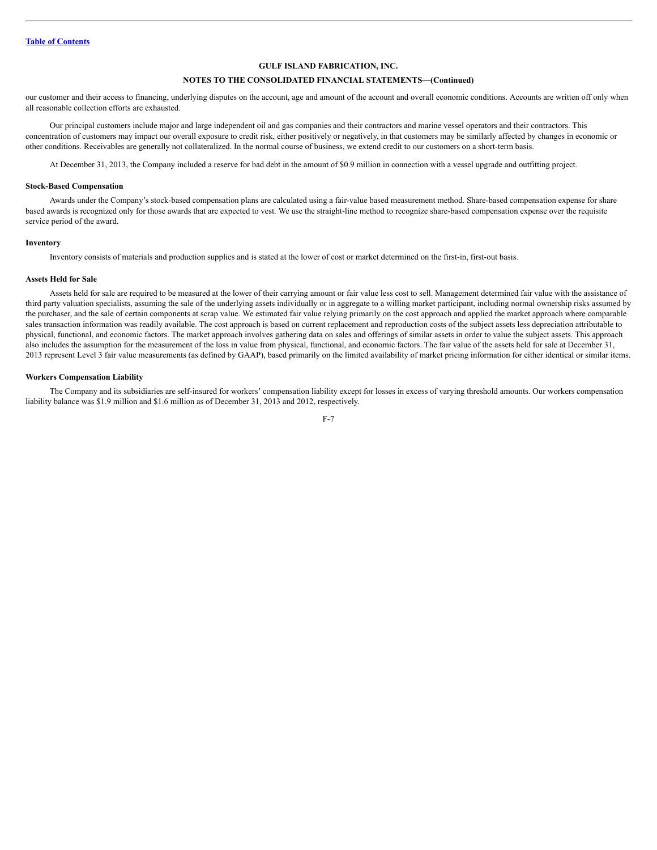### **NOTES TO THE CONSOLIDATED FINANCIAL STATEMENTS—(Continued)**

our customer and their access to financing, underlying disputes on the account, age and amount of the account and overall economic conditions. Accounts are written off only when all reasonable collection efforts are exhausted.

Our principal customers include major and large independent oil and gas companies and their contractors and marine vessel operators and their contractors. This concentration of customers may impact our overall exposure to credit risk, either positively or negatively, in that customers may be similarly affected by changes in economic or other conditions. Receivables are generally not collateralized. In the normal course of business, we extend credit to our customers on a short-term basis.

At December 31, 2013, the Company included a reserve for bad debt in the amount of \$0.9 million in connection with a vessel upgrade and outfitting project.

#### **Stock-Based Compensation**

Awards under the Company's stock-based compensation plans are calculated using a fair-value based measurement method. Share-based compensation expense for share based awards is recognized only for those awards that are expected to vest. We use the straight-line method to recognize share-based compensation expense over the requisite service period of the award.

#### **Inventory**

Inventory consists of materials and production supplies and is stated at the lower of cost or market determined on the first-in, first-out basis.

#### **Assets Held for Sale**

Assets held for sale are required to be measured at the lower of their carrying amount or fair value less cost to sell. Management determined fair value with the assistance of third party valuation specialists, assuming the sale of the underlying assets individually or in aggregate to a willing market participant, including normal ownership risks assumed by the purchaser, and the sale of certain components at scrap value. We estimated fair value relying primarily on the cost approach and applied the market approach where comparable sales transaction information was readily available. The cost approach is based on current replacement and reproduction costs of the subject assets less depreciation attributable to physical, functional, and economic factors. The market approach involves gathering data on sales and offerings of similar assets in order to value the subject assets. This approach also includes the assumption for the measurement of the loss in value from physical, functional, and economic factors. The fair value of the assets held for sale at December 31, 2013 represent Level 3 fair value measurements (as defined by GAAP), based primarily on the limited availability of market pricing information for either identical or similar items.

#### **Workers Compensation Liability**

The Company and its subsidiaries are self-insured for workers' compensation liability except for losses in excess of varying threshold amounts. Our workers compensation liability balance was \$1.9 million and \$1.6 million as of December 31, 2013 and 2012, respectively.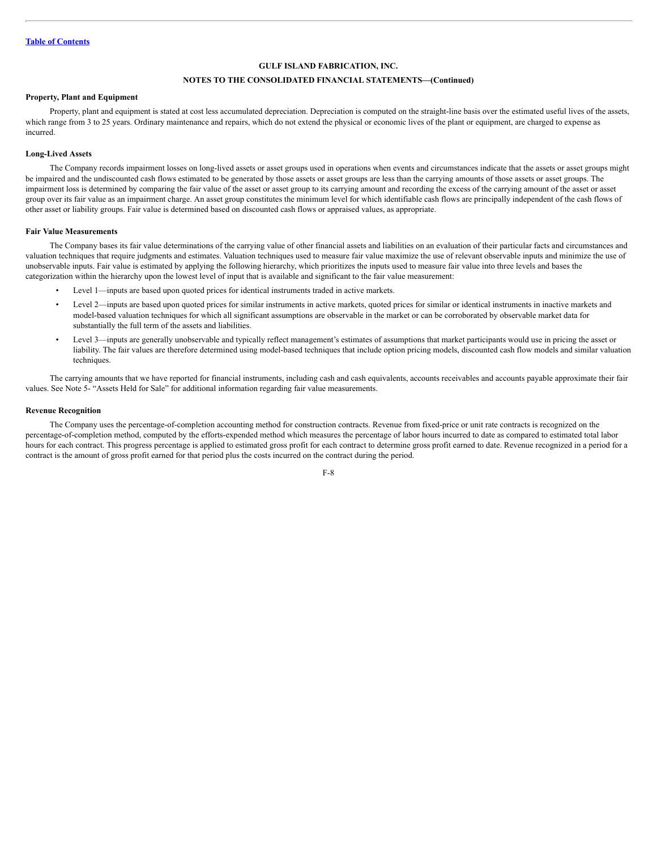# **NOTES TO THE CONSOLIDATED FINANCIAL STATEMENTS—(Continued)**

#### **Property, Plant and Equipment**

Property, plant and equipment is stated at cost less accumulated depreciation. Depreciation is computed on the straight-line basis over the estimated useful lives of the assets, which range from 3 to 25 years. Ordinary maintenance and repairs, which do not extend the physical or economic lives of the plant or equipment, are charged to expense as incurred.

### **Long-Lived Assets**

The Company records impairment losses on long-lived assets or asset groups used in operations when events and circumstances indicate that the assets or asset groups might be impaired and the undiscounted cash flows estimated to be generated by those assets or asset groups are less than the carrying amounts of those assets or asset groups. The impairment loss is determined by comparing the fair value of the asset or asset group to its carrying amount and recording the excess of the carrying amount of the asset or asset group over its fair value as an impairment charge. An asset group constitutes the minimum level for which identifiable cash flows are principally independent of the cash flows of other asset or liability groups. Fair value is determined based on discounted cash flows or appraised values, as appropriate.

#### **Fair Value Measurements**

The Company bases its fair value determinations of the carrying value of other financial assets and liabilities on an evaluation of their particular facts and circumstances and valuation techniques that require judgments and estimates. Valuation techniques used to measure fair value maximize the use of relevant observable inputs and minimize the use of unobservable inputs. Fair value is estimated by applying the following hierarchy, which prioritizes the inputs used to measure fair value into three levels and bases the categorization within the hierarchy upon the lowest level of input that is available and significant to the fair value measurement:

- Level 1—inputs are based upon quoted prices for identical instruments traded in active markets.
- Level 2—inputs are based upon quoted prices for similar instruments in active markets, quoted prices for similar or identical instruments in inactive markets and model-based valuation techniques for which all significant assumptions are observable in the market or can be corroborated by observable market data for substantially the full term of the assets and liabilities.
- Level 3—inputs are generally unobservable and typically reflect management's estimates of assumptions that market participants would use in pricing the asset or liability. The fair values are therefore determined using model-based techniques that include option pricing models, discounted cash flow models and similar valuation techniques.

The carrying amounts that we have reported for financial instruments, including cash and cash equivalents, accounts receivables and accounts payable approximate their fair values. See Note 5- "Assets Held for Sale" for additional information regarding fair value measurements.

#### **Revenue Recognition**

The Company uses the percentage-of-completion accounting method for construction contracts. Revenue from fixed-price or unit rate contracts is recognized on the percentage-of-completion method, computed by the efforts-expended method which measures the percentage of labor hours incurred to date as compared to estimated total labor hours for each contract. This progress percentage is applied to estimated gross profit for each contract to determine gross profit earned to date. Revenue recognized in a period for a contract is the amount of gross profit earned for that period plus the costs incurred on the contract during the period.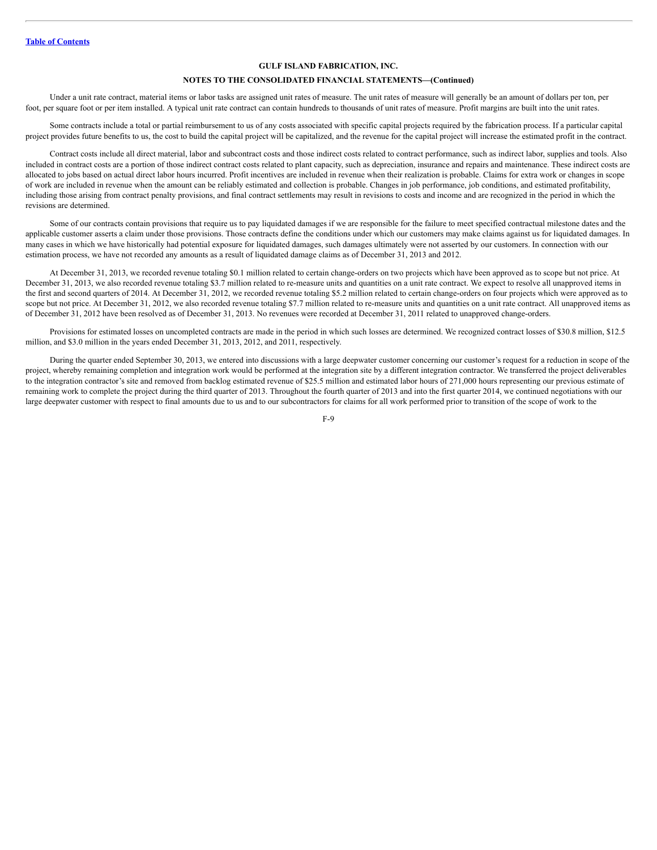# **NOTES TO THE CONSOLIDATED FINANCIAL STATEMENTS—(Continued)**

Under a unit rate contract, material items or labor tasks are assigned unit rates of measure. The unit rates of measure will generally be an amount of dollars per ton, per foot, per square foot or per item installed. A typical unit rate contract can contain hundreds to thousands of unit rates of measure. Profit margins are built into the unit rates.

Some contracts include a total or partial reimbursement to us of any costs associated with specific capital projects required by the fabrication process. If a particular capital project provides future benefits to us, the cost to build the capital project will be capitalized, and the revenue for the capital project will increase the estimated profit in the contract.

Contract costs include all direct material, labor and subcontract costs and those indirect costs related to contract performance, such as indirect labor, supplies and tools. Also included in contract costs are a portion of those indirect contract costs related to plant capacity, such as depreciation, insurance and repairs and maintenance. These indirect costs are allocated to jobs based on actual direct labor hours incurred. Profit incentives are included in revenue when their realization is probable. Claims for extra work or changes in scope of work are included in revenue when the amount can be reliably estimated and collection is probable. Changes in job performance, job conditions, and estimated profitability, including those arising from contract penalty provisions, and final contract settlements may result in revisions to costs and income and are recognized in the period in which the revisions are determined.

Some of our contracts contain provisions that require us to pay liquidated damages if we are responsible for the failure to meet specified contractual milestone dates and the applicable customer asserts a claim under those provisions. Those contracts define the conditions under which our customers may make claims against us for liquidated damages. In many cases in which we have historically had potential exposure for liquidated damages, such damages ultimately were not asserted by our customers. In connection with our estimation process, we have not recorded any amounts as a result of liquidated damage claims as of December 31, 2013 and 2012.

At December 31, 2013, we recorded revenue totaling \$0.1 million related to certain change-orders on two projects which have been approved as to scope but not price. At December 31, 2013, we also recorded revenue totaling \$3.7 million related to re-measure units and quantities on a unit rate contract. We expect to resolve all unapproved items in the first and second quarters of 2014. At December 31, 2012, we recorded revenue totaling \$5.2 million related to certain change-orders on four projects which were approved as to scope but not price. At December 31, 2012, we also recorded revenue totaling \$7.7 million related to re-measure units and quantities on a unit rate contract. All unapproved items as of December 31, 2012 have been resolved as of December 31, 2013. No revenues were recorded at December 31, 2011 related to unapproved change-orders.

Provisions for estimated losses on uncompleted contracts are made in the period in which such losses are determined. We recognized contract losses of \$30.8 million, \$12.5 million, and \$3.0 million in the years ended December 31, 2013, 2012, and 2011, respectively.

During the quarter ended September 30, 2013, we entered into discussions with a large deepwater customer concerning our customer's request for a reduction in scope of the project, whereby remaining completion and integration work would be performed at the integration site by a different integration contractor. We transferred the project deliverables to the integration contractor's site and removed from backlog estimated revenue of \$25.5 million and estimated labor hours of 271,000 hours representing our previous estimate of remaining work to complete the project during the third quarter of 2013. Throughout the fourth quarter of 2013 and into the first quarter 2014, we continued negotiations with our large deepwater customer with respect to final amounts due to us and to our subcontractors for claims for all work performed prior to transition of the scope of work to the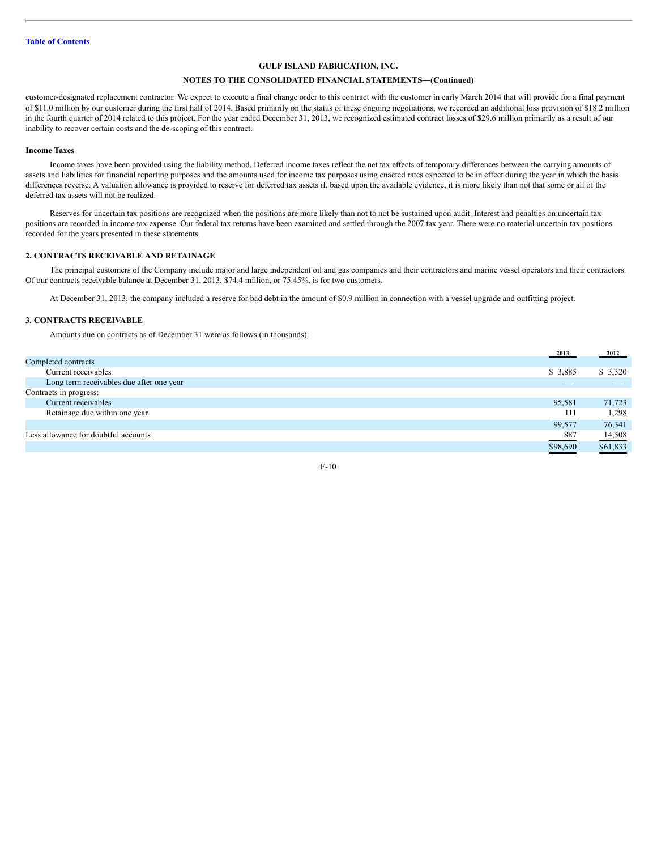### **NOTES TO THE CONSOLIDATED FINANCIAL STATEMENTS—(Continued)**

customer-designated replacement contractor. We expect to execute a final change order to this contract with the customer in early March 2014 that will provide for a final payment of \$11.0 million by our customer during the first half of 2014. Based primarily on the status of these ongoing negotiations, we recorded an additional loss provision of \$18.2 million in the fourth quarter of 2014 related to this project. For the year ended December 31, 2013, we recognized estimated contract losses of \$29.6 million primarily as a result of our inability to recover certain costs and the de-scoping of this contract.

#### **Income Taxes**

Income taxes have been provided using the liability method. Deferred income taxes reflect the net tax effects of temporary differences between the carrying amounts of assets and liabilities for financial reporting purposes and the amounts used for income tax purposes using enacted rates expected to be in effect during the year in which the basis differences reverse. A valuation allowance is provided to reserve for deferred tax assets if, based upon the available evidence, it is more likely than not that some or all of the deferred tax assets will not be realized.

Reserves for uncertain tax positions are recognized when the positions are more likely than not to not be sustained upon audit. Interest and penalties on uncertain tax positions are recorded in income tax expense. Our federal tax returns have been examined and settled through the 2007 tax year. There were no material uncertain tax positions recorded for the years presented in these statements.

### **2. CONTRACTS RECEIVABLE AND RETAINAGE**

The principal customers of the Company include major and large independent oil and gas companies and their contractors and marine vessel operators and their contractors. Of our contracts receivable balance at December 31, 2013, \$74.4 million, or 75.45%, is for two customers.

At December 31, 2013, the company included a reserve for bad debt in the amount of \$0.9 million in connection with a vessel upgrade and outfitting project.

### **3. CONTRACTS RECEIVABLE**

Amounts due on contracts as of December 31 were as follows (in thousands):

|                                          | 2013          | 2012     |
|------------------------------------------|---------------|----------|
| Completed contracts                      |               |          |
| Current receivables                      | \$3,885       | \$3,320  |
| Long term receivables due after one year |               |          |
| Contracts in progress:                   |               |          |
| Current receivables                      | 95,581        | 71,723   |
| Retainage due within one year            | 111           | 1,298    |
|                                          | 99,577        | 76,341   |
| Less allowance for doubtful accounts     | $rac{887}{1}$ | 14,508   |
|                                          | \$98,690      | \$61,833 |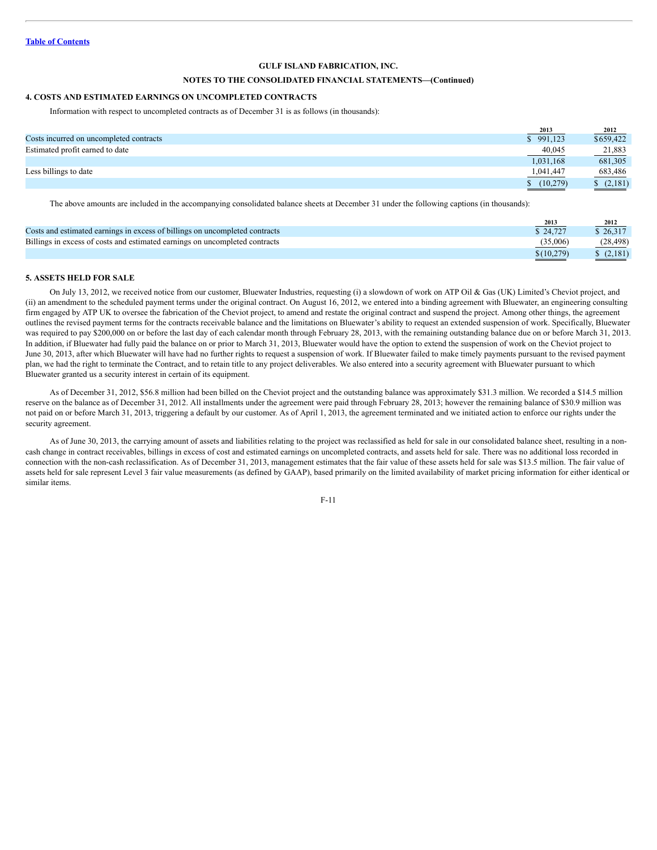# **NOTES TO THE CONSOLIDATED FINANCIAL STATEMENTS—(Continued)**

### **4. COSTS AND ESTIMATED EARNINGS ON UNCOMPLETED CONTRACTS**

Information with respect to uncompleted contracts as of December 31 is as follows (in thousands):

|                                         | 2013      | 2012      |
|-----------------------------------------|-----------|-----------|
| Costs incurred on uncompleted contracts | \$991,123 | \$659,422 |
| Estimated profit earned to date         | 40,045    | 21,883    |
|                                         | 1,031,168 | 681,305   |
| Less billings to date                   | 1,041,447 | 683,486   |
|                                         | (10,279)  | (2,181)   |

The above amounts are included in the accompanying consolidated balance sheets at December 31 under the following captions (in thousands):

|                                                                             | 2013       | $-2012$              |
|-----------------------------------------------------------------------------|------------|----------------------|
| Costs and estimated earnings in excess of billings on uncompleted contracts | \$24.727   | \$26.317             |
| Billings in excess of costs and estimated earnings on uncompleted contracts | (35,006)   | (28, 498)            |
|                                                                             | \$(10.279) | $\frac{1}{2}(2.181)$ |

# **5. ASSETS HELD FOR SALE**

On July 13, 2012, we received notice from our customer, Bluewater Industries, requesting (i) a slowdown of work on ATP Oil & Gas (UK) Limited's Cheviot project, and (ii) an amendment to the scheduled payment terms under the original contract. On August 16, 2012, we entered into a binding agreement with Bluewater, an engineering consulting firm engaged by ATP UK to oversee the fabrication of the Cheviot project, to amend and restate the original contract and suspend the project. Among other things, the agreement outlines the revised payment terms for the contracts receivable balance and the limitations on Bluewater's ability to request an extended suspension of work. Specifically, Bluewater was required to pay \$200,000 on or before the last day of each calendar month through February 28, 2013, with the remaining outstanding balance due on or before March 31, 2013. In addition, if Bluewater had fully paid the balance on or prior to March 31, 2013, Bluewater would have the option to extend the suspension of work on the Cheviot project to June 30, 2013, after which Bluewater will have had no further rights to request a suspension of work. If Bluewater failed to make timely payments pursuant to the revised payment plan, we had the right to terminate the Contract, and to retain title to any project deliverables. We also entered into a security agreement with Bluewater pursuant to which Bluewater granted us a security interest in certain of its equipment.

As of December 31, 2012, \$56.8 million had been billed on the Cheviot project and the outstanding balance was approximately \$31.3 million. We recorded a \$14.5 million reserve on the balance as of December 31, 2012. All installments under the agreement were paid through February 28, 2013; however the remaining balance of \$30.9 million was not paid on or before March 31, 2013, triggering a default by our customer. As of April 1, 2013, the agreement terminated and we initiated action to enforce our rights under the security agreement.

As of June 30, 2013, the carrying amount of assets and liabilities relating to the project was reclassified as held for sale in our consolidated balance sheet, resulting in a noncash change in contract receivables, billings in excess of cost and estimated earnings on uncompleted contracts, and assets held for sale. There was no additional loss recorded in connection with the non-cash reclassification. As of December 31, 2013, management estimates that the fair value of these assets held for sale was \$13.5 million. The fair value of assets held for sale represent Level 3 fair value measurements (as defined by GAAP), based primarily on the limited availability of market pricing information for either identical or similar items.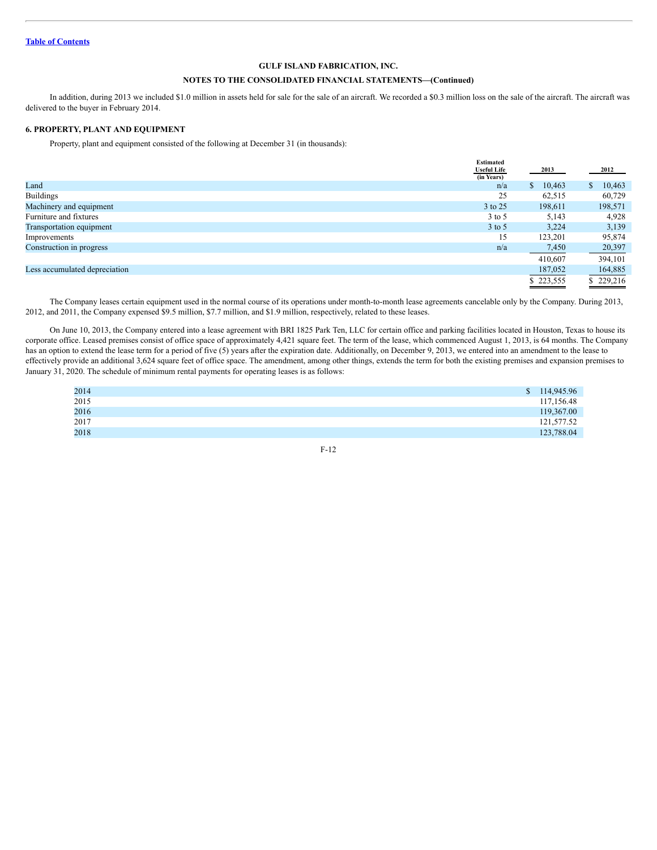# **NOTES TO THE CONSOLIDATED FINANCIAL STATEMENTS—(Continued)**

In addition, during 2013 we included \$1.0 million in assets held for sale for the sale of an aircraft. We recorded a \$0.3 million loss on the sale of the aircraft. The aircraft was delivered to the buyer in February 2014.

# **6. PROPERTY, PLANT AND EQUIPMENT**

Property, plant and equipment consisted of the following at December 31 (in thousands):

|                               | <b>Estimated</b><br><b>Useful Life</b><br>(in Years) | 2013         | 2012      |
|-------------------------------|------------------------------------------------------|--------------|-----------|
| Land                          | n/a                                                  | 10,463<br>\$ | \$10,463  |
| <b>Buildings</b>              | 25                                                   | 62,515       | 60,729    |
| Machinery and equipment       | 3 to 25                                              | 198,611      | 198,571   |
| Furniture and fixtures        | $3$ to 5                                             | 5,143        | 4,928     |
| Transportation equipment      | $3$ to 5                                             | 3,224        | 3,139     |
| Improvements                  | 15                                                   | 123,201      | 95,874    |
| Construction in progress      | n/a                                                  | 7,450        | 20,397    |
|                               |                                                      | 410,607      | 394,101   |
| Less accumulated depreciation |                                                      | 187,052      | 164,885   |
|                               |                                                      | \$223,555    | \$229,216 |
|                               |                                                      |              |           |

The Company leases certain equipment used in the normal course of its operations under month-to-month lease agreements cancelable only by the Company. During 2013, 2012, and 2011, the Company expensed \$9.5 million, \$7.7 million, and \$1.9 million, respectively, related to these leases.

On June 10, 2013, the Company entered into a lease agreement with BRI 1825 Park Ten, LLC for certain office and parking facilities located in Houston, Texas to house its corporate office. Leased premises consist of office space of approximately 4,421 square feet. The term of the lease, which commenced August 1, 2013, is 64 months. The Company has an option to extend the lease term for a period of five (5) years after the expiration date. Additionally, on December 9, 2013, we entered into an amendment to the lease to effectively provide an additional 3,624 square feet of office space. The amendment, among other things, extends the term for both the existing premises and expansion premises to January 31, 2020. The schedule of minimum rental payments for operating leases is as follows:

| 2014 | \$114,945.96 |
|------|--------------|
| 2015 | 117,156.48   |
| 2016 | 119,367.00   |
| 2017 | 121,577.52   |
| 2018 | 123,788.04   |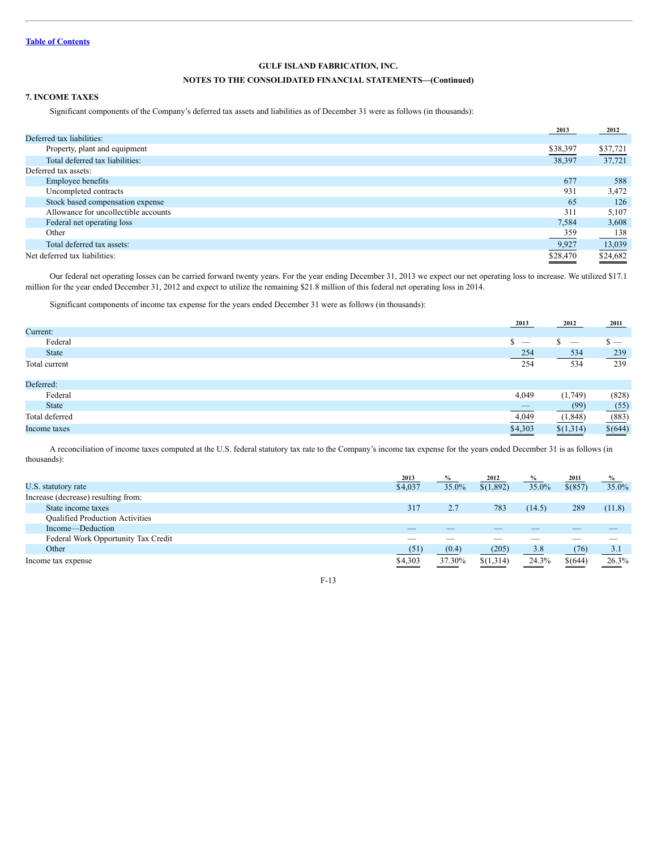# **NOTES TO THE CONSOLIDATED FINANCIAL STATEMENTS—(Continued)**

# **7. INCOME TAXES**

Significant components of the Company's deferred tax assets and liabilities as of December 31 were as follows (in thousands):

|                                      | 2013            | 2012     |
|--------------------------------------|-----------------|----------|
| Deferred tax liabilities:            |                 |          |
| Property, plant and equipment        | \$38,397        | \$37,721 |
| Total deferred tax liabilities:      | 38,397          | 37,721   |
| Deferred tax assets:                 |                 |          |
| Employee benefits                    | 677             | 588      |
| Uncompleted contracts                | 931             | 3,472    |
| Stock based compensation expense     | 65              | 126      |
| Allowance for uncollectible accounts | 311             | 5,107    |
| Federal net operating loss           | 7,584           | 3,608    |
| Other                                | $\frac{359}{2}$ | 138      |
| Total deferred tax assets:           | 9,927           | 13,039   |
| Net deferred tax liabilities:        | \$28,470        | \$24,682 |

Our federal net operating losses can be carried forward twenty years. For the year ending December 31, 2013 we expect our net operating loss to increase. We utilized \$17.1 million for the year ended December 31, 2012 and expect to utilize the remaining \$21.8 million of this federal net operating loss in 2014.

Significant components of income tax expense for the years ended December 31 were as follows (in thousands):

|                | 2013    | 2012      | 2011                   |
|----------------|---------|-----------|------------------------|
| Current:       |         |           |                        |
| Federal        | ъ       |           |                        |
| <b>State</b>   | 254     | 534       | 239                    |
| Total current  | 254     | 534       | 239                    |
| Deferred:      |         |           |                        |
| Federal        | 4,049   | (1,749)   | (828)                  |
| State          |         | (99)      | (55)                   |
| Total deferred | 4,049   | (1, 848)  | (883)                  |
| Income taxes   | \$4,303 | \$(1,314) | $\underline{\$ (644)}$ |

A reconciliation of income taxes computed at the U.S. federal statutory tax rate to the Company's income tax expense for the years ended December 31 is as follows (in thousands):

|                                     | 2013    | %      | 2012      | %      | 2011    | $\%$   |
|-------------------------------------|---------|--------|-----------|--------|---------|--------|
| U.S. statutory rate                 | \$4,037 | 35.0%  | \$(1,892) | 35.0%  | \$(857) | 35.0%  |
| Increase (decrease) resulting from: |         |        |           |        |         |        |
| State income taxes                  | 317     | 2.7    | 783       | (14.5) | 289     | (11.8) |
| Qualified Production Activities     |         |        |           |        |         |        |
| Income—Deduction                    |         |        |           |        |         |        |
| Federal Work Opportunity Tax Credit |         |        |           |        |         |        |
| Other                               | (51)    | (0.4)  | (205)     | 3.8    | (76)    | 3.1    |
| Income tax expense                  | \$4,303 | 37.30% | \$(1,314) | 24.3%  | \$(644) | 26.3%  |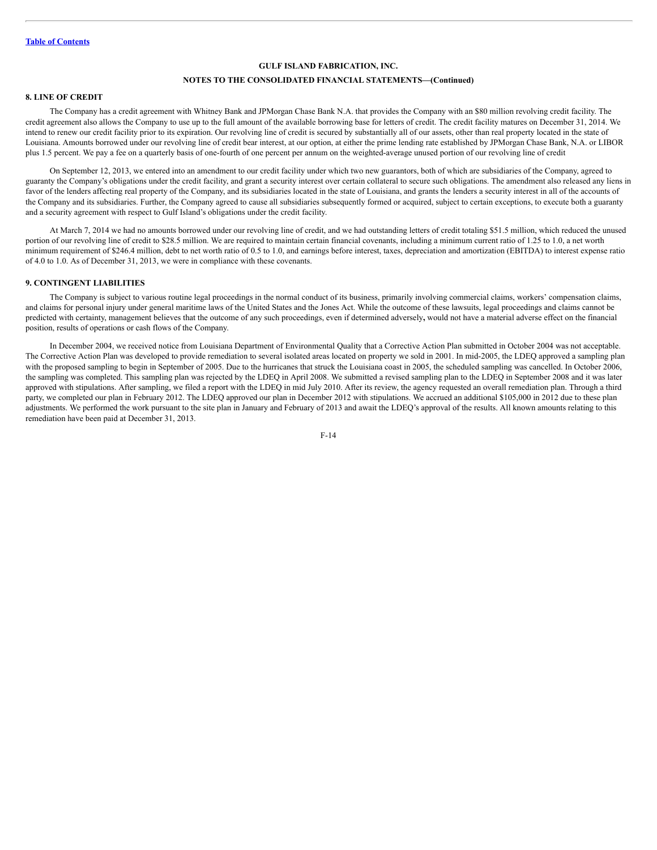# **NOTES TO THE CONSOLIDATED FINANCIAL STATEMENTS—(Continued)**

# **8. LINE OF CREDIT**

The Company has a credit agreement with Whitney Bank and JPMorgan Chase Bank N.A. that provides the Company with an \$80 million revolving credit facility. The credit agreement also allows the Company to use up to the full amount of the available borrowing base for letters of credit. The credit facility matures on December 31, 2014. We intend to renew our credit facility prior to its expiration. Our revolving line of credit is secured by substantially all of our assets, other than real property located in the state of Louisiana. Amounts borrowed under our revolving line of credit bear interest, at our option, at either the prime lending rate established by JPMorgan Chase Bank, N.A. or LIBOR plus 1.5 percent. We pay a fee on a quarterly basis of one-fourth of one percent per annum on the weighted-average unused portion of our revolving line of credit

On September 12, 2013, we entered into an amendment to our credit facility under which two new guarantors, both of which are subsidiaries of the Company, agreed to guaranty the Company's obligations under the credit facility, and grant a security interest over certain collateral to secure such obligations. The amendment also released any liens in favor of the lenders affecting real property of the Company, and its subsidiaries located in the state of Louisiana, and grants the lenders a security interest in all of the accounts of the Company and its subsidiaries. Further, the Company agreed to cause all subsidiaries subsequently formed or acquired, subject to certain exceptions, to execute both a guaranty and a security agreement with respect to Gulf Island's obligations under the credit facility.

At March 7, 2014 we had no amounts borrowed under our revolving line of credit, and we had outstanding letters of credit totaling \$51.5 million, which reduced the unused portion of our revolving line of credit to \$28.5 million. We are required to maintain certain financial covenants, including a minimum current ratio of 1.25 to 1.0, a net worth minimum requirement of \$246.4 million, debt to net worth ratio of 0.5 to 1.0, and earnings before interest, taxes, depreciation and amortization (EBITDA) to interest expense ratio of 4.0 to 1.0. As of December 31, 2013, we were in compliance with these covenants.

### **9. CONTINGENT LIABILITIES**

The Company is subject to various routine legal proceedings in the normal conduct of its business, primarily involving commercial claims, workers' compensation claims, and claims for personal injury under general maritime laws of the United States and the Jones Act. While the outcome of these lawsuits, legal proceedings and claims cannot be predicted with certainty, management believes that the outcome of any such proceedings, even if determined adversely**,** would not have a material adverse effect on the financial position, results of operations or cash flows of the Company.

In December 2004, we received notice from Louisiana Department of Environmental Quality that a Corrective Action Plan submitted in October 2004 was not acceptable. The Corrective Action Plan was developed to provide remediation to several isolated areas located on property we sold in 2001. In mid-2005, the LDEQ approved a sampling plan with the proposed sampling to begin in September of 2005. Due to the hurricanes that struck the Louisiana coast in 2005, the scheduled sampling was cancelled. In October 2006, the sampling was completed. This sampling plan was rejected by the LDEQ in April 2008. We submitted a revised sampling plan to the LDEQ in September 2008 and it was later approved with stipulations. After sampling, we filed a report with the LDEQ in mid July 2010. After its review, the agency requested an overall remediation plan. Through a third party, we completed our plan in February 2012. The LDEQ approved our plan in December 2012 with stipulations. We accrued an additional \$105,000 in 2012 due to these plan adjustments. We performed the work pursuant to the site plan in January and February of 2013 and await the LDEQ's approval of the results. All known amounts relating to this remediation have been paid at December 31, 2013.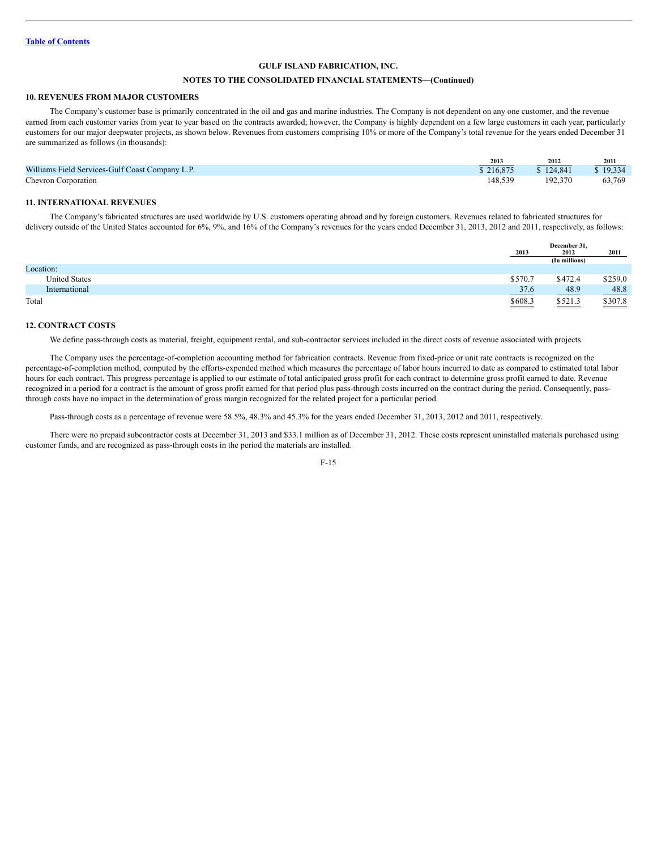# **NOTES TO THE CONSOLIDATED FINANCIAL STATEMENTS—(Continued)**

# **10. REVENUES FROM MAJOR CUSTOMERS**

The Company's customer base is primarily concentrated in the oil and gas and marine industries. The Company is not dependent on any one customer, and the revenue earned from each customer varies from year to year based on the contracts awarded; however, the Company is highly dependent on a few large customers in each year, particularly customers for our major deepwater projects, as shown below. Revenues from customers comprising 10% or more of the Company's total revenue for the years ended December 31 are summarized as follows (in thousands):

|                                                 | 2013      | 2012      | 2011<br>a contract of the contract of the contract of the contract of the contract of |
|-------------------------------------------------|-----------|-----------|---------------------------------------------------------------------------------------|
| Williams Field Services-Gulf Coast Company L.P. | \$216,875 | \$124,841 | \$19,334                                                                              |
| Chevron Corporation                             | 148.539   | 192.370   | 63,769                                                                                |

#### **11. INTERNATIONAL REVENUES**

The Company's fabricated structures are used worldwide by U.S. customers operating abroad and by foreign customers. Revenues related to fabricated structures for delivery outside of the United States accounted for 6%, 9%, and 16% of the Company's revenues for the years ended December 31, 2013, 2012 and 2011, respectively, as follows:

|                      | 2013             | December 31,<br>2012<br>(In millions) | 2011             |
|----------------------|------------------|---------------------------------------|------------------|
| Location:            |                  |                                       |                  |
| <b>United States</b> | \$570.7          | \$472.4                               | \$259.0          |
| International        | 37.6             | 48.9                                  | 48.8             |
| Total                | \$608.3<br>_____ | \$521.3<br>____                       | \$307.8<br>_____ |

### **12. CONTRACT COSTS**

We define pass-through costs as material, freight, equipment rental, and sub-contractor services included in the direct costs of revenue associated with projects.

The Company uses the percentage-of-completion accounting method for fabrication contracts. Revenue from fixed-price or unit rate contracts is recognized on the percentage-of-completion method, computed by the efforts-expended method which measures the percentage of labor hours incurred to date as compared to estimated total labor hours for each contract. This progress percentage is applied to our estimate of total anticipated gross profit for each contract to determine gross profit earned to date. Revenue recognized in a period for a contract is the amount of gross profit earned for that period plus pass-through costs incurred on the contract during the period. Consequently, passthrough costs have no impact in the determination of gross margin recognized for the related project for a particular period.

Pass-through costs as a percentage of revenue were 58.5%, 48.3% and 45.3% for the years ended December 31, 2013, 2012 and 2011, respectively.

There were no prepaid subcontractor costs at December 31, 2013 and \$33.1 million as of December 31, 2012. These costs represent uninstalled materials purchased using customer funds, and are recognized as pass-through costs in the period the materials are installed.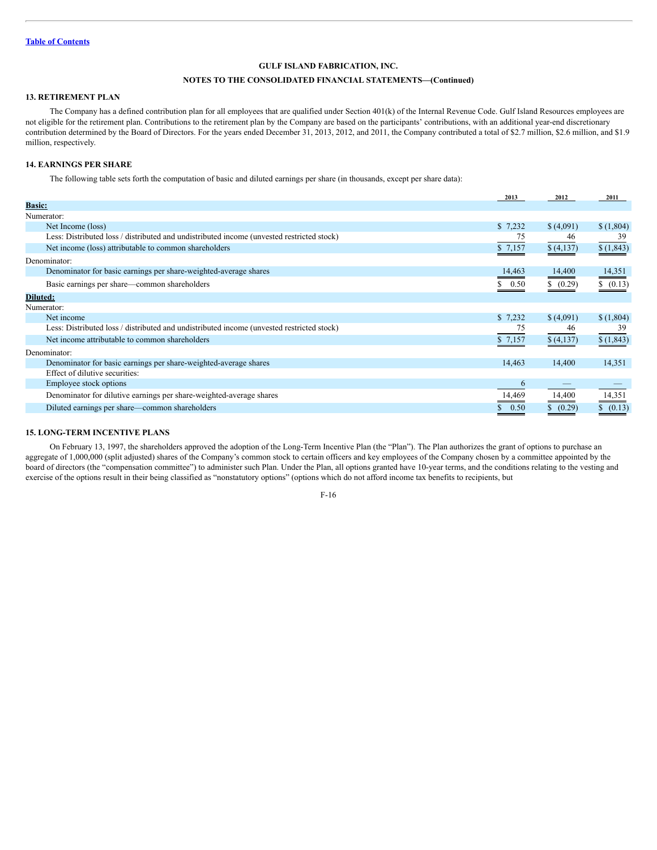# **NOTES TO THE CONSOLIDATED FINANCIAL STATEMENTS—(Continued)**

# **13. RETIREMENT PLAN**

The Company has a defined contribution plan for all employees that are qualified under Section 401(k) of the Internal Revenue Code. Gulf Island Resources employees are not eligible for the retirement plan. Contributions to the retirement plan by the Company are based on the participants' contributions, with an additional year-end discretionary contribution determined by the Board of Directors. For the years ended December 31, 2013, 2012, and 2011, the Company contributed a total of \$2.7 million, \$2.6 million, and \$1.9 million, respectively.

# **14. EARNINGS PER SHARE**

The following table sets forth the computation of basic and diluted earnings per share (in thousands, except per share data):

|                                                                                           | 2013    | 2012      | 2011      |
|-------------------------------------------------------------------------------------------|---------|-----------|-----------|
| <b>Basic:</b>                                                                             |         |           |           |
| Numerator:                                                                                |         |           |           |
| Net Income (loss)                                                                         | \$7,232 | \$(4,091) | \$(1,804) |
| Less: Distributed loss / distributed and undistributed income (unvested restricted stock) | 75      | 46        | 39        |
| Net income (loss) attributable to common shareholders                                     | \$7,157 | \$(4,137) | \$(1,843) |
| Denominator:                                                                              |         |           |           |
| Denominator for basic earnings per share-weighted-average shares                          | 14,463  | 14,400    | 14,351    |
| Basic earnings per share—common shareholders                                              | \$ 0.50 | \$ (0.29) | (0.13)    |
| Diluted:                                                                                  |         |           |           |
| Numerator:                                                                                |         |           |           |
| Net income                                                                                | \$7,232 | \$(4,091) | \$(1,804) |
| Less: Distributed loss / distributed and undistributed income (unvested restricted stock) | 75      | 46        | 39        |
| Net income attributable to common shareholders                                            | \$7,157 | \$(4,137) | \$(1,843) |
| Denominator:                                                                              |         |           |           |
| Denominator for basic earnings per share-weighted-average shares                          | 14,463  | 14,400    | 14,351    |
| Effect of dilutive securities:                                                            |         |           |           |
| Employee stock options                                                                    | 6       |           |           |
| Denominator for dilutive earnings per share-weighted-average shares                       | 14,469  | 14,400    | 14,351    |
| Diluted earnings per share—common shareholders                                            | 0.50    | \$ (0.29) | (0.13)    |

# **15. LONG-TERM INCENTIVE PLANS**

On February 13, 1997, the shareholders approved the adoption of the Long-Term Incentive Plan (the "Plan"). The Plan authorizes the grant of options to purchase an aggregate of 1,000,000 (split adjusted) shares of the Company's common stock to certain officers and key employees of the Company chosen by a committee appointed by the board of directors (the "compensation committee") to administer such Plan. Under the Plan, all options granted have 10-year terms, and the conditions relating to the vesting and exercise of the options result in their being classified as "nonstatutory options" (options which do not afford income tax benefits to recipients, but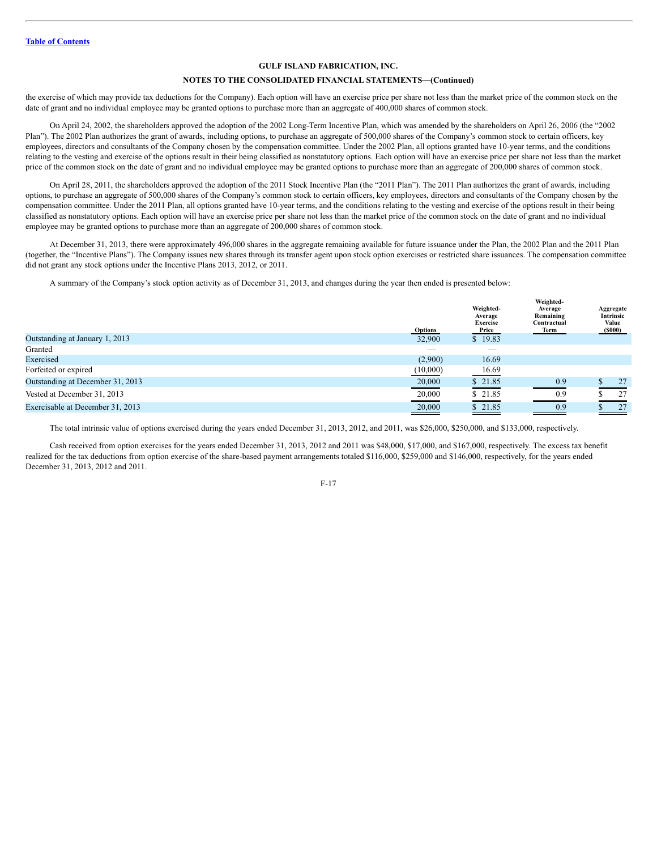# **NOTES TO THE CONSOLIDATED FINANCIAL STATEMENTS—(Continued)**

the exercise of which may provide tax deductions for the Company). Each option will have an exercise price per share not less than the market price of the common stock on the date of grant and no individual employee may be granted options to purchase more than an aggregate of 400,000 shares of common stock.

On April 24, 2002, the shareholders approved the adoption of the 2002 Long-Term Incentive Plan, which was amended by the shareholders on April 26, 2006 (the "2002 Plan"). The 2002 Plan authorizes the grant of awards, including options, to purchase an aggregate of 500,000 shares of the Company's common stock to certain officers, key employees, directors and consultants of the Company chosen by the compensation committee. Under the 2002 Plan, all options granted have 10-year terms, and the conditions relating to the vesting and exercise of the options result in their being classified as nonstatutory options. Each option will have an exercise price per share not less than the market price of the common stock on the date of grant and no individual employee may be granted options to purchase more than an aggregate of 200,000 shares of common stock.

On April 28, 2011, the shareholders approved the adoption of the 2011 Stock Incentive Plan (the "2011 Plan"). The 2011 Plan authorizes the grant of awards, including options, to purchase an aggregate of 500,000 shares of the Company's common stock to certain officers, key employees, directors and consultants of the Company chosen by the compensation committee. Under the 2011 Plan, all options granted have 10-year terms, and the conditions relating to the vesting and exercise of the options result in their being classified as nonstatutory options. Each option will have an exercise price per share not less than the market price of the common stock on the date of grant and no individual employee may be granted options to purchase more than an aggregate of 200,000 shares of common stock.

At December 31, 2013, there were approximately 496,000 shares in the aggregate remaining available for future issuance under the Plan, the 2002 Plan and the 2011 Plan (together, the "Incentive Plans"). The Company issues new shares through its transfer agent upon stock option exercises or restricted share issuances. The compensation committee did not grant any stock options under the Incentive Plans 2013, 2012, or 2011.

A summary of the Company's stock option activity as of December 31, 2013, and changes during the year then ended is presented below:

|                                  | <b>Options</b> | Weighted-<br>Average<br>Exercise<br>Price | Weighted-<br>Average<br>Remaining<br>Contractual<br>Term | Aggregate<br>Intrinsic<br>Value<br>(S000) |
|----------------------------------|----------------|-------------------------------------------|----------------------------------------------------------|-------------------------------------------|
| Outstanding at January 1, 2013   | 32.900         | \$19.83                                   |                                                          |                                           |
| Granted                          | --             | ---                                       |                                                          |                                           |
| Exercised                        | (2,900)        | 16.69                                     |                                                          |                                           |
| Forfeited or expired             | (10,000)       | 16.69                                     |                                                          |                                           |
| Outstanding at December 31, 2013 | 20,000         | \$21.85                                   | 0.9                                                      | 27                                        |
| Vested at December 31, 2013      | 20,000         | \$21.85                                   | 0.9                                                      | 27                                        |
| Exercisable at December 31, 2013 | 20,000         | \$21.85                                   | 0.9                                                      | 27                                        |

The total intrinsic value of options exercised during the years ended December 31, 2013, 2012, and 2011, was \$26,000, \$250,000, and \$133,000, respectively.

Cash received from option exercises for the years ended December 31, 2013, 2012 and 2011 was \$48,000, \$17,000, and \$167,000, respectively. The excess tax benefit realized for the tax deductions from option exercise of the share-based payment arrangements totaled \$116,000, \$259,000 and \$146,000, respectively, for the years ended December 31, 2013, 2012 and 2011.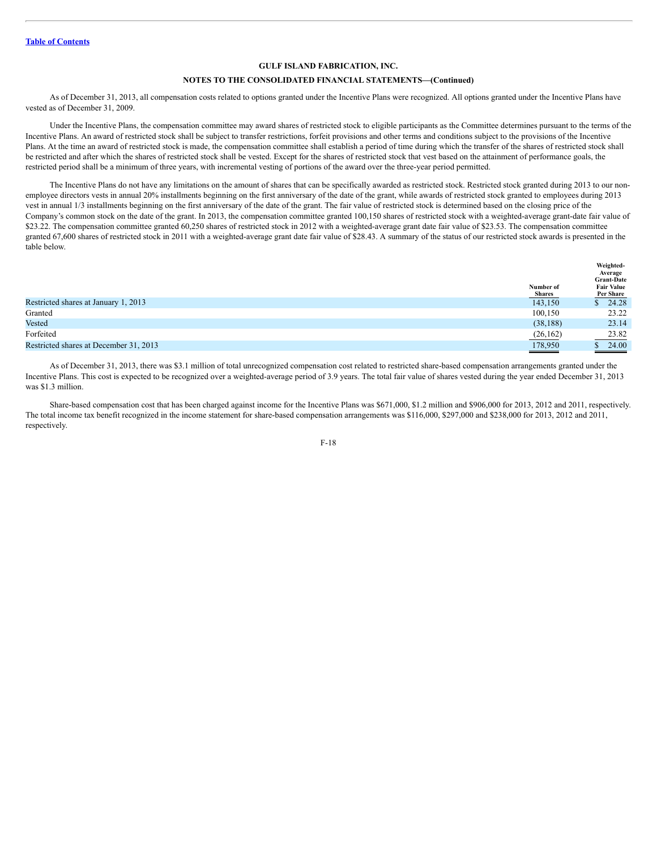# **NOTES TO THE CONSOLIDATED FINANCIAL STATEMENTS—(Continued)**

As of December 31, 2013, all compensation costs related to options granted under the Incentive Plans were recognized. All options granted under the Incentive Plans have vested as of December 31, 2009.

Under the Incentive Plans, the compensation committee may award shares of restricted stock to eligible participants as the Committee determines pursuant to the terms of the Incentive Plans. An award of restricted stock shall be subject to transfer restrictions, forfeit provisions and other terms and conditions subject to the provisions of the Incentive Plans. At the time an award of restricted stock is made, the compensation committee shall establish a period of time during which the transfer of the shares of restricted stock shall be restricted and after which the shares of restricted stock shall be vested. Except for the shares of restricted stock that vest based on the attainment of performance goals, the restricted period shall be a minimum of three years, with incremental vesting of portions of the award over the three-year period permitted.

The Incentive Plans do not have any limitations on the amount of shares that can be specifically awarded as restricted stock. Restricted stock granted during 2013 to our nonemployee directors vests in annual 20% installments beginning on the first anniversary of the date of the grant, while awards of restricted stock granted to employees during 2013 vest in annual 1/3 installments beginning on the first anniversary of the date of the grant. The fair value of restricted stock is determined based on the closing price of the Company's common stock on the date of the grant. In 2013, the compensation committee granted 100,150 shares of restricted stock with a weighted-average grant-date fair value of \$23.22. The compensation committee granted 60,250 shares of restricted stock in 2012 with a weighted-average grant date fair value of \$23.53. The compensation committee granted 67,600 shares of restricted stock in 2011 with a weighted-average grant date fair value of \$28.43. A summary of the status of our restricted stock awards is presented in the table below.

|                                        | Number of<br><b>Shares</b> | Weighted-<br>Average<br><b>Grant-Date</b><br><b>Fair Value</b><br>Per Share |
|----------------------------------------|----------------------------|-----------------------------------------------------------------------------|
| Restricted shares at January 1, 2013   | 143,150                    | \$24.28                                                                     |
| Granted                                | 100,150                    | 23.22                                                                       |
| <b>Vested</b>                          | (38, 188)                  | 23.14                                                                       |
| Forfeited                              | (26, 162)                  | 23.82                                                                       |
| Restricted shares at December 31, 2013 | 178,950                    | 24.00                                                                       |

As of December 31, 2013, there was \$3.1 million of total unrecognized compensation cost related to restricted share-based compensation arrangements granted under the Incentive Plans. This cost is expected to be recognized over a weighted-average period of 3.9 years. The total fair value of shares vested during the year ended December 31, 2013 was \$1.3 million.

Share-based compensation cost that has been charged against income for the Incentive Plans was \$671,000, \$1.2 million and \$906,000 for 2013, 2012 and 2011, respectively. The total income tax benefit recognized in the income statement for share-based compensation arrangements was \$116,000, \$297,000 and \$238,000 for 2013, 2012 and 2011, respectively.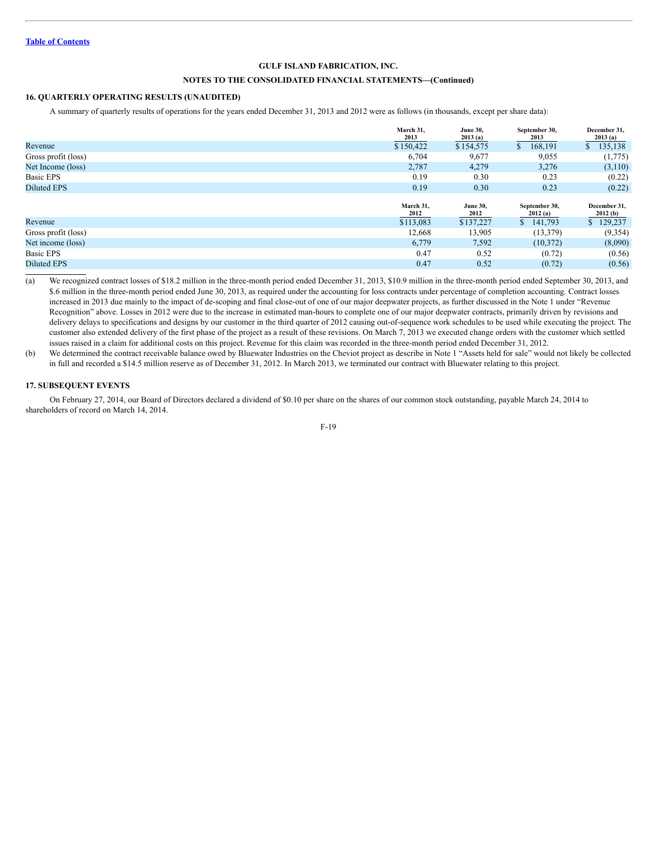# **NOTES TO THE CONSOLIDATED FINANCIAL STATEMENTS—(Continued)**

### **16. QUARTERLY OPERATING RESULTS (UNAUDITED)**

A summary of quarterly results of operations for the years ended December 31, 2013 and 2012 were as follows (in thousands, except per share data):

|                     | March 31,<br>2013 | <b>June 30,</b><br>2013(a) | September 30,<br>2013    | December 31,<br>2013(a) |
|---------------------|-------------------|----------------------------|--------------------------|-------------------------|
| Revenue             | \$150,422         | \$154,575                  | 168,191<br>\$            | 135,138<br>S.           |
| Gross profit (loss) | 6,704             | 9,677                      | 9,055                    | (1,775)                 |
| Net Income (loss)   | 2,787             | 4,279                      | 3,276                    | (3,110)                 |
| Basic EPS           | 0.19              | 0.30                       | 0.23                     | (0.22)                  |
| <b>Diluted EPS</b>  | 0.19              | 0.30                       | 0.23                     | (0.22)                  |
|                     | March 31,<br>2012 | <b>June 30,</b><br>2012    | September 30,<br>2012(a) | December 31,<br>2012(b) |
| Revenue             | \$113,083         | \$137,227                  | 141,793<br>S.            | 129,237<br>ъ            |
| Gross profit (loss) | 12,668            | 13,905                     | (13,379)                 | (9,354)                 |
| Net income (loss)   | 6,779             | 7,592                      | (10, 372)                | (8,090)                 |
| Basic EPS           | 0.47              | 0.52                       | (0.72)                   | (0.56)                  |
|                     |                   |                            |                          |                         |

(a) We recognized contract losses of \$18.2 million in the three-month period ended December 31, 2013, \$10.9 million in the three-month period ended September 30, 2013, and \$.6 million in the three-month period ended June 30, 2013, as required under the accounting for loss contracts under percentage of completion accounting. Contract losses increased in 2013 due mainly to the impact of de-scoping and final close-out of one of our major deepwater projects, as further discussed in the Note 1 under "Revenue Recognition" above. Losses in 2012 were due to the increase in estimated man-hours to complete one of our major deepwater contracts, primarily driven by revisions and delivery delays to specifications and designs by our customer in the third quarter of 2012 causing out-of-sequence work schedules to be used while executing the project. The customer also extended delivery of the first phase of the project as a result of these revisions. On March 7, 2013 we executed change orders with the customer which settled issues raised in a claim for additional costs on this project. Revenue for this claim was recorded in the three-month period ended December 31, 2012.

(b) We determined the contract receivable balance owed by Bluewater Industries on the Cheviot project as describe in Note 1 "Assets held for sale" would not likely be collected in full and recorded a \$14.5 million reserve as of December 31, 2012. In March 2013, we terminated our contract with Bluewater relating to this project.

# **17. SUBSEQUENT EVENTS**

On February 27, 2014, our Board of Directors declared a dividend of \$0.10 per share on the shares of our common stock outstanding, payable March 24, 2014 to shareholders of record on March 14, 2014.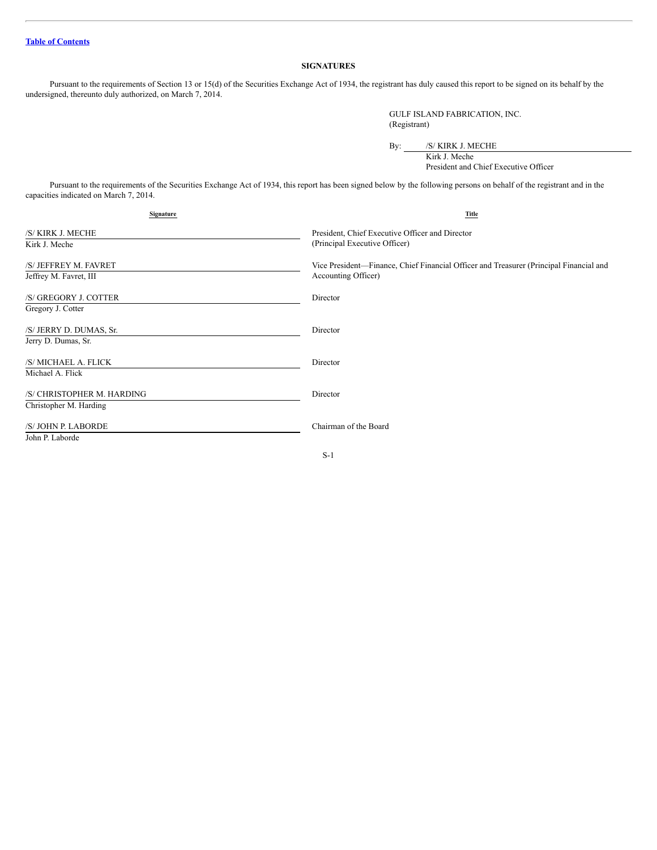# **SIGNATURES**

<span id="page-60-0"></span>Pursuant to the requirements of Section 13 or 15(d) of the Securities Exchange Act of 1934, the registrant has duly caused this report to be signed on its behalf by the undersigned, thereunto duly authorized, on March 7, 2014.

> GULF ISLAND FABRICATION, INC. (Registrant)

By: /S/ KIRK J. MECHE

 Kirk J. Meche President and Chief Executive Officer

Pursuant to the requirements of the Securities Exchange Act of 1934, this report has been signed below by the following persons on behalf of the registrant and in the capacities indicated on March 7, 2014.

| Signature                  | Title                                                                                  |
|----------------------------|----------------------------------------------------------------------------------------|
| /S/ KIRK J. MECHE          | President, Chief Executive Officer and Director                                        |
| Kirk J. Meche              | (Principal Executive Officer)                                                          |
| /S/ JEFFREY M. FAVRET      | Vice President—Finance, Chief Financial Officer and Treasurer (Principal Financial and |
| Jeffrey M. Favret, III     | Accounting Officer)                                                                    |
| /S/ GREGORY J. COTTER      | Director                                                                               |
| Gregory J. Cotter          |                                                                                        |
| /S/ JERRY D. DUMAS, Sr.    | Director                                                                               |
| Jerry D. Dumas, Sr.        |                                                                                        |
| /S/ MICHAEL A. FLICK       | Director                                                                               |
| Michael A. Flick           |                                                                                        |
| /S/ CHRISTOPHER M. HARDING | Director                                                                               |
| Christopher M. Harding     |                                                                                        |
| /S/ JOHN P. LABORDE        | Chairman of the Board                                                                  |
| John P. Laborde            |                                                                                        |
|                            | $S-1$                                                                                  |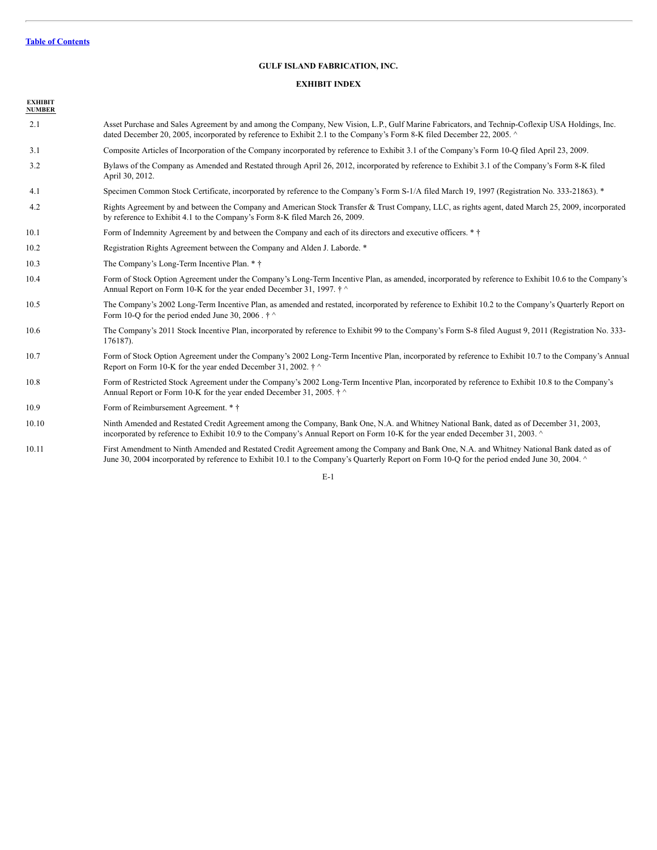### **EXHIBIT INDEX**

#### <span id="page-61-0"></span>**EXHIBIT NUMBER**

- 2.1 Asset Purchase and Sales Agreement by and among the Company, New Vision, L.P., Gulf Marine Fabricators, and Technip-Coflexip USA Holdings, Inc. dated December 20, 2005, incorporated by reference to Exhibit 2.1 to the Company's Form 8-K filed December 22, 2005. ^
- 3.1 Composite Articles of Incorporation of the Company incorporated by reference to Exhibit 3.1 of the Company's Form 10-Q filed April 23, 2009.
- 3.2 Bylaws of the Company as Amended and Restated through April 26, 2012, incorporated by reference to Exhibit 3.1 of the Company's Form 8-K filed April 30, 2012.
- 4.1 Specimen Common Stock Certificate, incorporated by reference to the Company's Form S-1/A filed March 19, 1997 (Registration No. 333-21863). \*
- 4.2 Rights Agreement by and between the Company and American Stock Transfer & Trust Company, LLC, as rights agent, dated March 25, 2009, incorporated by reference to Exhibit 4.1 to the Company's Form 8-K filed March 26, 2009.
- 10.1 Form of Indemnity Agreement by and between the Company and each of its directors and executive officers. \* †
- 10.2 Registration Rights Agreement between the Company and Alden J. Laborde. \*
- 10.3 The Company's Long-Term Incentive Plan. \* †
- 10.4 Form of Stock Option Agreement under the Company's Long-Term Incentive Plan, as amended, incorporated by reference to Exhibit 10.6 to the Company's Annual Report on Form 10-K for the year ended December 31, 1997.  $\dagger \text{ }^{\wedge}$
- 10.5 The Company's 2002 Long-Term Incentive Plan, as amended and restated, incorporated by reference to Exhibit 10.2 to the Company's Quarterly Report on Form 10-Q for the period ended June 30, 2006 .  $\dagger \wedge$
- 10.6 The Company's 2011 Stock Incentive Plan, incorporated by reference to Exhibit 99 to the Company's Form S-8 filed August 9, 2011 (Registration No. 333- 176187).
- 10.7 Form of Stock Option Agreement under the Company's 2002 Long-Term Incentive Plan, incorporated by reference to Exhibit 10.7 to the Company's Annual Report on Form 10-K for the year ended December 31, 2002. † ^
- 10.8 Form of Restricted Stock Agreement under the Company's 2002 Long-Term Incentive Plan, incorporated by reference to Exhibit 10.8 to the Company's Annual Report or Form 10-K for the year ended December 31, 2005. † ^
- 10.9 Form of Reimbursement Agreement. \* †
- 10.10 Ninth Amended and Restated Credit Agreement among the Company, Bank One, N.A. and Whitney National Bank, dated as of December 31, 2003, incorporated by reference to Exhibit 10.9 to the Company's Annual Report on Form 10-K for the year ended December 31, 2003.
- 10.11 First Amendment to Ninth Amended and Restated Credit Agreement among the Company and Bank One, N.A. and Whitney National Bank dated as of June 30, 2004 incorporated by reference to Exhibit 10.1 to the Company's Quarterly Report on Form 10-Q for the period ended June 30, 2004. ^

# E-1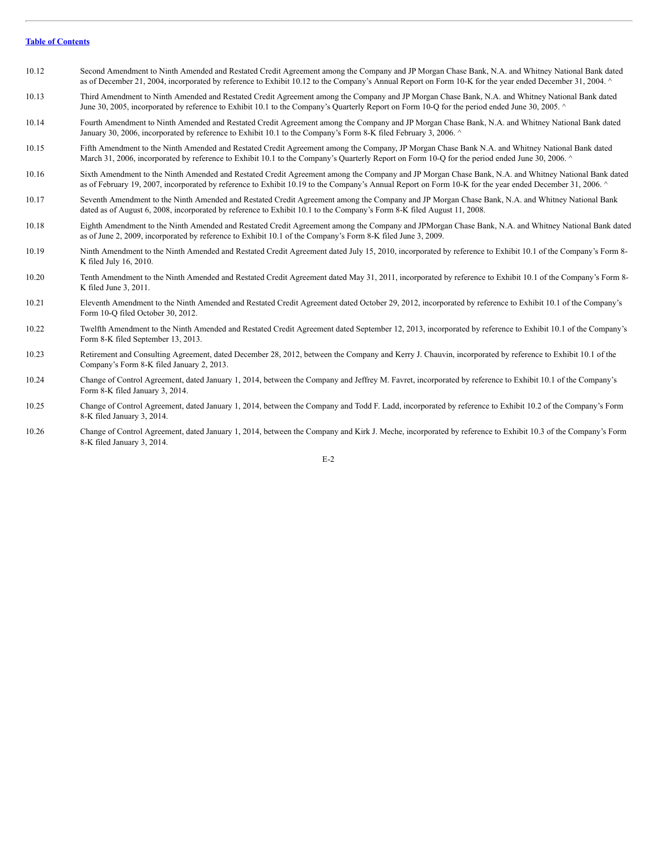- 10.12 Second Amendment to Ninth Amended and Restated Credit Agreement among the Company and JP Morgan Chase Bank, N.A. and Whitney National Bank dated as of December 21, 2004, incorporated by reference to Exhibit 10.12 to the Company's Annual Report on Form 10-K for the year ended December 31, 2004. ^
- 10.13 Third Amendment to Ninth Amended and Restated Credit Agreement among the Company and JP Morgan Chase Bank, N.A. and Whitney National Bank dated June 30, 2005, incorporated by reference to Exhibit 10.1 to the Company's Quarterly Report on Form 10-Q for the period ended June 30, 2005. ^
- 10.14 Fourth Amendment to Ninth Amended and Restated Credit Agreement among the Company and JP Morgan Chase Bank, N.A. and Whitney National Bank dated January 30, 2006, incorporated by reference to Exhibit 10.1 to the Company's Form 8-K filed February 3, 2006. ^
- 10.15 Fifth Amendment to the Ninth Amended and Restated Credit Agreement among the Company, JP Morgan Chase Bank N.A. and Whitney National Bank dated March 31, 2006, incorporated by reference to Exhibit 10.1 to the Company's Quarterly Report on Form 10-Q for the period ended June 30, 2006.  $\prime$
- 10.16 Sixth Amendment to the Ninth Amended and Restated Credit Agreement among the Company and JP Morgan Chase Bank, N.A. and Whitney National Bank dated as of February 19, 2007, incorporated by reference to Exhibit 10.19 to the Company's Annual Report on Form 10-K for the year ended December 31, 2006. ^
- 10.17 Seventh Amendment to the Ninth Amended and Restated Credit Agreement among the Company and JP Morgan Chase Bank, N.A. and Whitney National Bank dated as of August 6, 2008, incorporated by reference to Exhibit 10.1 to the Company's Form 8-K filed August 11, 2008.
- 10.18 Eighth Amendment to the Ninth Amended and Restated Credit Agreement among the Company and JPMorgan Chase Bank, N.A. and Whitney National Bank dated as of June 2, 2009, incorporated by reference to Exhibit 10.1 of the Company's Form 8-K filed June 3, 2009.
- 10.19 Ninth Amendment to the Ninth Amended and Restated Credit Agreement dated July 15, 2010, incorporated by reference to Exhibit 10.1 of the Company's Form 8- K filed July 16, 2010.
- 10.20 Tenth Amendment to the Ninth Amended and Restated Credit Agreement dated May 31, 2011, incorporated by reference to Exhibit 10.1 of the Company's Form 8- K filed June 3, 2011.
- 10.21 Eleventh Amendment to the Ninth Amended and Restated Credit Agreement dated October 29, 2012, incorporated by reference to Exhibit 10.1 of the Company's Form 10-Q filed October 30, 2012.
- 10.22 Twelfth Amendment to the Ninth Amended and Restated Credit Agreement dated September 12, 2013, incorporated by reference to Exhibit 10.1 of the Company's Form 8-K filed September 13, 2013.
- 10.23 Retirement and Consulting Agreement, dated December 28, 2012, between the Company and Kerry J. Chauvin, incorporated by reference to Exhibit 10.1 of the Company's Form 8-K filed January 2, 2013.
- 10.24 Change of Control Agreement, dated January 1, 2014, between the Company and Jeffrey M. Favret, incorporated by reference to Exhibit 10.1 of the Company's Form 8-K filed January 3, 2014.
- 10.25 Change of Control Agreement, dated January 1, 2014, between the Company and Todd F. Ladd, incorporated by reference to Exhibit 10.2 of the Company's Form 8-K filed January 3, 2014.
- 10.26 Change of Control Agreement, dated January 1, 2014, between the Company and Kirk J. Meche, incorporated by reference to Exhibit 10.3 of the Company's Form 8-K filed January 3, 2014.

 $E-2$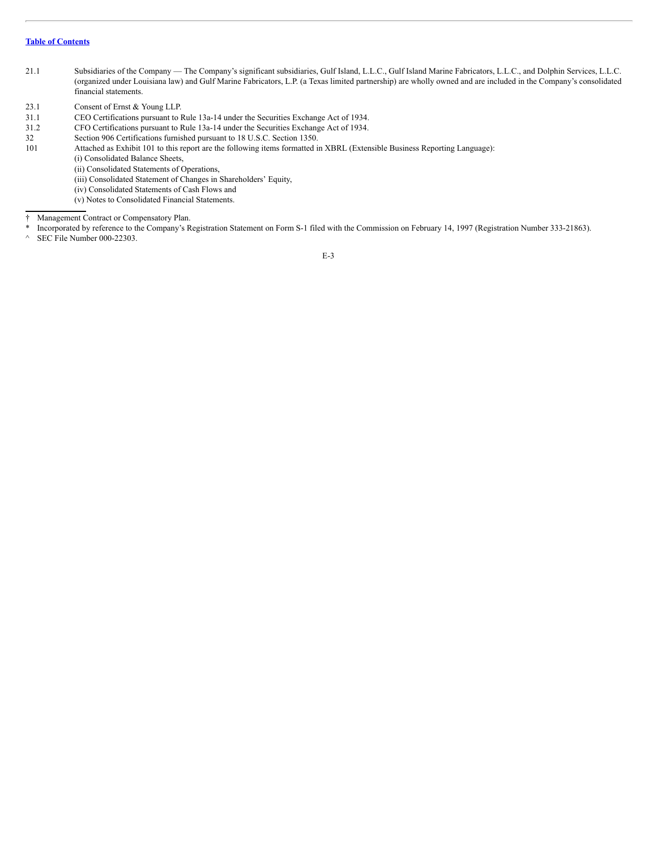- 21.1 Subsidiaries of the Company — The Company's significant subsidiaries, Gulf Island, L.L.C., Gulf Island Marine Fabricators, L.L.C., and Dolphin Services, L.L.C. (organized under Louisiana law) and Gulf Marine Fabricators, L.P. (a Texas limited partnership) are wholly owned and are included in the Company's consolidated financial statements.
- 23.1 Consent of Ernst & Young LLP.<br>31.1 CEO Certifications pursuant to I
- 31.1 CEO Certifications pursuant to Rule 13a-14 under the Securities Exchange Act of 1934.<br>31.2 CFO Certifications pursuant to Rule 13a-14 under the Securities Exchange Act of 1934.
- 31.2 CFO Certifications pursuant to Rule 13a-14 under the Securities Exchange Act of 1934.
- 32 Section 906 Certifications furnished pursuant to 18 U.S.C. Section 1350.
- 101 Attached as Exhibit 101 to this report are the following items formatted in XBRL (Extensible Business Reporting Language):
	- (i) Consolidated Balance Sheets,
		- (ii) Consolidated Statements of Operations,
		- (iii) Consolidated Statement of Changes in Shareholders' Equity,
		- (iv) Consolidated Statements of Cash Flows and
		- (v) Notes to Consolidated Financial Statements.
- † Management Contract or Compensatory Plan.
- \* Incorporated by reference to the Company's Registration Statement on Form S-1 filed with the Commission on February 14, 1997 (Registration Number 333-21863).<br>^ SEC File Number 000-22303.
- SEC File Number 000-22303.

# E-3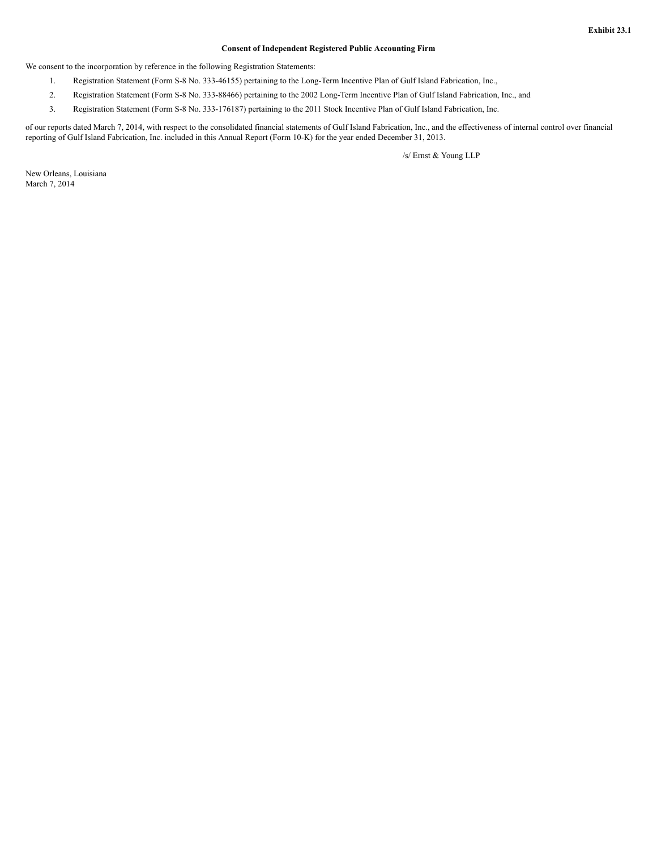# **Consent of Independent Registered Public Accounting Firm**

We consent to the incorporation by reference in the following Registration Statements:

- 1. Registration Statement (Form S-8 No. 333-46155) pertaining to the Long-Term Incentive Plan of Gulf Island Fabrication, Inc.,
- 2. Registration Statement (Form S-8 No. 333-88466) pertaining to the 2002 Long-Term Incentive Plan of Gulf Island Fabrication, Inc., and
- 3. Registration Statement (Form S-8 No. 333-176187) pertaining to the 2011 Stock Incentive Plan of Gulf Island Fabrication, Inc.

of our reports dated March 7, 2014, with respect to the consolidated financial statements of Gulf Island Fabrication, Inc., and the effectiveness of internal control over financial reporting of Gulf Island Fabrication, Inc. included in this Annual Report (Form 10-K) for the year ended December 31, 2013.

/s/ Ernst & Young LLP

New Orleans, Louisiana March 7, 2014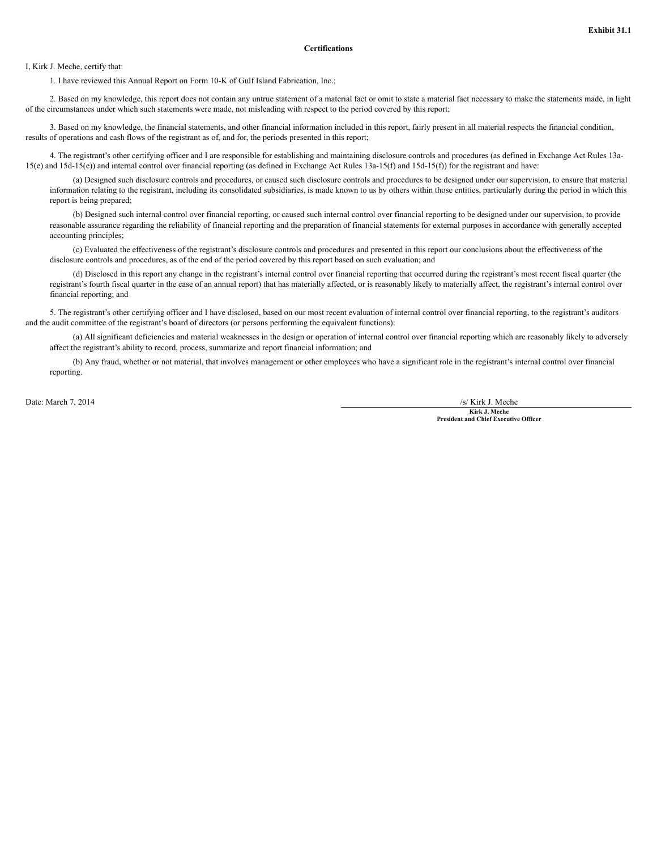### **Certifications**

I, Kirk J. Meche, certify that:

1. I have reviewed this Annual Report on Form 10-K of Gulf Island Fabrication, Inc.;

2. Based on my knowledge, this report does not contain any untrue statement of a material fact or omit to state a material fact necessary to make the statements made, in light of the circumstances under which such statements were made, not misleading with respect to the period covered by this report;

3. Based on my knowledge, the financial statements, and other financial information included in this report, fairly present in all material respects the financial condition, results of operations and cash flows of the registrant as of, and for, the periods presented in this report;

4. The registrant's other certifying officer and I are responsible for establishing and maintaining disclosure controls and procedures (as defined in Exchange Act Rules 13a-15(e) and 15d-15(e)) and internal control over financial reporting (as defined in Exchange Act Rules 13a-15(f) and 15d-15(f)) for the registrant and have:

(a) Designed such disclosure controls and procedures, or caused such disclosure controls and procedures to be designed under our supervision, to ensure that material information relating to the registrant, including its consolidated subsidiaries, is made known to us by others within those entities, particularly during the period in which this report is being prepared;

(b) Designed such internal control over financial reporting, or caused such internal control over financial reporting to be designed under our supervision, to provide reasonable assurance regarding the reliability of financial reporting and the preparation of financial statements for external purposes in accordance with generally accepted accounting principles;

(c) Evaluated the effectiveness of the registrant's disclosure controls and procedures and presented in this report our conclusions about the effectiveness of the disclosure controls and procedures, as of the end of the period covered by this report based on such evaluation; and

(d) Disclosed in this report any change in the registrant's internal control over financial reporting that occurred during the registrant's most recent fiscal quarter (the registrant's fourth fiscal quarter in the case of an annual report) that has materially affected, or is reasonably likely to materially affect, the registrant's internal control over financial reporting; and

5. The registrant's other certifying officer and I have disclosed, based on our most recent evaluation of internal control over financial reporting, to the registrant's auditors and the audit committee of the registrant's board of directors (or persons performing the equivalent functions):

(a) All significant deficiencies and material weaknesses in the design or operation of internal control over financial reporting which are reasonably likely to adversely affect the registrant's ability to record, process, summarize and report financial information; and

(b) Any fraud, whether or not material, that involves management or other employees who have a significant role in the registrant's internal control over financial reporting.

Date: March 7, 2014 /s/ Kirk J. Meche **Kirk J. Meche President and Chief Executive Officer**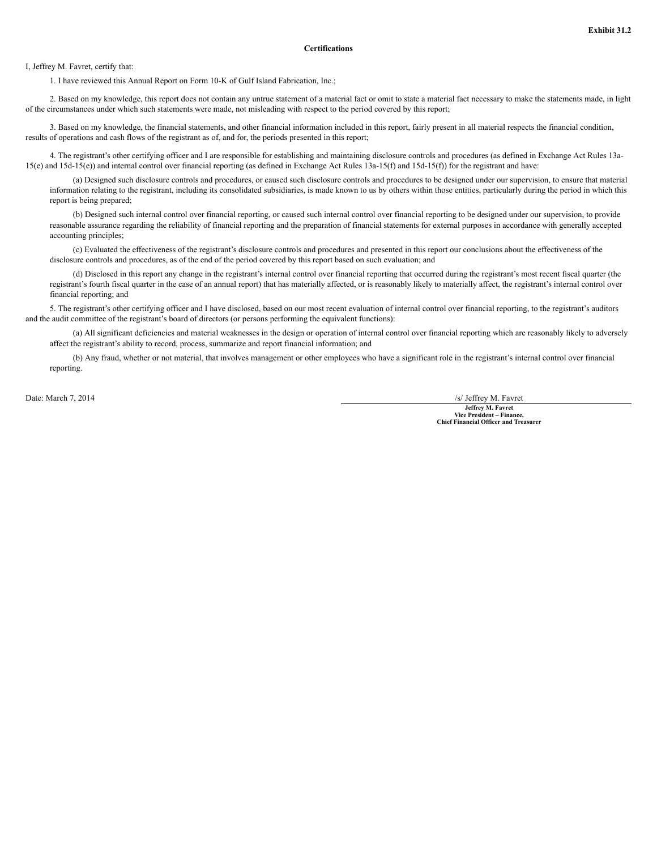### **Certifications**

I, Jeffrey M. Favret, certify that:

1. I have reviewed this Annual Report on Form 10-K of Gulf Island Fabrication, Inc.;

2. Based on my knowledge, this report does not contain any untrue statement of a material fact or omit to state a material fact necessary to make the statements made, in light of the circumstances under which such statements were made, not misleading with respect to the period covered by this report;

3. Based on my knowledge, the financial statements, and other financial information included in this report, fairly present in all material respects the financial condition, results of operations and cash flows of the registrant as of, and for, the periods presented in this report;

4. The registrant's other certifying officer and I are responsible for establishing and maintaining disclosure controls and procedures (as defined in Exchange Act Rules 13a-15(e) and 15d-15(e)) and internal control over financial reporting (as defined in Exchange Act Rules 13a-15(f) and 15d-15(f)) for the registrant and have:

(a) Designed such disclosure controls and procedures, or caused such disclosure controls and procedures to be designed under our supervision, to ensure that material information relating to the registrant, including its consolidated subsidiaries, is made known to us by others within those entities, particularly during the period in which this report is being prepared;

(b) Designed such internal control over financial reporting, or caused such internal control over financial reporting to be designed under our supervision, to provide reasonable assurance regarding the reliability of financial reporting and the preparation of financial statements for external purposes in accordance with generally accepted accounting principles;

(c) Evaluated the effectiveness of the registrant's disclosure controls and procedures and presented in this report our conclusions about the effectiveness of the disclosure controls and procedures, as of the end of the period covered by this report based on such evaluation; and

(d) Disclosed in this report any change in the registrant's internal control over financial reporting that occurred during the registrant's most recent fiscal quarter (the registrant's fourth fiscal quarter in the case of an annual report) that has materially affected, or is reasonably likely to materially affect, the registrant's internal control over financial reporting; and

5. The registrant's other certifying officer and I have disclosed, based on our most recent evaluation of internal control over financial reporting, to the registrant's auditors and the audit committee of the registrant's board of directors (or persons performing the equivalent functions):

(a) All significant deficiencies and material weaknesses in the design or operation of internal control over financial reporting which are reasonably likely to adversely affect the registrant's ability to record, process, summarize and report financial information; and

(b) Any fraud, whether or not material, that involves management or other employees who have a significant role in the registrant's internal control over financial reporting.

Date: March 7, 2014 /s/ Jeffrey M. Favret

**Jeffrey M. Favret Vice President – Finance, Chief Financial Officer and Treasurer**